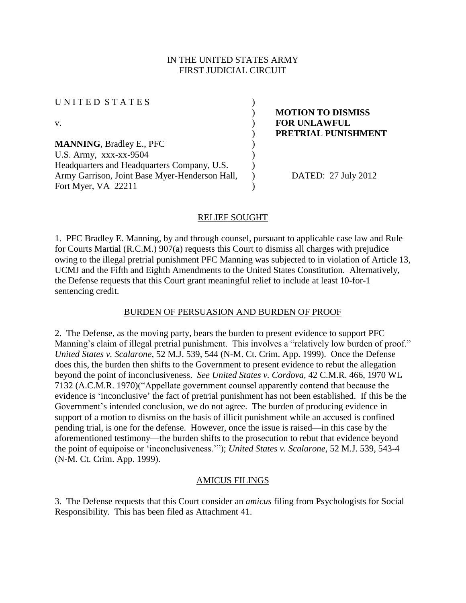# IN THE UNITED STATES ARMY FIRST JUDICIAL CIRCUIT

| UNITED STATES                                  |             |
|------------------------------------------------|-------------|
|                                                | <b>MOTI</b> |
| v.                                             | <b>FOR</b>  |
|                                                | <b>PRET</b> |
| <b>MANNING, Bradley E., PFC</b>                |             |
| U.S. Army, $xxxx-xx-9504$                      |             |
| Headquarters and Headquarters Company, U.S.    |             |
| Army Garrison, Joint Base Myer-Henderson Hall, |             |
| Fort Myer, VA 22211                            |             |
|                                                |             |

**ION TO DISMISS**  $UNLAWFUL$ **RIAL PUNISHMENT** 

) DATED: 27 July 2012

# RELIEF SOUGHT

1. PFC Bradley E. Manning, by and through counsel, pursuant to applicable case law and Rule for Courts Martial (R.C.M.) 907(a) requests this Court to dismiss all charges with prejudice owing to the illegal pretrial punishment PFC Manning was subjected to in violation of Article 13, UCMJ and the Fifth and Eighth Amendments to the United States Constitution. Alternatively, the Defense requests that this Court grant meaningful relief to include at least 10-for-1 sentencing credit.

#### BURDEN OF PERSUASION AND BURDEN OF PROOF

2. The Defense, as the moving party, bears the burden to present evidence to support PFC Manning's claim of illegal pretrial punishment. This involves a "relatively low burden of proof." *United States v. Scalarone*, 52 M.J. 539, 544 (N-M. Ct. Crim. App. 1999). Once the Defense does this, the burden then shifts to the Government to present evidence to rebut the allegation beyond the point of inconclusiveness. *See United States v. Cordova,* 42 C.M.R. 466, 1970 WL 7132 (A.C.M.R. 1970)("Appellate government counsel apparently contend that because the evidence is 'inconclusive' the fact of pretrial punishment has not been established. If this be the Government's intended conclusion, we do not agree. The burden of producing evidence in support of a motion to dismiss on the basis of illicit punishment while an accused is confined pending trial, is one for the defense. However, once the issue is raised—in this case by the aforementioned testimony—the burden shifts to the prosecution to rebut that evidence beyond the point of equipoise or 'inconclusiveness.'"); *United States v. Scalarone*, 52 M.J. 539, 543-4 (N-M. Ct. Crim. App. 1999).

# AMICUS FILINGS

3. The Defense requests that this Court consider an *amicus* filing from Psychologists for Social Responsibility. This has been filed as Attachment 41.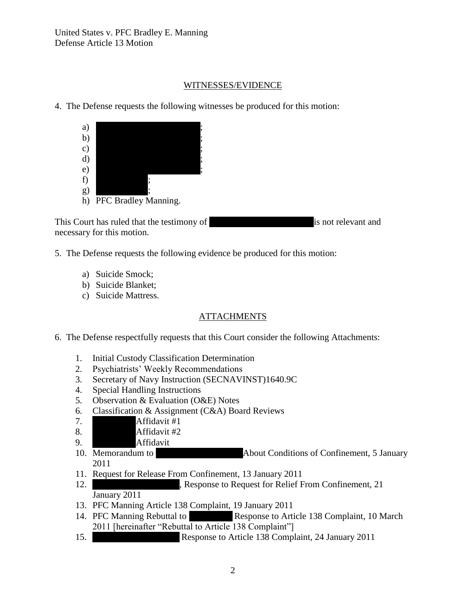#### WITNESSES/EVIDENCE

- 4. The Defense requests the following witnesses be produced for this motion:
	- a)  $^{\circ}$ b)  $^{\circ}$ c)  $\;$  : d)  $\hspace{1.6cm}$ ; e)  $^{\circ}$  $f$ )  $g$ ) h) PFC Bradley Manning.

This Court has ruled that the testimony of \*\*Redacted\*\*\*\*Redacted\*\*is not relevant and necessary for this motion.

5. The Defense requests the following evidence be produced for this motion:

- a) Suicide Smock;
- b) Suicide Blanket;
- c) Suicide Mattress.

# **ATTACHMENTS**

- 6. The Defense respectfully requests that this Court consider the following Attachments:
	- 1. Initial Custody Classification Determination
	- 2. Psychiatrists' Weekly Recommendations
	- 3. Secretary of Navy Instruction (SECNAVINST)1640.9C
	- 4. Special Handling Instructions
	- 5. Observation & Evaluation (O&E) Notes
	- 6. Classification & Assignment (C&A) Board Reviews
	- 7.  $\qquad \qquad$  Affidavit #1
	- 8. **Affidavit #2**
	- 9. **Affidavit**
	- 10. Memorandum to \*\*Redacted\*\*\*\*Redacted\*\*About Conditions of Confinement, 5 January 2011
	- 11. Request for Release From Confinement, 13 January 2011
	- 12. \*\*Redacted\*\*\*\*Redacted\*\*, Response to Request for Relief From Confinement, 21 January 2011
	- 13. PFC Manning Article 138 Complaint, 19 January 2011
	- 14. PFC Manning Rebuttal to \*\*\*\* Response to Article 138 Complaint, 10 March 2011 [hereinafter "Rebuttal to Article 138 Complaint"]
	- 15. \*\*Redacted\*\*\*\*Redacted\*\* Response to Article 138 Complaint, 24 January 2011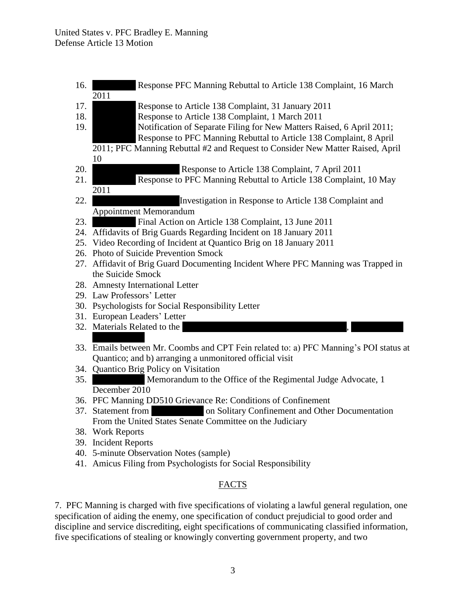- 16. \*\*\*\* Response PFC Manning Rebuttal to Article 138 Complaint, 16 March 2011
- 17. Response to Article 138 Complaint, 31 January 2011
- 18. **Response to Article 138 Complaint, 1 March 2011**
- 19. Notification of Separate Filing for New Matters Raised, 6 April 2011;
	- Response to PFC Manning Rebuttal to Article 138 Complaint, 8 April 2011; PFC Manning Rebuttal #2 and Request to Consider New Matter Raised, April
		- 10
- 20. \*\*Redacted\*\*\*\*Redacted\*\* Response to Article 138 Complaint, 7 April 2011
- 21. \*\*\*\*\* Response to PFC Manning Rebuttal to Article 138 Complaint, 10 May 2011
- 22. \*\*Redacted\*\*\*\*Redacted\*\*Investigation in Response to Article 138 Complaint and Appointment Memorandum
- 23. \*\*\* Final Action on Article 138 Complaint, 13 June 2011
- 24. Affidavits of Brig Guards Regarding Incident on 18 January 2011
- 25. Video Recording of Incident at Quantico Brig on 18 January 2011
- 26. Photo of Suicide Prevention Smock
- 27. Affidavit of Brig Guard Documenting Incident Where PFC Manning was Trapped in the Suicide Smock
- 28. Amnesty International Letter
- 29. Law Professors' Letter
- 30. Psychologists for Social Responsibility Letter
- 31. European Leaders' Letter
- 32. Materials Related to the
- 33. Emails between Mr. Coombs and CPT Fein related to: a) PFC Manning's POI status at Quantico; and b) arranging a unmonitored official visit
- 34. Quantico Brig Policy on Visitation
- 35. \*\*\*\* Memorandum to the Office of the Regimental Judge Advocate, 1 December 2010
- 36. PFC Manning DD510 Grievance Re: Conditions of Confinement
- 37. Statement from \*\*\*\* on Solitary Confinement and Other Documentation From the United States Senate Committee on the Judiciary
- 38. Work Reports
- 39. Incident Reports
- 40. 5-minute Observation Notes (sample)
- 41. Amicus Filing from Psychologists for Social Responsibility

# FACTS

7. PFC Manning is charged with five specifications of violating a lawful general regulation, one specification of aiding the enemy, one specification of conduct prejudicial to good order and discipline and service discrediting, eight specifications of communicating classified information, five specifications of stealing or knowingly converting government property, and two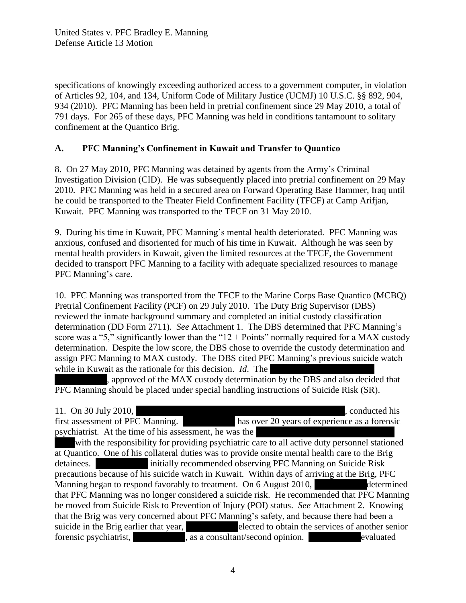specifications of knowingly exceeding authorized access to a government computer, in violation of Articles 92, 104, and 134, Uniform Code of Military Justice (UCMJ) 10 U.S.C. §§ 892, 904, 934 (2010). PFC Manning has been held in pretrial confinement since 29 May 2010, a total of 791 days. For 265 of these days, PFC Manning was held in conditions tantamount to solitary confinement at the Quantico Brig.

# **A. PFC Manning's Confinement in Kuwait and Transfer to Quantico**

8. On 27 May 2010, PFC Manning was detained by agents from the Army's Criminal Investigation Division (CID). He was subsequently placed into pretrial confinement on 29 May 2010. PFC Manning was held in a secured area on Forward Operating Base Hammer, Iraq until he could be transported to the Theater Field Confinement Facility (TFCF) at Camp Arifjan, Kuwait. PFC Manning was transported to the TFCF on 31 May 2010.

9. During his time in Kuwait, PFC Manning's mental health deteriorated. PFC Manning was anxious, confused and disoriented for much of his time in Kuwait. Although he was seen by mental health providers in Kuwait, given the limited resources at the TFCF, the Government decided to transport PFC Manning to a facility with adequate specialized resources to manage PFC Manning's care.

10. PFC Manning was transported from the TFCF to the Marine Corps Base Quantico (MCBQ) Pretrial Confinement Facility (PCF) on 29 July 2010. The Duty Brig Supervisor (DBS) reviewed the inmate background summary and completed an initial custody classification determination (DD Form 2711). *See* Attachment 1. The DBS determined that PFC Manning's score was a "5," significantly lower than the " $12 +$  Points" normally required for a MAX custody determination. Despite the low score, the DBS chose to override the custody determination and assign PFC Manning to MAX custody. The DBS cited PFC Manning's previous suicide watch while in Kuwait as the rationale for this decision. *Id*. The

, approved of the MAX custody determination by the DBS and also decided that PFC Manning should be placed under special handling instructions of Suicide Risk (SR).

11. On 30 July 2010,  $\blacksquare$ first assessment of PFC Manning.  $\frac{R}{R}$  has over 20 years of experience as a forensic psychiatrist. At the time of his assessment, he was the

with the responsibility for providing psychiatric care to all active duty personnel stationed at Quantico. One of his collateral duties was to provide onsite mental health care to the Brig detainees. \*\*\*\* initially recommended observing PFC Manning on Suicide Risk precautions because of his suicide watch in Kuwait. Within days of arriving at the Brig, PFC Manning began to respond favorably to treatment. On 6 August 2010,  $\qquad \qquad$  determined that PFC Manning was no longer considered a suicide risk. He recommended that PFC Manning be moved from Suicide Risk to Prevention of Injury (POI) status. *See* Attachment 2. Knowing that the Brig was very concerned about PFC Manning's safety, and because there had been a suicide in the Brig earlier that year, \*\*\*\*\*\*\*\*elected to obtain the services of another senior forensic psychiatrist, \*\*Redacted\*\*, as a consultant/second opinion. \*\*Redacted\*\*evaluated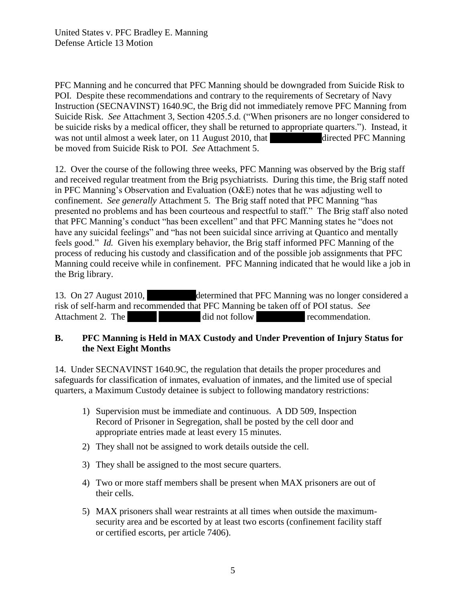PFC Manning and he concurred that PFC Manning should be downgraded from Suicide Risk to POI. Despite these recommendations and contrary to the requirements of Secretary of Navy Instruction (SECNAVINST) 1640.9C, the Brig did not immediately remove PFC Manning from Suicide Risk. *See* Attachment 3, Section 4205.5.d. ("When prisoners are no longer considered to be suicide risks by a medical officer, they shall be returned to appropriate quarters."). Instead, it was not until almost a week later, on 11 August 2010, that \*\*\*\*\*\*\*directed PFC Manning be moved from Suicide Risk to POI. *See* Attachment 5.

12. Over the course of the following three weeks, PFC Manning was observed by the Brig staff and received regular treatment from the Brig psychiatrists. During this time, the Brig staff noted in PFC Manning's Observation and Evaluation  $(O\&E)$  notes that he was adjusting well to confinement. *See generally* Attachment 5. The Brig staff noted that PFC Manning "has presented no problems and has been courteous and respectful to staff." The Brig staff also noted that PFC Manning's conduct "has been excellent" and that PFC Manning states he "does not have any suicidal feelings" and "has not been suicidal since arriving at Quantico and mentally feels good." *Id.* Given his exemplary behavior, the Brig staff informed PFC Manning of the process of reducing his custody and classification and of the possible job assignments that PFC Manning could receive while in confinement. PFC Manning indicated that he would like a job in the Brig library.

13. On 27 August 2010, \*\*Redacted\*\*determined that PFC Manning was no longer considered a risk of self-harm and recommended that PFC Manning be taken off of POI status. *See*  Attachment 2. The \*\*\*\* did not follow \*\*\*\*\*\* recommendation.

#### **B. PFC Manning is Held in MAX Custody and Under Prevention of Injury Status for the Next Eight Months**

14. Under SECNAVINST 1640.9C, the regulation that details the proper procedures and safeguards for classification of inmates, evaluation of inmates, and the limited use of special quarters, a Maximum Custody detainee is subject to following mandatory restrictions:

- 1) Supervision must be immediate and continuous. A DD 509, Inspection Record of Prisoner in Segregation, shall be posted by the cell door and appropriate entries made at least every 15 minutes.
- 2) They shall not be assigned to work details outside the cell.
- 3) They shall be assigned to the most secure quarters.
- 4) Two or more staff members shall be present when MAX prisoners are out of their cells.
- 5) MAX prisoners shall wear restraints at all times when outside the maximumsecurity area and be escorted by at least two escorts (confinement facility staff or certified escorts, per article 7406).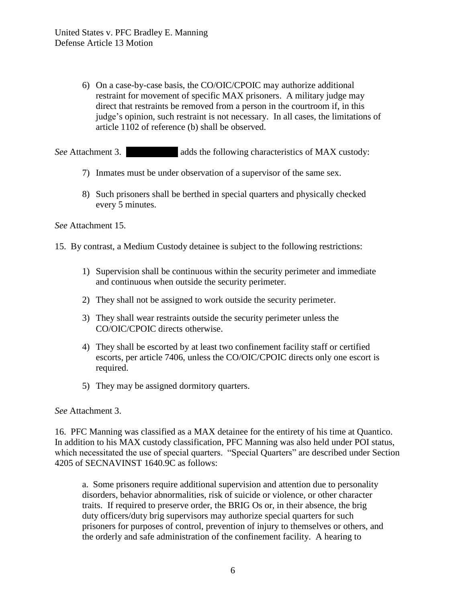6) On a case-by-case basis, the CO/OIC/CPOIC may authorize additional restraint for movement of specific MAX prisoners. A military judge may direct that restraints be removed from a person in the courtroom if, in this judge's opinion, such restraint is not necessary. In all cases, the limitations of article 1102 of reference (b) shall be observed.

*See* Attachment 3.  $\qquad \qquad \text{ adds the following characteristics of MAX custody:}$ 

- 7) Inmates must be under observation of a supervisor of the same sex.
- 8) Such prisoners shall be berthed in special quarters and physically checked every 5 minutes.

*See* Attachment 15.

15. By contrast, a Medium Custody detainee is subject to the following restrictions:

- 1) Supervision shall be continuous within the security perimeter and immediate and continuous when outside the security perimeter.
- 2) They shall not be assigned to work outside the security perimeter.
- 3) They shall wear restraints outside the security perimeter unless the CO/OIC/CPOIC directs otherwise.
- 4) They shall be escorted by at least two confinement facility staff or certified escorts, per article 7406, unless the CO/OIC/CPOIC directs only one escort is required.
- 5) They may be assigned dormitory quarters.

*See* Attachment 3.

16. PFC Manning was classified as a MAX detainee for the entirety of his time at Quantico. In addition to his MAX custody classification, PFC Manning was also held under POI status, which necessitated the use of special quarters. "Special Quarters" are described under Section 4205 of SECNAVINST 1640.9C as follows:

a. Some prisoners require additional supervision and attention due to personality disorders, behavior abnormalities, risk of suicide or violence, or other character traits. If required to preserve order, the BRIG Os or, in their absence, the brig duty officers/duty brig supervisors may authorize special quarters for such prisoners for purposes of control, prevention of injury to themselves or others, and the orderly and safe administration of the confinement facility. A hearing to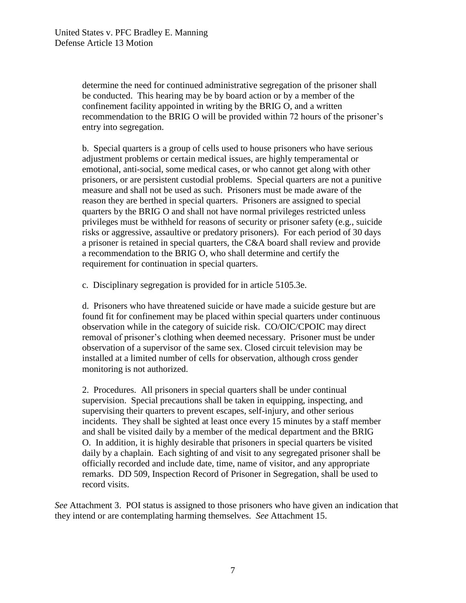determine the need for continued administrative segregation of the prisoner shall be conducted. This hearing may be by board action or by a member of the confinement facility appointed in writing by the BRIG O, and a written recommendation to the BRIG O will be provided within 72 hours of the prisoner's entry into segregation.

b. Special quarters is a group of cells used to house prisoners who have serious adjustment problems or certain medical issues, are highly temperamental or emotional, anti-social, some medical cases, or who cannot get along with other prisoners, or are persistent custodial problems. Special quarters are not a punitive measure and shall not be used as such. Prisoners must be made aware of the reason they are berthed in special quarters. Prisoners are assigned to special quarters by the BRIG O and shall not have normal privileges restricted unless privileges must be withheld for reasons of security or prisoner safety (e.g., suicide risks or aggressive, assaultive or predatory prisoners). For each period of 30 days a prisoner is retained in special quarters, the C&A board shall review and provide a recommendation to the BRIG O, who shall determine and certify the requirement for continuation in special quarters.

c. Disciplinary segregation is provided for in article 5105.3e.

d. Prisoners who have threatened suicide or have made a suicide gesture but are found fit for confinement may be placed within special quarters under continuous observation while in the category of suicide risk. CO/OIC/CPOIC may direct removal of prisoner's clothing when deemed necessary. Prisoner must be under observation of a supervisor of the same sex. Closed circuit television may be installed at a limited number of cells for observation, although cross gender monitoring is not authorized.

2. Procedures. All prisoners in special quarters shall be under continual supervision. Special precautions shall be taken in equipping, inspecting, and supervising their quarters to prevent escapes, self-injury, and other serious incidents. They shall be sighted at least once every 15 minutes by a staff member and shall be visited daily by a member of the medical department and the BRIG O. In addition, it is highly desirable that prisoners in special quarters be visited daily by a chaplain. Each sighting of and visit to any segregated prisoner shall be officially recorded and include date, time, name of visitor, and any appropriate remarks. DD 509, Inspection Record of Prisoner in Segregation, shall be used to record visits.

*See* Attachment 3. POI status is assigned to those prisoners who have given an indication that they intend or are contemplating harming themselves. *See* Attachment 15.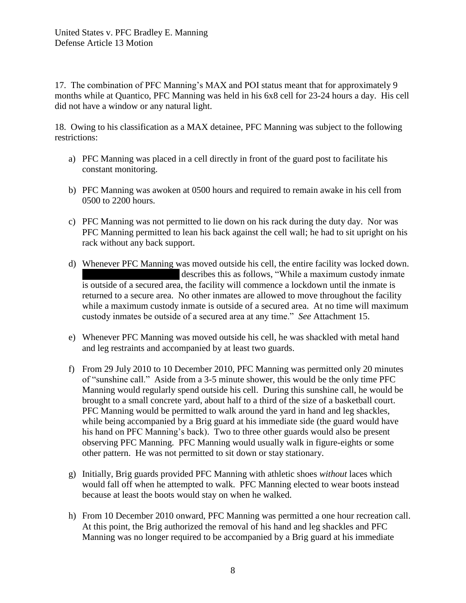17. The combination of PFC Manning's MAX and POI status meant that for approximately 9 months while at Quantico, PFC Manning was held in his 6x8 cell for 23-24 hours a day. His cell did not have a window or any natural light.

18. Owing to his classification as a MAX detainee, PFC Manning was subject to the following restrictions:

- a) PFC Manning was placed in a cell directly in front of the guard post to facilitate his constant monitoring.
- b) PFC Manning was awoken at 0500 hours and required to remain awake in his cell from 0500 to 2200 hours.
- c) PFC Manning was not permitted to lie down on his rack during the duty day. Nor was PFC Manning permitted to lean his back against the cell wall; he had to sit upright on his rack without any back support.
- d) Whenever PFC Manning was moved outside his cell, the entire facility was locked down. describes this as follows, "While a maximum custody inmate is outside of a secured area, the facility will commence a lockdown until the inmate is returned to a secure area. No other inmates are allowed to move throughout the facility while a maximum custody inmate is outside of a secured area. At no time will maximum custody inmates be outside of a secured area at any time." *See* Attachment 15.
- e) Whenever PFC Manning was moved outside his cell, he was shackled with metal hand and leg restraints and accompanied by at least two guards.
- f) From 29 July 2010 to 10 December 2010, PFC Manning was permitted only 20 minutes of "sunshine call." Aside from a 3-5 minute shower, this would be the only time PFC Manning would regularly spend outside his cell. During this sunshine call, he would be brought to a small concrete yard, about half to a third of the size of a basketball court. PFC Manning would be permitted to walk around the yard in hand and leg shackles, while being accompanied by a Brig guard at his immediate side (the guard would have his hand on PFC Manning's back). Two to three other guards would also be present observing PFC Manning. PFC Manning would usually walk in figure-eights or some other pattern. He was not permitted to sit down or stay stationary.
- g) Initially, Brig guards provided PFC Manning with athletic shoes *without* laces which would fall off when he attempted to walk. PFC Manning elected to wear boots instead because at least the boots would stay on when he walked.
- h) From 10 December 2010 onward, PFC Manning was permitted a one hour recreation call. At this point, the Brig authorized the removal of his hand and leg shackles and PFC Manning was no longer required to be accompanied by a Brig guard at his immediate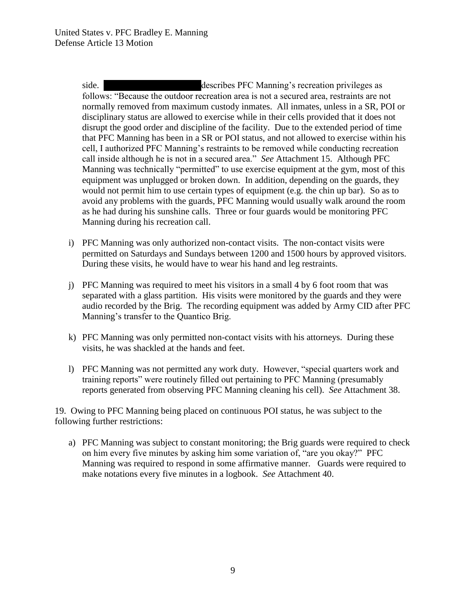side. \*\*Redacted\*\*\*\*Redacted\*\*describes PFC Manning's recreation privileges as follows: "Because the outdoor recreation area is not a secured area, restraints are not normally removed from maximum custody inmates. All inmates, unless in a SR, POI or disciplinary status are allowed to exercise while in their cells provided that it does not disrupt the good order and discipline of the facility. Due to the extended period of time that PFC Manning has been in a SR or POI status, and not allowed to exercise within his cell, I authorized PFC Manning's restraints to be removed while conducting recreation call inside although he is not in a secured area." *See* Attachment 15. Although PFC Manning was technically "permitted" to use exercise equipment at the gym, most of this equipment was unplugged or broken down. In addition, depending on the guards, they would not permit him to use certain types of equipment (e.g. the chin up bar). So as to avoid any problems with the guards, PFC Manning would usually walk around the room as he had during his sunshine calls. Three or four guards would be monitoring PFC Manning during his recreation call.

- i) PFC Manning was only authorized non-contact visits. The non-contact visits were permitted on Saturdays and Sundays between 1200 and 1500 hours by approved visitors. During these visits, he would have to wear his hand and leg restraints.
- j) PFC Manning was required to meet his visitors in a small 4 by 6 foot room that was separated with a glass partition. His visits were monitored by the guards and they were audio recorded by the Brig. The recording equipment was added by Army CID after PFC Manning's transfer to the Quantico Brig.
- k) PFC Manning was only permitted non-contact visits with his attorneys. During these visits, he was shackled at the hands and feet.
- l) PFC Manning was not permitted any work duty. However, "special quarters work and training reports" were routinely filled out pertaining to PFC Manning (presumably reports generated from observing PFC Manning cleaning his cell). *See* Attachment 38.

19. Owing to PFC Manning being placed on continuous POI status, he was subject to the following further restrictions:

a) PFC Manning was subject to constant monitoring; the Brig guards were required to check on him every five minutes by asking him some variation of, "are you okay?" PFC Manning was required to respond in some affirmative manner. Guards were required to make notations every five minutes in a logbook. *See* Attachment 40.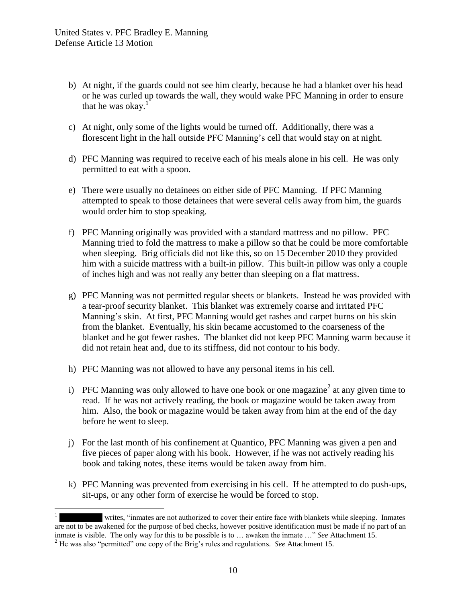- b) At night, if the guards could not see him clearly, because he had a blanket over his head or he was curled up towards the wall, they would wake PFC Manning in order to ensure that he was okay. $<sup>1</sup>$ </sup>
- c) At night, only some of the lights would be turned off. Additionally, there was a florescent light in the hall outside PFC Manning's cell that would stay on at night.
- d) PFC Manning was required to receive each of his meals alone in his cell. He was only permitted to eat with a spoon.
- e) There were usually no detainees on either side of PFC Manning. If PFC Manning attempted to speak to those detainees that were several cells away from him, the guards would order him to stop speaking.
- f) PFC Manning originally was provided with a standard mattress and no pillow. PFC Manning tried to fold the mattress to make a pillow so that he could be more comfortable when sleeping. Brig officials did not like this, so on 15 December 2010 they provided him with a suicide mattress with a built-in pillow. This built-in pillow was only a couple of inches high and was not really any better than sleeping on a flat mattress.
- g) PFC Manning was not permitted regular sheets or blankets. Instead he was provided with a tear-proof security blanket. This blanket was extremely coarse and irritated PFC Manning's skin. At first, PFC Manning would get rashes and carpet burns on his skin from the blanket. Eventually, his skin became accustomed to the coarseness of the blanket and he got fewer rashes. The blanket did not keep PFC Manning warm because it did not retain heat and, due to its stiffness, did not contour to his body.
- h) PFC Manning was not allowed to have any personal items in his cell.
- i) PFC Manning was only allowed to have one book or one magazine<sup>2</sup> at any given time to read. If he was not actively reading, the book or magazine would be taken away from him. Also, the book or magazine would be taken away from him at the end of the day before he went to sleep.
- j) For the last month of his confinement at Quantico, PFC Manning was given a pen and five pieces of paper along with his book. However, if he was not actively reading his book and taking notes, these items would be taken away from him.
- k) PFC Manning was prevented from exercising in his cell. If he attempted to do push-ups, sit-ups, or any other form of exercise he would be forced to stop.

 $\overline{a}$ 

<sup>1</sup> writes, "inmates are not authorized to cover their entire face with blankets while sleeping. Inmates are not to be awakened for the purpose of bed checks, however positive identification must be made if no part of an inmate is visible. The only way for this to be possible is to … awaken the inmate …" *See* Attachment 15.

<sup>2</sup> He was also "permitted" one copy of the Brig's rules and regulations. *See* Attachment 15.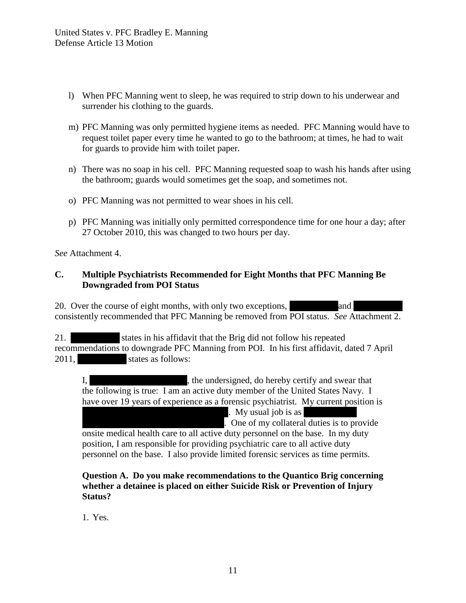- l) When PFC Manning went to sleep, he was required to strip down to his underwear and surrender his clothing to the guards.
- m) PFC Manning was only permitted hygiene items as needed. PFC Manning would have to request toilet paper every time he wanted to go to the bathroom; at times, he had to wait for guards to provide him with toilet paper.
- n) There was no soap in his cell. PFC Manning requested soap to wash his hands after using the bathroom; guards would sometimes get the soap, and sometimes not.
- o) PFC Manning was not permitted to wear shoes in his cell.
- p) PFC Manning was initially only permitted correspondence time for one hour a day; after 27 October 2010, this was changed to two hours per day.

*See* Attachment 4.

# **C. Multiple Psychiatrists Recommended for Eight Months that PFC Manning Be Downgraded from POI Status**

20. Over the course of eight months, with only two exceptions, \*\*\* consistently recommended that PFC Manning be removed from POI status. *See* Attachment 2.

21. \*\*\*\* states in his affidavit that the Brig did not follow his repeated recommendations to downgrade PFC Manning from POI. In his first affidavit, dated 7 April 2011, \*\*\* states as follows:

I, the undersigned, do hereby certify and swear that the following is true: I am an active duty member of the United States Navy. I have over 19 years of experience as a forensic psychiatrist. My current position is . My usual job is as  $\mathbb{R}$ 

. One of my collateral duties is to provide onsite medical health care to all active duty personnel on the base. In my duty position, I am responsible for providing psychiatric care to all active duty personnel on the base. I also provide limited forensic services as time permits.

**Question A. Do you make recommendations to the Quantico Brig concerning whether a detainee is placed on either Suicide Risk or Prevention of Injury Status?**

1. Yes.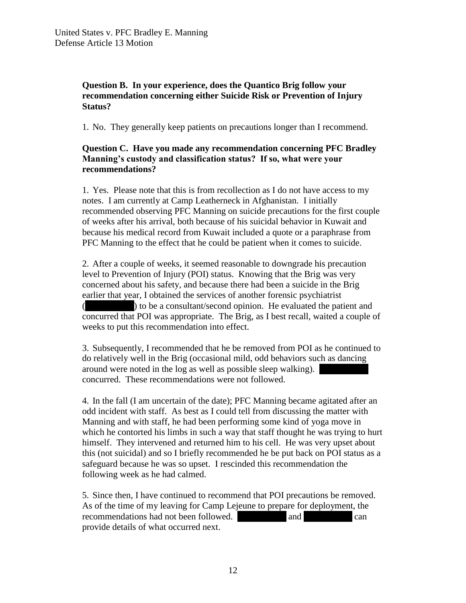#### **Question B. In your experience, does the Quantico Brig follow your recommendation concerning either Suicide Risk or Prevention of Injury Status?**

1. No. They generally keep patients on precautions longer than I recommend.

# **Question C. Have you made any recommendation concerning PFC Bradley Manning's custody and classification status? If so, what were your recommendations?**

1. Yes. Please note that this is from recollection as I do not have access to my notes. I am currently at Camp Leatherneck in Afghanistan. I initially recommended observing PFC Manning on suicide precautions for the first couple of weeks after his arrival, both because of his suicidal behavior in Kuwait and because his medical record from Kuwait included a quote or a paraphrase from PFC Manning to the effect that he could be patient when it comes to suicide.

2. After a couple of weeks, it seemed reasonable to downgrade his precaution level to Prevention of Injury (POI) status. Knowing that the Brig was very concerned about his safety, and because there had been a suicide in the Brig earlier that year, I obtained the services of another forensic psychiatrist

 $($   $)$  to be a consultant/second opinion. He evaluated the patient and concurred that POI was appropriate. The Brig, as I best recall, waited a couple of weeks to put this recommendation into effect.

3. Subsequently, I recommended that he be removed from POI as he continued to do relatively well in the Brig (occasional mild, odd behaviors such as dancing around were noted in the log as well as possible sleep walking). concurred. These recommendations were not followed.

4. In the fall (I am uncertain of the date); PFC Manning became agitated after an odd incident with staff. As best as I could tell from discussing the matter with Manning and with staff, he had been performing some kind of yoga move in which he contorted his limbs in such a way that staff thought he was trying to hurt himself. They intervened and returned him to his cell. He was very upset about this (not suicidal) and so I briefly recommended he be put back on POI status as a safeguard because he was so upset. I rescinded this recommendation the following week as he had calmed.

5. Since then, I have continued to recommend that POI precautions be removed. As of the time of my leaving for Camp Lejeune to prepare for deployment, the recommendations had not been followed. \*\*\*\* and \*\*\* can provide details of what occurred next.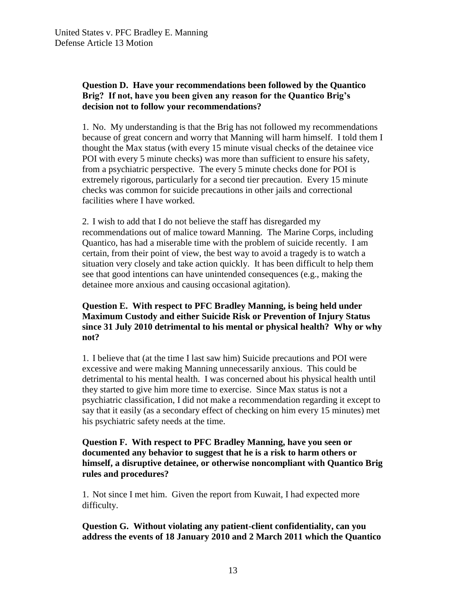# **Question D. Have your recommendations been followed by the Quantico Brig? If not, have you been given any reason for the Quantico Brig's decision not to follow your recommendations?**

1. No. My understanding is that the Brig has not followed my recommendations because of great concern and worry that Manning will harm himself. I told them I thought the Max status (with every 15 minute visual checks of the detainee vice POI with every 5 minute checks) was more than sufficient to ensure his safety, from a psychiatric perspective. The every 5 minute checks done for POI is extremely rigorous, particularly for a second tier precaution. Every 15 minute checks was common for suicide precautions in other jails and correctional facilities where I have worked.

2. I wish to add that I do not believe the staff has disregarded my recommendations out of malice toward Manning. The Marine Corps, including Quantico, has had a miserable time with the problem of suicide recently. I am certain, from their point of view, the best way to avoid a tragedy is to watch a situation very closely and take action quickly. It has been difficult to help them see that good intentions can have unintended consequences (e.g., making the detainee more anxious and causing occasional agitation).

# **Question E. With respect to PFC Bradley Manning, is being held under Maximum Custody and either Suicide Risk or Prevention of Injury Status since 31 July 2010 detrimental to his mental or physical health? Why or why not?**

1. I believe that (at the time I last saw him) Suicide precautions and POI were excessive and were making Manning unnecessarily anxious. This could be detrimental to his mental health. I was concerned about his physical health until they started to give him more time to exercise. Since Max status is not a psychiatric classification, I did not make a recommendation regarding it except to say that it easily (as a secondary effect of checking on him every 15 minutes) met his psychiatric safety needs at the time.

#### **Question F. With respect to PFC Bradley Manning, have you seen or documented any behavior to suggest that he is a risk to harm others or himself, a disruptive detainee, or otherwise noncompliant with Quantico Brig rules and procedures?**

1. Not since I met him. Given the report from Kuwait, I had expected more difficulty.

**Question G. Without violating any patient-client confidentiality, can you address the events of 18 January 2010 and 2 March 2011 which the Quantico**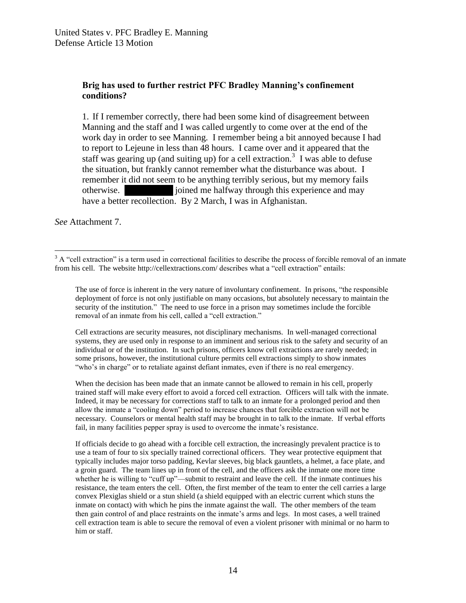#### **Brig has used to further restrict PFC Bradley Manning's confinement conditions?**

1. If I remember correctly, there had been some kind of disagreement between Manning and the staff and I was called urgently to come over at the end of the work day in order to see Manning. I remember being a bit annoyed because I had to report to Lejeune in less than 48 hours. I came over and it appeared that the staff was gearing up (and suiting up) for a cell extraction.<sup>3</sup> I was able to defuse the situation, but frankly cannot remember what the disturbance was about. I remember it did not seem to be anything terribly serious, but my memory fails otherwise.  $\frac{1}{\pi}$  joined me halfway through this experience and may have a better recollection. By 2 March, I was in Afghanistan.

*See* Attachment 7.

 $\overline{a}$ 

Cell extractions are security measures, not disciplinary mechanisms. In well-managed correctional systems, they are used only in response to an imminent and serious risk to the safety and security of an individual or of the institution. In such prisons, officers know cell extractions are rarely needed; in some prisons, however, the institutional culture permits cell extractions simply to show inmates "who's in charge" or to retaliate against defiant inmates, even if there is no real emergency.

When the decision has been made that an inmate cannot be allowed to remain in his cell, properly trained staff will make every effort to avoid a forced cell extraction. Officers will talk with the inmate. Indeed, it may be necessary for corrections staff to talk to an inmate for a prolonged period and then allow the inmate a "cooling down" period to increase chances that forcible extraction will not be necessary. Counselors or mental health staff may be brought in to talk to the inmate. If verbal efforts fail, in many facilities pepper spray is used to overcome the inmate's resistance.

If officials decide to go ahead with a forcible cell extraction, the increasingly prevalent practice is to use a team of four to six specially trained correctional officers. They wear protective equipment that typically includes major torso padding, Kevlar sleeves, big black gauntlets, a helmet, a face plate, and a groin guard. The team lines up in front of the cell, and the officers ask the inmate one more time whether he is willing to "cuff up"—submit to restraint and leave the cell. If the inmate continues his resistance, the team enters the cell. Often, the first member of the team to enter the cell carries a large convex Plexiglas shield or a stun shield (a shield equipped with an electric current which stuns the inmate on contact) with which he pins the inmate against the wall. The other members of the team then gain control of and place restraints on the inmate's arms and legs. In most cases, a well trained cell extraction team is able to secure the removal of even a violent prisoner with minimal or no harm to him or staff.

<sup>&</sup>lt;sup>3</sup> A "cell extraction" is a term used in correctional facilities to describe the process of forcible removal of an inmate from his cell. The website http://cellextractions.com/ describes what a "cell extraction" entails:

The use of force is inherent in the very nature of involuntary confinement. In prisons, "the responsible deployment of force is not only justifiable on many occasions, but absolutely necessary to maintain the security of the institution." The need to use force in a prison may sometimes include the forcible removal of an inmate from his cell, called a "cell extraction."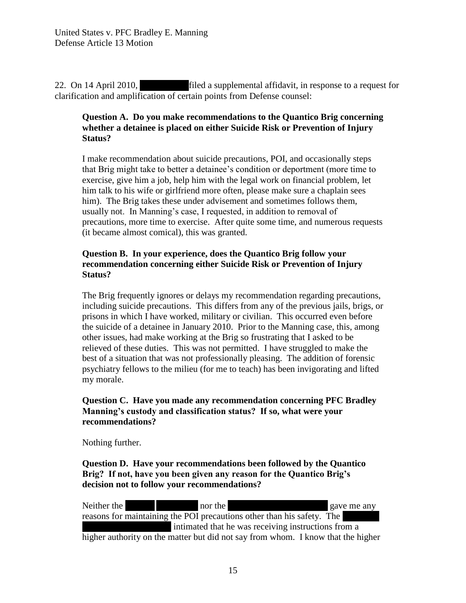22. On 14 April 2010, filed a supplemental affidavit, in response to a request for clarification and amplification of certain points from Defense counsel:

# **Question A. Do you make recommendations to the Quantico Brig concerning whether a detainee is placed on either Suicide Risk or Prevention of Injury Status?**

I make recommendation about suicide precautions, POI, and occasionally steps that Brig might take to better a detainee's condition or deportment (more time to exercise, give him a job, help him with the legal work on financial problem, let him talk to his wife or girlfriend more often, please make sure a chaplain sees him). The Brig takes these under advisement and sometimes follows them, usually not. In Manning's case, I requested, in addition to removal of precautions, more time to exercise. After quite some time, and numerous requests (it became almost comical), this was granted.

# **Question B. In your experience, does the Quantico Brig follow your recommendation concerning either Suicide Risk or Prevention of Injury Status?**

The Brig frequently ignores or delays my recommendation regarding precautions, including suicide precautions. This differs from any of the previous jails, brigs, or prisons in which I have worked, military or civilian. This occurred even before the suicide of a detainee in January 2010. Prior to the Manning case, this, among other issues, had make working at the Brig so frustrating that I asked to be relieved of these duties. This was not permitted. I have struggled to make the best of a situation that was not professionally pleasing. The addition of forensic psychiatry fellows to the milieu (for me to teach) has been invigorating and lifted my morale.

# **Question C. Have you made any recommendation concerning PFC Bradley Manning's custody and classification status? If so, what were your recommendations?**

Nothing further.

**Question D. Have your recommendations been followed by the Quantico Brig? If not, have you been given any reason for the Quantico Brig's decision not to follow your recommendations?**

Neither the \*\*\*\*\*\*\* \*\*\*\*\*\*\*\*\*\* nor the \*\*\*\*\*\*\*\*\*\*\*\*\*\*\*\*\*\*\*\*\*\*\*\* gave me any reasons for maintaining the POI precautions other than his safety. The intimated that he was receiving instructions from a higher authority on the matter but did not say from whom. I know that the higher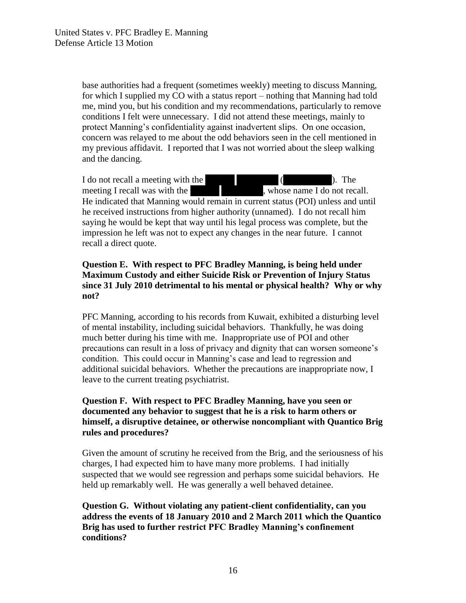base authorities had a frequent (sometimes weekly) meeting to discuss Manning, for which I supplied my CO with a status report – nothing that Manning had told me, mind you, but his condition and my recommendations, particularly to remove conditions I felt were unnecessary. I did not attend these meetings, mainly to protect Manning's confidentiality against inadvertent slips. On one occasion, concern was relayed to me about the odd behaviors seen in the cell mentioned in my previous affidavit. I reported that I was not worried about the sleep walking and the dancing.

I do not recall a meeting with the \*\*\*\*\*\*\* \*\*\*\*\*\*\*\*\*\* (\*\*Redacted\*\*). The meeting I recall was with the \*\*\*\*\*\*\*\*\*\*\*\*\*\*\*\*, whose name I do not recall. He indicated that Manning would remain in current status (POI) unless and until he received instructions from higher authority (unnamed). I do not recall him saying he would be kept that way until his legal process was complete, but the impression he left was not to expect any changes in the near future. I cannot recall a direct quote.

#### **Question E. With respect to PFC Bradley Manning, is being held under Maximum Custody and either Suicide Risk or Prevention of Injury Status since 31 July 2010 detrimental to his mental or physical health? Why or why not?**

PFC Manning, according to his records from Kuwait, exhibited a disturbing level of mental instability, including suicidal behaviors. Thankfully, he was doing much better during his time with me. Inappropriate use of POI and other precautions can result in a loss of privacy and dignity that can worsen someone's condition. This could occur in Manning's case and lead to regression and additional suicidal behaviors. Whether the precautions are inappropriate now, I leave to the current treating psychiatrist.

#### **Question F. With respect to PFC Bradley Manning, have you seen or documented any behavior to suggest that he is a risk to harm others or himself, a disruptive detainee, or otherwise noncompliant with Quantico Brig rules and procedures?**

Given the amount of scrutiny he received from the Brig, and the seriousness of his charges, I had expected him to have many more problems. I had initially suspected that we would see regression and perhaps some suicidal behaviors. He held up remarkably well. He was generally a well behaved detainee.

**Question G. Without violating any patient-client confidentiality, can you address the events of 18 January 2010 and 2 March 2011 which the Quantico Brig has used to further restrict PFC Bradley Manning's confinement conditions?**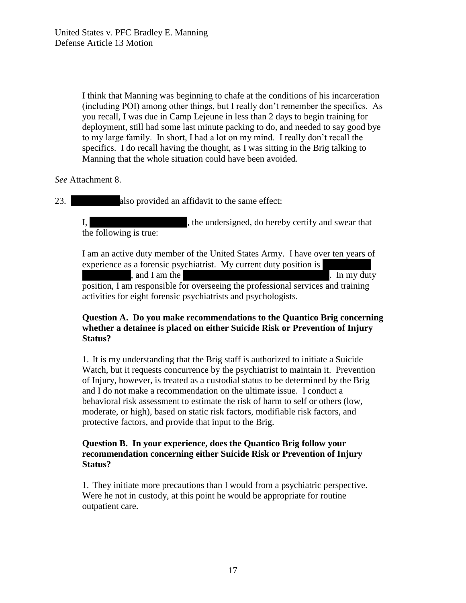I think that Manning was beginning to chafe at the conditions of his incarceration (including POI) among other things, but I really don't remember the specifics. As you recall, I was due in Camp Lejeune in less than 2 days to begin training for deployment, still had some last minute packing to do, and needed to say good bye to my large family. In short, I had a lot on my mind. I really don't recall the specifics. I do recall having the thought, as I was sitting in the Brig talking to Manning that the whole situation could have been avoided.

*See* Attachment 8.

23. \*\*\*\*also provided an affidavit to the same effect:

I, the undersigned, do hereby certify and swear that the following is true:

I am an active duty member of the United States Army. I have over ten years of experience as a forensic psychiatrist. My current duty position is \*\*Redacted\*\*, and I am the \*\*Redacted\*\*\*\*Redacted\*\*\*\*Redacted\*\*. In my duty position, I am responsible for overseeing the professional services and training activities for eight forensic psychiatrists and psychologists.

# **Question A. Do you make recommendations to the Quantico Brig concerning whether a detainee is placed on either Suicide Risk or Prevention of Injury Status?**

1. It is my understanding that the Brig staff is authorized to initiate a Suicide Watch, but it requests concurrence by the psychiatrist to maintain it. Prevention of Injury, however, is treated as a custodial status to be determined by the Brig and I do not make a recommendation on the ultimate issue. I conduct a behavioral risk assessment to estimate the risk of harm to self or others (low, moderate, or high), based on static risk factors, modifiable risk factors, and protective factors, and provide that input to the Brig.

# **Question B. In your experience, does the Quantico Brig follow your recommendation concerning either Suicide Risk or Prevention of Injury Status?**

1. They initiate more precautions than I would from a psychiatric perspective. Were he not in custody, at this point he would be appropriate for routine outpatient care.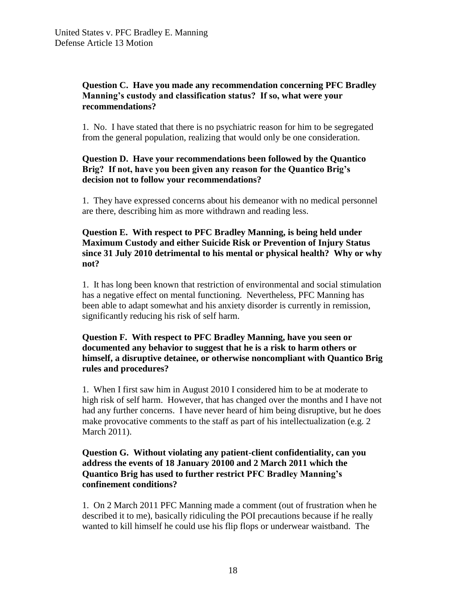#### **Question C. Have you made any recommendation concerning PFC Bradley Manning's custody and classification status? If so, what were your recommendations?**

1. No. I have stated that there is no psychiatric reason for him to be segregated from the general population, realizing that would only be one consideration.

#### **Question D. Have your recommendations been followed by the Quantico Brig? If not, have you been given any reason for the Quantico Brig's decision not to follow your recommendations?**

1. They have expressed concerns about his demeanor with no medical personnel are there, describing him as more withdrawn and reading less.

#### **Question E. With respect to PFC Bradley Manning, is being held under Maximum Custody and either Suicide Risk or Prevention of Injury Status since 31 July 2010 detrimental to his mental or physical health? Why or why not?**

1. It has long been known that restriction of environmental and social stimulation has a negative effect on mental functioning. Nevertheless, PFC Manning has been able to adapt somewhat and his anxiety disorder is currently in remission, significantly reducing his risk of self harm.

#### **Question F. With respect to PFC Bradley Manning, have you seen or documented any behavior to suggest that he is a risk to harm others or himself, a disruptive detainee, or otherwise noncompliant with Quantico Brig rules and procedures?**

1. When I first saw him in August 2010 I considered him to be at moderate to high risk of self harm. However, that has changed over the months and I have not had any further concerns. I have never heard of him being disruptive, but he does make provocative comments to the staff as part of his intellectualization (e.g. 2 March 2011).

#### **Question G. Without violating any patient-client confidentiality, can you address the events of 18 January 20100 and 2 March 2011 which the Quantico Brig has used to further restrict PFC Bradley Manning's confinement conditions?**

1. On 2 March 2011 PFC Manning made a comment (out of frustration when he described it to me), basically ridiculing the POI precautions because if he really wanted to kill himself he could use his flip flops or underwear waistband. The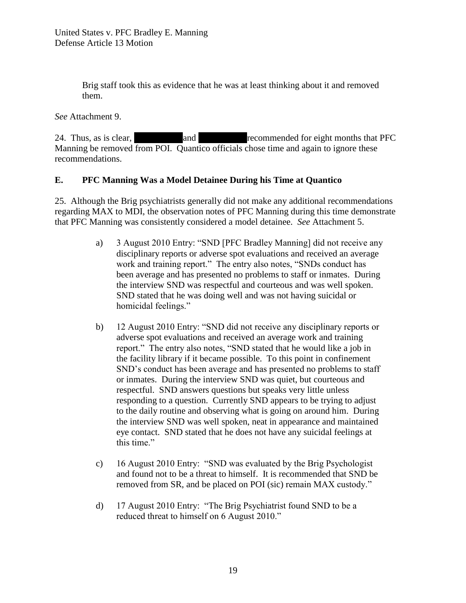Brig staff took this as evidence that he was at least thinking about it and removed them.

*See* Attachment 9.

24. Thus, as is clear, \*\*Redacted\*\*and \*\*Redacted\*\*recommended for eight months that PFC Manning be removed from POI. Quantico officials chose time and again to ignore these recommendations.

# **E. PFC Manning Was a Model Detainee During his Time at Quantico**

25. Although the Brig psychiatrists generally did not make any additional recommendations regarding MAX to MDI, the observation notes of PFC Manning during this time demonstrate that PFC Manning was consistently considered a model detainee. *See* Attachment 5.

- a) 3 August 2010 Entry: "SND [PFC Bradley Manning] did not receive any disciplinary reports or adverse spot evaluations and received an average work and training report." The entry also notes, "SNDs conduct has been average and has presented no problems to staff or inmates. During the interview SND was respectful and courteous and was well spoken. SND stated that he was doing well and was not having suicidal or homicidal feelings."
- b) 12 August 2010 Entry: "SND did not receive any disciplinary reports or adverse spot evaluations and received an average work and training report." The entry also notes, "SND stated that he would like a job in the facility library if it became possible. To this point in confinement SND's conduct has been average and has presented no problems to staff or inmates. During the interview SND was quiet, but courteous and respectful. SND answers questions but speaks very little unless responding to a question. Currently SND appears to be trying to adjust to the daily routine and observing what is going on around him. During the interview SND was well spoken, neat in appearance and maintained eye contact. SND stated that he does not have any suicidal feelings at this time."
- c) 16 August 2010 Entry: "SND was evaluated by the Brig Psychologist and found not to be a threat to himself. It is recommended that SND be removed from SR, and be placed on POI (sic) remain MAX custody."
- d) 17 August 2010 Entry: "The Brig Psychiatrist found SND to be a reduced threat to himself on 6 August 2010."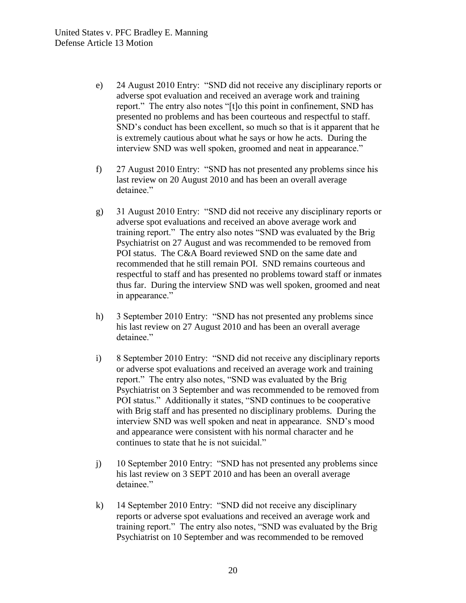- e) 24 August 2010 Entry: "SND did not receive any disciplinary reports or adverse spot evaluation and received an average work and training report." The entry also notes "[t]o this point in confinement, SND has presented no problems and has been courteous and respectful to staff. SND's conduct has been excellent, so much so that is it apparent that he is extremely cautious about what he says or how he acts. During the interview SND was well spoken, groomed and neat in appearance."
- f) 27 August 2010 Entry: "SND has not presented any problems since his last review on 20 August 2010 and has been an overall average detainee."
- g) 31 August 2010 Entry: "SND did not receive any disciplinary reports or adverse spot evaluations and received an above average work and training report." The entry also notes "SND was evaluated by the Brig Psychiatrist on 27 August and was recommended to be removed from POI status. The C&A Board reviewed SND on the same date and recommended that he still remain POI. SND remains courteous and respectful to staff and has presented no problems toward staff or inmates thus far. During the interview SND was well spoken, groomed and neat in appearance."
- h) 3 September 2010 Entry: "SND has not presented any problems since his last review on 27 August 2010 and has been an overall average detainee."
- i) 8 September 2010 Entry: "SND did not receive any disciplinary reports or adverse spot evaluations and received an average work and training report." The entry also notes, "SND was evaluated by the Brig Psychiatrist on 3 September and was recommended to be removed from POI status." Additionally it states, "SND continues to be cooperative with Brig staff and has presented no disciplinary problems. During the interview SND was well spoken and neat in appearance. SND's mood and appearance were consistent with his normal character and he continues to state that he is not suicidal."
- j) 10 September 2010 Entry: "SND has not presented any problems since his last review on 3 SEPT 2010 and has been an overall average detainee."
- k) 14 September 2010 Entry: "SND did not receive any disciplinary reports or adverse spot evaluations and received an average work and training report." The entry also notes, "SND was evaluated by the Brig Psychiatrist on 10 September and was recommended to be removed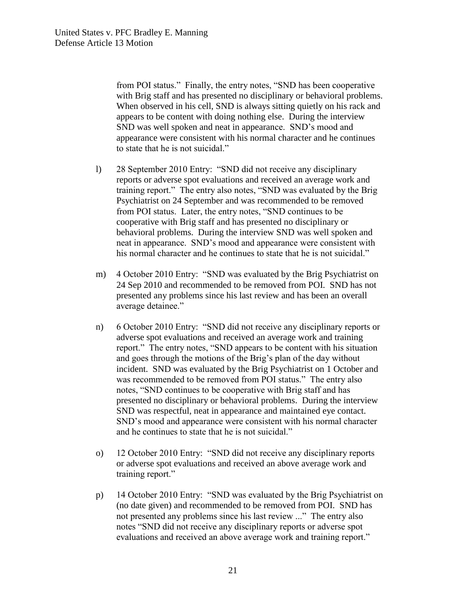from POI status." Finally, the entry notes, "SND has been cooperative with Brig staff and has presented no disciplinary or behavioral problems. When observed in his cell, SND is always sitting quietly on his rack and appears to be content with doing nothing else. During the interview SND was well spoken and neat in appearance. SND's mood and appearance were consistent with his normal character and he continues to state that he is not suicidal."

- l) 28 September 2010 Entry: "SND did not receive any disciplinary reports or adverse spot evaluations and received an average work and training report." The entry also notes, "SND was evaluated by the Brig Psychiatrist on 24 September and was recommended to be removed from POI status. Later, the entry notes, "SND continues to be cooperative with Brig staff and has presented no disciplinary or behavioral problems. During the interview SND was well spoken and neat in appearance. SND's mood and appearance were consistent with his normal character and he continues to state that he is not suicidal."
- m) 4 October 2010 Entry: "SND was evaluated by the Brig Psychiatrist on 24 Sep 2010 and recommended to be removed from POI. SND has not presented any problems since his last review and has been an overall average detainee."
- n) 6 October 2010 Entry: "SND did not receive any disciplinary reports or adverse spot evaluations and received an average work and training report." The entry notes, "SND appears to be content with his situation and goes through the motions of the Brig's plan of the day without incident. SND was evaluated by the Brig Psychiatrist on 1 October and was recommended to be removed from POI status." The entry also notes, "SND continues to be cooperative with Brig staff and has presented no disciplinary or behavioral problems. During the interview SND was respectful, neat in appearance and maintained eye contact. SND's mood and appearance were consistent with his normal character and he continues to state that he is not suicidal."
- o) 12 October 2010 Entry: "SND did not receive any disciplinary reports or adverse spot evaluations and received an above average work and training report."
- p) 14 October 2010 Entry: "SND was evaluated by the Brig Psychiatrist on (no date given) and recommended to be removed from POI. SND has not presented any problems since his last review ..." The entry also notes "SND did not receive any disciplinary reports or adverse spot evaluations and received an above average work and training report."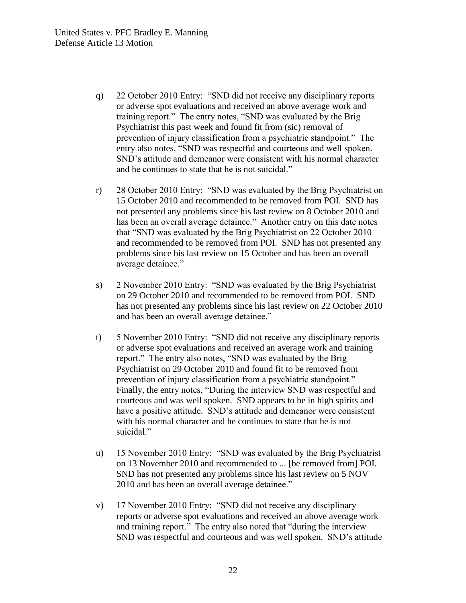- q) 22 October 2010 Entry: "SND did not receive any disciplinary reports or adverse spot evaluations and received an above average work and training report." The entry notes, "SND was evaluated by the Brig Psychiatrist this past week and found fit from (sic) removal of prevention of injury classification from a psychiatric standpoint." The entry also notes, "SND was respectful and courteous and well spoken. SND's attitude and demeanor were consistent with his normal character and he continues to state that he is not suicidal."
- r) 28 October 2010 Entry: "SND was evaluated by the Brig Psychiatrist on 15 October 2010 and recommended to be removed from POI. SND has not presented any problems since his last review on 8 October 2010 and has been an overall average detainee." Another entry on this date notes that "SND was evaluated by the Brig Psychiatrist on 22 October 2010 and recommended to be removed from POI. SND has not presented any problems since his last review on 15 October and has been an overall average detainee."
- s) 2 November 2010 Entry: "SND was evaluated by the Brig Psychiatrist on 29 October 2010 and recommended to be removed from POI. SND has not presented any problems since his last review on 22 October 2010 and has been an overall average detainee."
- t) 5 November 2010 Entry: "SND did not receive any disciplinary reports or adverse spot evaluations and received an average work and training report." The entry also notes, "SND was evaluated by the Brig Psychiatrist on 29 October 2010 and found fit to be removed from prevention of injury classification from a psychiatric standpoint." Finally, the entry notes, "During the interview SND was respectful and courteous and was well spoken. SND appears to be in high spirits and have a positive attitude. SND's attitude and demeanor were consistent with his normal character and he continues to state that he is not suicidal."
- u) 15 November 2010 Entry: "SND was evaluated by the Brig Psychiatrist on 13 November 2010 and recommended to ... [be removed from] POI. SND has not presented any problems since his last review on 5 NOV 2010 and has been an overall average detainee."
- v) 17 November 2010 Entry: "SND did not receive any disciplinary reports or adverse spot evaluations and received an above average work and training report." The entry also noted that "during the interview SND was respectful and courteous and was well spoken. SND's attitude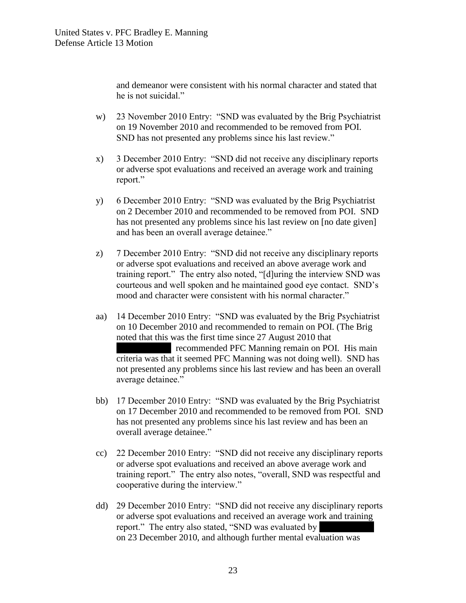and demeanor were consistent with his normal character and stated that he is not suicidal."

- w) 23 November 2010 Entry: "SND was evaluated by the Brig Psychiatrist on 19 November 2010 and recommended to be removed from POI. SND has not presented any problems since his last review."
- x) 3 December 2010 Entry: "SND did not receive any disciplinary reports or adverse spot evaluations and received an average work and training report."
- y) 6 December 2010 Entry: "SND was evaluated by the Brig Psychiatrist on 2 December 2010 and recommended to be removed from POI. SND has not presented any problems since his last review on [no date given] and has been an overall average detainee."
- z) 7 December 2010 Entry: "SND did not receive any disciplinary reports or adverse spot evaluations and received an above average work and training report." The entry also noted, "[d]uring the interview SND was courteous and well spoken and he maintained good eye contact. SND's mood and character were consistent with his normal character."
- aa) 14 December 2010 Entry: "SND was evaluated by the Brig Psychiatrist on 10 December 2010 and recommended to remain on POI. (The Brig noted that this was the first time since 27 August 2010 that recommended PFC Manning remain on POI. His main criteria was that it seemed PFC Manning was not doing well). SND has not presented any problems since his last review and has been an overall average detainee."
- bb) 17 December 2010 Entry: "SND was evaluated by the Brig Psychiatrist on 17 December 2010 and recommended to be removed from POI. SND has not presented any problems since his last review and has been an overall average detainee."
- cc) 22 December 2010 Entry: "SND did not receive any disciplinary reports or adverse spot evaluations and received an above average work and training report." The entry also notes, "overall, SND was respectful and cooperative during the interview."
- dd) 29 December 2010 Entry: "SND did not receive any disciplinary reports or adverse spot evaluations and received an average work and training report." The entry also stated, "SND was evaluated by on 23 December 2010, and although further mental evaluation was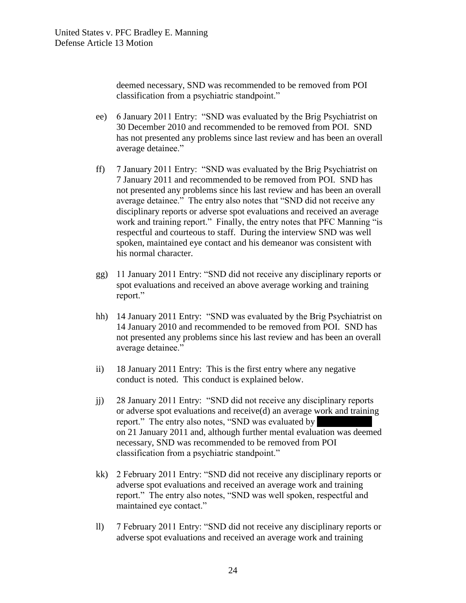deemed necessary, SND was recommended to be removed from POI classification from a psychiatric standpoint."

- ee) 6 January 2011 Entry: "SND was evaluated by the Brig Psychiatrist on 30 December 2010 and recommended to be removed from POI. SND has not presented any problems since last review and has been an overall average detainee."
- ff) 7 January 2011 Entry: "SND was evaluated by the Brig Psychiatrist on 7 January 2011 and recommended to be removed from POI. SND has not presented any problems since his last review and has been an overall average detainee." The entry also notes that "SND did not receive any disciplinary reports or adverse spot evaluations and received an average work and training report." Finally, the entry notes that PFC Manning "is respectful and courteous to staff. During the interview SND was well spoken, maintained eye contact and his demeanor was consistent with his normal character.
- gg) 11 January 2011 Entry: "SND did not receive any disciplinary reports or spot evaluations and received an above average working and training report."
- hh) 14 January 2011 Entry: "SND was evaluated by the Brig Psychiatrist on 14 January 2010 and recommended to be removed from POI. SND has not presented any problems since his last review and has been an overall average detainee."
- ii) 18 January 2011 Entry: This is the first entry where any negative conduct is noted. This conduct is explained below.
- jj) 28 January 2011 Entry: "SND did not receive any disciplinary reports or adverse spot evaluations and receive(d) an average work and training report." The entry also notes, "SND was evaluated by on 21 January 2011 and, although further mental evaluation was deemed necessary, SND was recommended to be removed from POI classification from a psychiatric standpoint."
- kk) 2 February 2011 Entry: "SND did not receive any disciplinary reports or adverse spot evaluations and received an average work and training report." The entry also notes, "SND was well spoken, respectful and maintained eye contact."
- ll) 7 February 2011 Entry: "SND did not receive any disciplinary reports or adverse spot evaluations and received an average work and training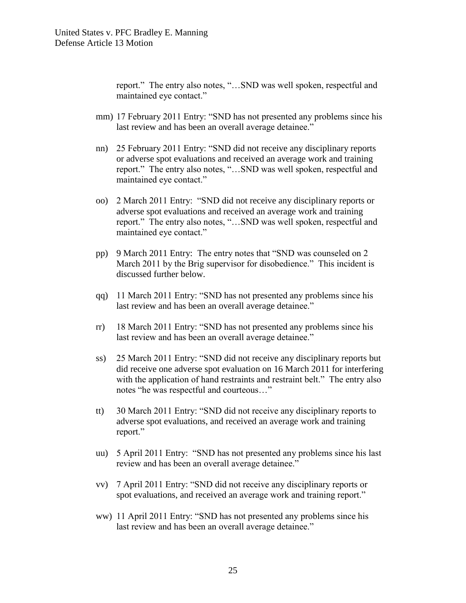report." The entry also notes, "…SND was well spoken, respectful and maintained eye contact."

- mm) 17 February 2011 Entry: "SND has not presented any problems since his last review and has been an overall average detainee."
- nn) 25 February 2011 Entry: "SND did not receive any disciplinary reports or adverse spot evaluations and received an average work and training report." The entry also notes, "…SND was well spoken, respectful and maintained eye contact."
- oo) 2 March 2011 Entry: "SND did not receive any disciplinary reports or adverse spot evaluations and received an average work and training report." The entry also notes, "…SND was well spoken, respectful and maintained eye contact."
- pp) 9 March 2011 Entry: The entry notes that "SND was counseled on 2 March 2011 by the Brig supervisor for disobedience." This incident is discussed further below.
- qq) 11 March 2011 Entry: "SND has not presented any problems since his last review and has been an overall average detainee."
- rr) 18 March 2011 Entry: "SND has not presented any problems since his last review and has been an overall average detainee."
- ss) 25 March 2011 Entry: "SND did not receive any disciplinary reports but did receive one adverse spot evaluation on 16 March 2011 for interfering with the application of hand restraints and restraint belt." The entry also notes "he was respectful and courteous…"
- tt) 30 March 2011 Entry: "SND did not receive any disciplinary reports to adverse spot evaluations, and received an average work and training report."
- uu) 5 April 2011 Entry: "SND has not presented any problems since his last review and has been an overall average detainee."
- vv) 7 April 2011 Entry: "SND did not receive any disciplinary reports or spot evaluations, and received an average work and training report."
- ww) 11 April 2011 Entry: "SND has not presented any problems since his last review and has been an overall average detainee."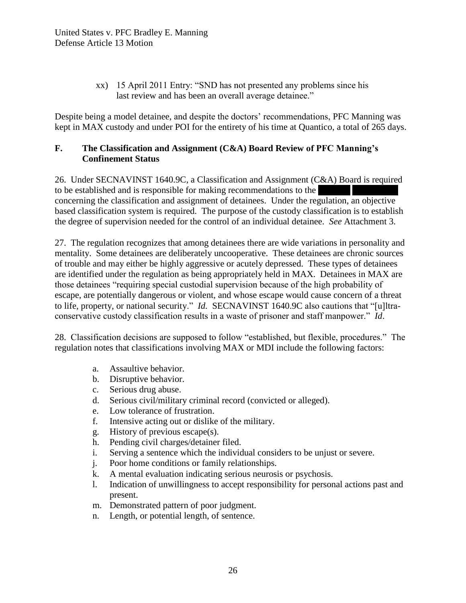xx) 15 April 2011 Entry: "SND has not presented any problems since his last review and has been an overall average detainee."

Despite being a model detainee, and despite the doctors' recommendations, PFC Manning was kept in MAX custody and under POI for the entirety of his time at Quantico, a total of 265 days.

# **F. The Classification and Assignment (C&A) Board Review of PFC Manning's Confinement Status**

26. Under SECNAVINST 1640.9C, a Classification and Assignment (C&A) Board is required to be established and is responsible for making recommendations to the concerning the classification and assignment of detainees. Under the regulation, an objective based classification system is required. The purpose of the custody classification is to establish the degree of supervision needed for the control of an individual detainee. *See* Attachment 3.

27. The regulation recognizes that among detainees there are wide variations in personality and mentality. Some detainees are deliberately uncooperative. These detainees are chronic sources of trouble and may either be highly aggressive or acutely depressed. These types of detainees are identified under the regulation as being appropriately held in MAX. Detainees in MAX are those detainees "requiring special custodial supervision because of the high probability of escape, are potentially dangerous or violent, and whose escape would cause concern of a threat to life, property, or national security." *Id.* SECNAVINST 1640.9C also cautions that "[u]ltraconservative custody classification results in a waste of prisoner and staff manpower." *Id*.

28. Classification decisions are supposed to follow "established, but flexible, procedures." The regulation notes that classifications involving MAX or MDI include the following factors:

- a. Assaultive behavior.
- b. Disruptive behavior.
- c. Serious drug abuse.
- d. Serious civil/military criminal record (convicted or alleged).
- e. Low tolerance of frustration.
- f. Intensive acting out or dislike of the military.
- g. History of previous escape(s).
- h. Pending civil charges/detainer filed.
- i. Serving a sentence which the individual considers to be unjust or severe.
- j. Poor home conditions or family relationships.
- k. A mental evaluation indicating serious neurosis or psychosis.
- l. Indication of unwillingness to accept responsibility for personal actions past and present.
- m. Demonstrated pattern of poor judgment.
- n. Length, or potential length, of sentence.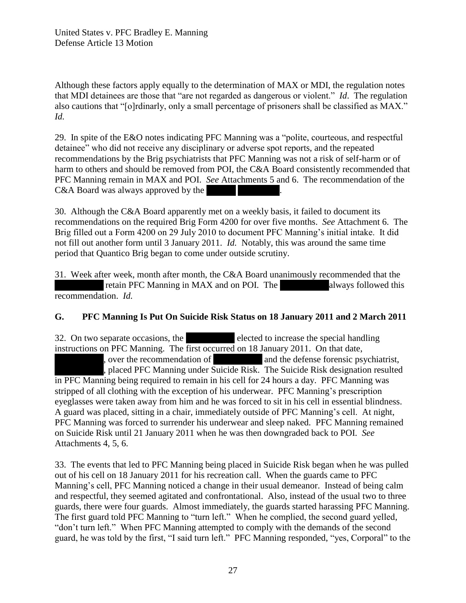United States v. PFC Bradley E. Manning Defense Article 13 Motion

Although these factors apply equally to the determination of MAX or MDI, the regulation notes that MDI detainees are those that "are not regarded as dangerous or violent." *Id*. The regulation also cautions that "[o]rdinarly, only a small percentage of prisoners shall be classified as MAX." *Id.*

29. In spite of the E&O notes indicating PFC Manning was a "polite, courteous, and respectful detainee" who did not receive any disciplinary or adverse spot reports, and the repeated recommendations by the Brig psychiatrists that PFC Manning was not a risk of self-harm or of harm to others and should be removed from POI, the C&A Board consistently recommended that PFC Manning remain in MAX and POI. *See* Attachments 5 and 6. The recommendation of the C&A Board was always approved by the

30. Although the C&A Board apparently met on a weekly basis, it failed to document its recommendations on the required Brig Form 4200 for over five months. *See* Attachment 6. The Brig filled out a Form 4200 on 29 July 2010 to document PFC Manning's initial intake. It did not fill out another form until 3 January 2011. *Id.* Notably, this was around the same time period that Quantico Brig began to come under outside scrutiny.

31. Week after week, month after month, the C&A Board unanimously recommended that the retain PFC Manning in MAX and on POI. The \*\*\*\* always followed this recommendation. *Id.*

# **G. PFC Manning Is Put On Suicide Risk Status on 18 January 2011 and 2 March 2011**

32. On two separate occasions, the \*\*\*\* elected to increase the special handling instructions on PFC Manning. The first occurred on 18 January 2011. On that date,  $k$ , over the recommendation of  $k$  and the defense forensic psychiatrist,  $*$ , placed PFC Manning under Suicide Risk. The Suicide Risk designation resulted in PFC Manning being required to remain in his cell for 24 hours a day. PFC Manning was stripped of all clothing with the exception of his underwear. PFC Manning's prescription eyeglasses were taken away from him and he was forced to sit in his cell in essential blindness. A guard was placed, sitting in a chair, immediately outside of PFC Manning's cell. At night, PFC Manning was forced to surrender his underwear and sleep naked. PFC Manning remained on Suicide Risk until 21 January 2011 when he was then downgraded back to POI. *See*  Attachments 4, 5, 6.

33. The events that led to PFC Manning being placed in Suicide Risk began when he was pulled out of his cell on 18 January 2011 for his recreation call. When the guards came to PFC Manning's cell, PFC Manning noticed a change in their usual demeanor. Instead of being calm and respectful, they seemed agitated and confrontational. Also, instead of the usual two to three guards, there were four guards. Almost immediately, the guards started harassing PFC Manning. The first guard told PFC Manning to "turn left." When he complied, the second guard yelled, "don't turn left." When PFC Manning attempted to comply with the demands of the second guard, he was told by the first, "I said turn left." PFC Manning responded, "yes, Corporal" to the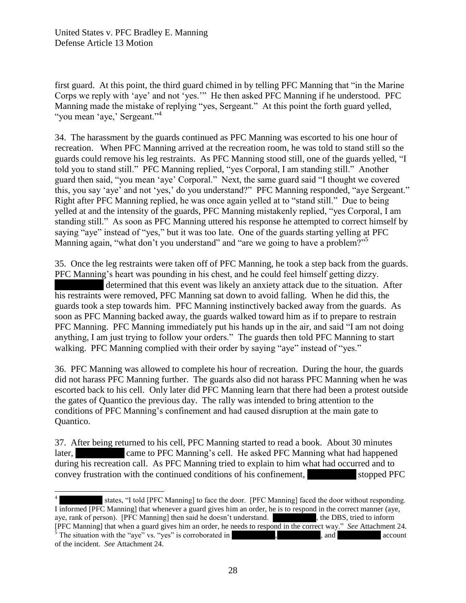first guard. At this point, the third guard chimed in by telling PFC Manning that "in the Marine Corps we reply with 'aye' and not 'yes.'" He then asked PFC Manning if he understood. PFC Manning made the mistake of replying "yes, Sergeant." At this point the forth guard yelled, "you mean 'aye,' Sergeant."<sup>4</sup>

34. The harassment by the guards continued as PFC Manning was escorted to his one hour of recreation. When PFC Manning arrived at the recreation room, he was told to stand still so the guards could remove his leg restraints. As PFC Manning stood still, one of the guards yelled, "I told you to stand still." PFC Manning replied, "yes Corporal, I am standing still." Another guard then said, "you mean 'aye' Corporal." Next, the same guard said "I thought we covered this, you say 'aye' and not 'yes,' do you understand?" PFC Manning responded, "aye Sergeant." Right after PFC Manning replied, he was once again yelled at to "stand still." Due to being yelled at and the intensity of the guards, PFC Manning mistakenly replied, "yes Corporal, I am standing still." As soon as PFC Manning uttered his response he attempted to correct himself by saying "aye" instead of "yes," but it was too late. One of the guards starting yelling at PFC Manning again, "what don't you understand" and "are we going to have a problem?"<sup>5</sup>

35. Once the leg restraints were taken off of PFC Manning, he took a step back from the guards. PFC Manning's heart was pounding in his chest, and he could feel himself getting dizzy. determined that this event was likely an anxiety attack due to the situation. After his restraints were removed, PFC Manning sat down to avoid falling. When he did this, the guards took a step towards him. PFC Manning instinctively backed away from the guards. As soon as PFC Manning backed away, the guards walked toward him as if to prepare to restrain PFC Manning. PFC Manning immediately put his hands up in the air, and said "I am not doing anything, I am just trying to follow your orders." The guards then told PFC Manning to start walking. PFC Manning complied with their order by saying "aye" instead of "yes."

36. PFC Manning was allowed to complete his hour of recreation. During the hour, the guards did not harass PFC Manning further. The guards also did not harass PFC Manning when he was escorted back to his cell. Only later did PFC Manning learn that there had been a protest outside the gates of Quantico the previous day. The rally was intended to bring attention to the conditions of PFC Manning's confinement and had caused disruption at the main gate to Quantico.

37. After being returned to his cell, PFC Manning started to read a book. About 30 minutes later, \*\*\*\* came to PFC Manning's cell. He asked PFC Manning what had happened during his recreation call. As PFC Manning tried to explain to him what had occurred and to convey frustration with the continued conditions of his confinement.  $\blacksquare$  stopped PFC

 $\overline{a}$ 4 states, "I told [PFC Manning] to face the door. [PFC Manning] faced the door without responding. I informed [PFC Manning] that whenever a guard gives him an order, he is to respond in the correct manner (aye, aye, rank of person). [PFC Manning] then said he doesn't understand.  $\blacksquare$ , the DBS, tried to inform [PFC Manning] that when a guard gives him an order, he needs to respond in the correct way." *See* Attachment 24.  $\frac{5}{5}$  The situation with the "aye" vs. "yes" is corroborated in  $\frac{5}{2}$ , and  $\frac{2}{3}$  account of the incident. *See* Attachment 24.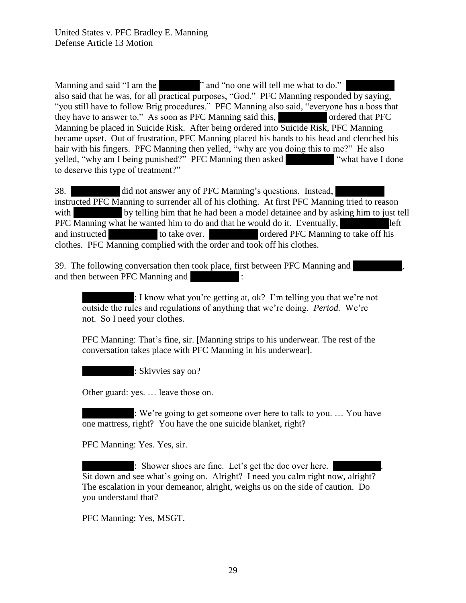Manning and said "I am the \*\*\*\*\*\*\*\*\*" and "no one will tell me what to do." \*\*Redacted\*\* also said that he was, for all practical purposes, "God." PFC Manning responded by saying, "you still have to follow Brig procedures." PFC Manning also said, "everyone has a boss that they have to answer to." As soon as PFC Manning said this,  $\blacksquare$  ordered that PFC Manning be placed in Suicide Risk. After being ordered into Suicide Risk, PFC Manning became upset. Out of frustration, PFC Manning placed his hands to his head and clenched his hair with his fingers. PFC Manning then yelled, "why are you doing this to me?" He also yelled, "why am I being punished?" PFC Manning then asked \*\*\*\* "what have I done" to deserve this type of treatment?"

38. \*\*\* did not answer any of PFC Manning's questions. Instead, \*\* instructed PFC Manning to surrender all of his clothing. At first PFC Manning tried to reason with the by telling him that he had been a model detainee and by asking him to just tell PFC Manning what he wanted him to do and that he would do it. Eventually, and instructed to take over. \*\*\*\* ordered PFC Manning to take off his clothes. PFC Manning complied with the order and took off his clothes.

39. The following conversation then took place, first between PFC Manning and and then between PFC Manning and

: I know what you're getting at, ok? I'm telling you that we're not outside the rules and regulations of anything that we're doing. *Period.* We're not. So I need your clothes.

PFC Manning: That's fine, sir. [Manning strips to his underwear. The rest of the conversation takes place with PFC Manning in his underwear].

: Skivvies say on?

Other guard: yes. … leave those on.

: We're going to get someone over here to talk to you.  $\ldots$  You have one mattress, right? You have the one suicide blanket, right?

PFC Manning: Yes. Yes, sir.

 $\therefore$  Shower shoes are fine. Let's get the doc over here. Sit down and see what's going on. Alright? I need you calm right now, alright? The escalation in your demeanor, alright, weighs us on the side of caution. Do you understand that?

PFC Manning: Yes, MSGT.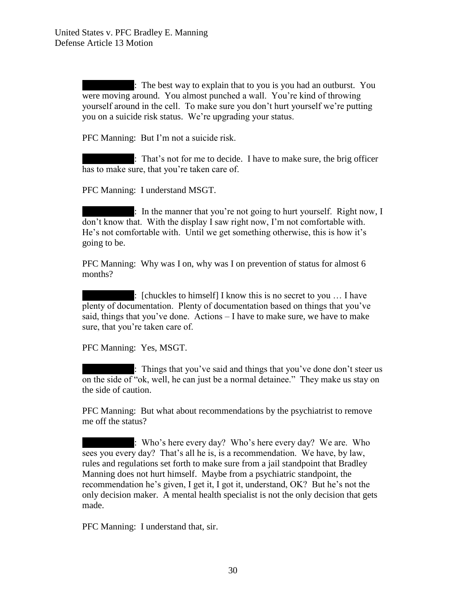: The best way to explain that to you is you had an outburst. You were moving around. You almost punched a wall. You're kind of throwing yourself around in the cell. To make sure you don't hurt yourself we're putting you on a suicide risk status. We're upgrading your status.

PFC Manning: But I'm not a suicide risk.

: That's not for me to decide. I have to make sure, the brig officer has to make sure, that you're taken care of.

PFC Manning: I understand MSGT.

: In the manner that you're not going to hurt yourself. Right now, I don't know that. With the display I saw right now, I'm not comfortable with. He's not comfortable with. Until we get something otherwise, this is how it's going to be.

PFC Manning: Why was I on, why was I on prevention of status for almost 6 months?

: [chuckles to himself] I know this is no secret to you  $\dots$  I have plenty of documentation. Plenty of documentation based on things that you've said, things that you've done. Actions – I have to make sure, we have to make sure, that you're taken care of.

PFC Manning: Yes, MSGT.

 $\therefore$  Things that you've said and things that you've done don't steer us on the side of "ok, well, he can just be a normal detainee." They make us stay on the side of caution.

PFC Manning: But what about recommendations by the psychiatrist to remove me off the status?

: Who's here every day? Who's here every day? We are. Who sees you every day? That's all he is, is a recommendation. We have, by law, rules and regulations set forth to make sure from a jail standpoint that Bradley Manning does not hurt himself. Maybe from a psychiatric standpoint, the recommendation he's given, I get it, I got it, understand, OK? But he's not the only decision maker. A mental health specialist is not the only decision that gets made.

PFC Manning: I understand that, sir.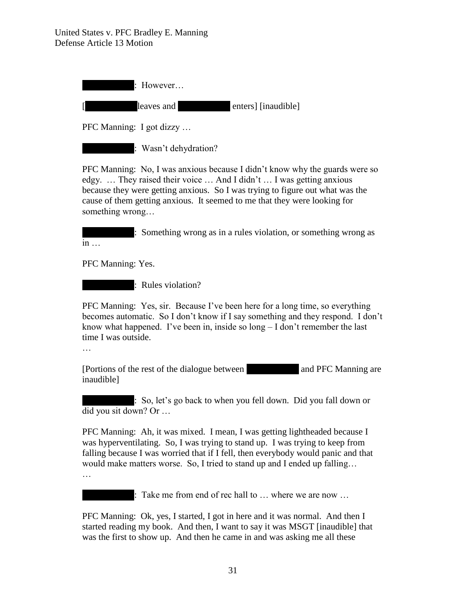$:$  However… leaves and \*\*\*

PFC Manning: I got dizzy …

: Wasn't dehydration?

PFC Manning: No, I was anxious because I didn't know why the guards were so edgy. … They raised their voice … And I didn't … I was getting anxious because they were getting anxious. So I was trying to figure out what was the cause of them getting anxious. It seemed to me that they were looking for something wrong…

: Something wrong as in a rules violation, or something wrong as in …

PFC Manning: Yes.

: Rules violation?

PFC Manning: Yes, sir. Because I've been here for a long time, so everything becomes automatic. So I don't know if I say something and they respond. I don't know what happened. I've been in, inside so long – I don't remember the last time I was outside.

…

[Portions of the rest of the dialogue between  $\blacksquare$  and PFC Manning are inaudible]

: So, let's go back to when you fell down. Did you fall down or did you sit down? Or …

PFC Manning: Ah, it was mixed. I mean, I was getting lightheaded because I was hyperventilating. So, I was trying to stand up. I was trying to keep from falling because I was worried that if I fell, then everybody would panic and that would make matters worse. So, I tried to stand up and I ended up falling… …

: Take me from end of rec hall to  $\ldots$  where we are now  $\ldots$ 

PFC Manning: Ok, yes, I started, I got in here and it was normal. And then I started reading my book. And then, I want to say it was MSGT [inaudible] that was the first to show up. And then he came in and was asking me all these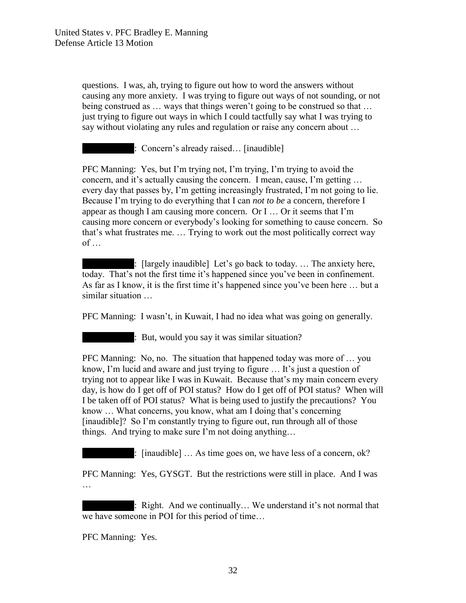questions. I was, ah, trying to figure out how to word the answers without causing any more anxiety. I was trying to figure out ways of not sounding, or not being construed as … ways that things weren't going to be construed so that … just trying to figure out ways in which I could tactfully say what I was trying to say without violating any rules and regulation or raise any concern about …

: Concern's already raised… [inaudible]

PFC Manning: Yes, but I'm trying not, I'm trying, I'm trying to avoid the concern, and it's actually causing the concern. I mean, cause, I'm getting … every day that passes by, I'm getting increasingly frustrated, I'm not going to lie. Because I'm trying to do everything that I can *not to be* a concern, therefore I appear as though I am causing more concern. Or I … Or it seems that I'm causing more concern or everybody's looking for something to cause concern. So that's what frustrates me. … Trying to work out the most politically correct way of …

: [largely inaudible] Let's go back to today.  $\ldots$  The anxiety here, today. That's not the first time it's happened since you've been in confinement. As far as I know, it is the first time it's happened since you've been here … but a similar situation …

PFC Manning: I wasn't, in Kuwait, I had no idea what was going on generally.

: But, would you say it was similar situation?

PFC Manning: No, no. The situation that happened today was more of … you know, I'm lucid and aware and just trying to figure … It's just a question of trying not to appear like I was in Kuwait. Because that's my main concern every day, is how do I get off of POI status? How do I get off of POI status? When will I be taken off of POI status? What is being used to justify the precautions? You know … What concerns, you know, what am I doing that's concerning [inaudible]? So I'm constantly trying to figure out, run through all of those things. And trying to make sure I'm not doing anything…

: [inaudible]  $\ldots$  As time goes on, we have less of a concern, ok?

PFC Manning: Yes, GYSGT. But the restrictions were still in place. And I was …

 $\therefore$  Right. And we continually... We understand it's not normal that we have someone in POI for this period of time…

PFC Manning: Yes.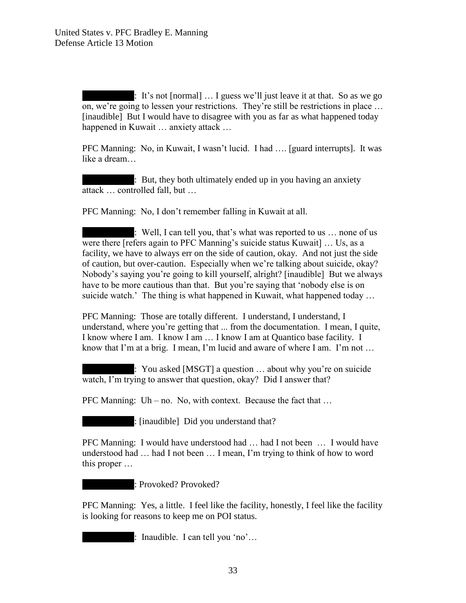: It's not [normal]  $\ldots$  I guess we'll just leave it at that. So as we go on, we're going to lessen your restrictions. They're still be restrictions in place … [inaudible] But I would have to disagree with you as far as what happened today happened in Kuwait … anxiety attack …

PFC Manning: No, in Kuwait, I wasn't lucid. I had …. [guard interrupts]. It was like a dream…

: But, they both ultimately ended up in you having an anxiety attack … controlled fall, but …

PFC Manning: No, I don't remember falling in Kuwait at all.

: Well, I can tell you, that's what was reported to us  $\ldots$  none of us were there [refers again to PFC Manning's suicide status Kuwait] … Us, as a facility, we have to always err on the side of caution, okay. And not just the side of caution, but over-caution. Especially when we're talking about suicide, okay? Nobody's saying you're going to kill yourself, alright? [inaudible] But we always have to be more cautious than that. But you're saying that 'nobody else is on suicide watch.' The thing is what happened in Kuwait, what happened today ...

PFC Manning: Those are totally different. I understand, I understand, I understand, where you're getting that ... from the documentation. I mean, I quite, I know where I am. I know I am … I know I am at Quantico base facility. I know that I'm at a brig. I mean, I'm lucid and aware of where I am. I'm not ...

 $\therefore$  You asked [MSGT] a question  $\ldots$  about why you're on suicide watch, I'm trying to answer that question, okay? Did I answer that?

PFC Manning:  $Uh - no$ . No, with context. Because the fact that ...

 $:$  [inaudible] Did you understand that?

PFC Manning: I would have understood had … had I not been … I would have understood had … had I not been … I mean, I'm trying to think of how to word this proper …

: Provoked? Provoked?

PFC Manning: Yes, a little. I feel like the facility, honestly, I feel like the facility is looking for reasons to keep me on POI status.

 $:$  Inaudible. I can tell you 'no'…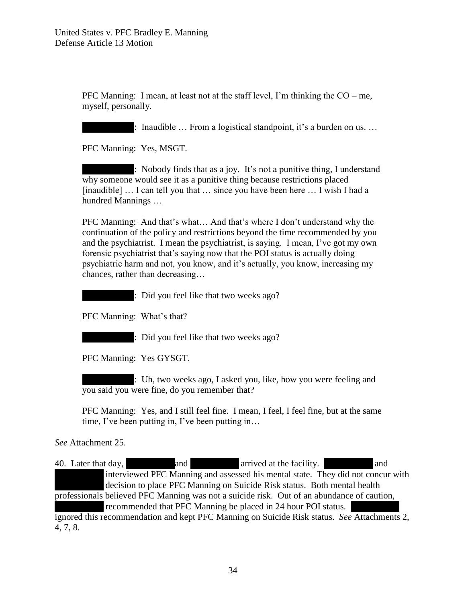PFC Manning: I mean, at least not at the staff level, I'm thinking the  $CO - me$ , myself, personally.

 $\therefore$  Inaudible  $\ldots$  From a logistical standpoint, it's a burden on us.  $\ldots$ 

PFC Manning: Yes, MSGT.

: Nobody finds that as a joy. It's not a punitive thing, I understand why someone would see it as a punitive thing because restrictions placed [inaudible] ... I can tell you that ... since you have been here ... I wish I had a hundred Mannings …

PFC Manning: And that's what… And that's where I don't understand why the continuation of the policy and restrictions beyond the time recommended by you and the psychiatrist. I mean the psychiatrist, is saying. I mean, I've got my own forensic psychiatrist that's saying now that the POI status is actually doing psychiatric harm and not, you know, and it's actually, you know, increasing my chances, rather than decreasing…

: Did you feel like that two weeks ago?

PFC Manning: What's that?

: Did you feel like that two weeks ago?

PFC Manning: Yes GYSGT.

: Uh, two weeks ago, I asked you, like, how you were feeling and you said you were fine, do you remember that?

PFC Manning: Yes, and I still feel fine. I mean, I feel, I feel fine, but at the same time, I've been putting in, I've been putting in…

*See* Attachment 25.

40. Later that day,  $\qquad \qquad \text{and} \qquad \qquad \text{arrived at the facility.}$ interviewed PFC Manning and assessed his mental state. They did not concur with decision to place PFC Manning on Suicide Risk status. Both mental health professionals believed PFC Manning was not a suicide risk. Out of an abundance of caution, recommended that PFC Manning be placed in 24 hour POI status. ignored this recommendation and kept PFC Manning on Suicide Risk status. *See* Attachments 2,

4, 7, 8.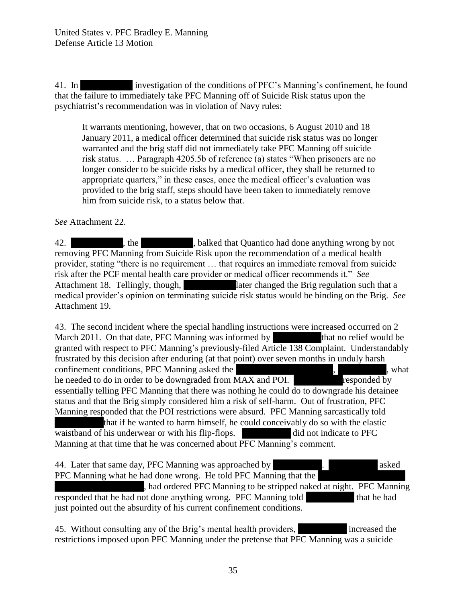41. In \*\*\* investigation of the conditions of PFC's Manning's confinement, he found that the failure to immediately take PFC Manning off of Suicide Risk status upon the psychiatrist's recommendation was in violation of Navy rules:

It warrants mentioning, however, that on two occasions, 6 August 2010 and 18 January 2011, a medical officer determined that suicide risk status was no longer warranted and the brig staff did not immediately take PFC Manning off suicide risk status. … Paragraph 4205.5b of reference (a) states "When prisoners are no longer consider to be suicide risks by a medical officer, they shall be returned to appropriate quarters," in these cases, once the medical officer's evaluation was provided to the brig staff, steps should have been taken to immediately remove him from suicide risk, to a status below that.

*See* Attachment 22.

42. **\*\*** the \*\*\*\*, balked that Quantico had done anything wrong by not removing PFC Manning from Suicide Risk upon the recommendation of a medical health provider, stating "there is no requirement … that requires an immediate removal from suicide risk after the PCF mental health care provider or medical officer recommends it." *See*  Attachment 18. Tellingly, though,  $\frac{1}{\text{later changed the Brig regulation such that a}}$ medical provider's opinion on terminating suicide risk status would be binding on the Brig. *See*  Attachment 19.

43. The second incident where the special handling instructions were increased occurred on 2 March 2011. On that date, PFC Manning was informed by that no relief would be granted with respect to PFC Manning's previously-filed Article 138 Complaint. Understandably frustrated by this decision after enduring (at that point) over seven months in unduly harsh confinement conditions, PFC Manning asked the \*\*\*\*\*\*\*. he needed to do in order to be downgraded from MAX and POI. The responded by essentially telling PFC Manning that there was nothing he could do to downgrade his detainee status and that the Brig simply considered him a risk of self-harm. Out of frustration, PFC Manning responded that the POI restrictions were absurd. PFC Manning sarcastically told that if he wanted to harm himself, he could conceivably do so with the elastic waistband of his underwear or with his flip-flops.  $\ddot{\text{did}}$  did not indicate to PFC Manning at that time that he was concerned about PFC Manning's comment.

44. Later that same day, PFC Manning was approached by  $\blacksquare$ . PFC Manning what he had done wrong. He told PFC Manning that the , had ordered PFC Manning to be stripped naked at night. PFC Manning responded that he had not done anything wrong. PFC Manning told  $\theta$  that he had just pointed out the absurdity of his current confinement conditions.

45. Without consulting any of the Brig's mental health providers, the increased the restrictions imposed upon PFC Manning under the pretense that PFC Manning was a suicide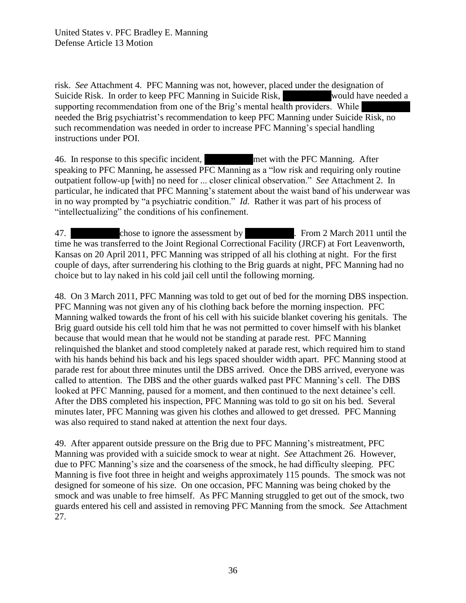risk. *See* Attachment 4. PFC Manning was not, however, placed under the designation of Suicide Risk. In order to keep PFC Manning in Suicide Risk, would have needed a supporting recommendation from one of the Brig's mental health providers. While needed the Brig psychiatrist's recommendation to keep PFC Manning under Suicide Risk, no such recommendation was needed in order to increase PFC Manning's special handling instructions under POI.

46. In response to this specific incident, the met with the PFC Manning. After speaking to PFC Manning, he assessed PFC Manning as a "low risk and requiring only routine outpatient follow-up [with] no need for ... closer clinical observation." *See* Attachment 2. In particular, he indicated that PFC Manning's statement about the waist band of his underwear was in no way prompted by "a psychiatric condition." *Id.* Rather it was part of his process of "intellectualizing" the conditions of his confinement.

47. https://enose.to ignore the assessment by the From 2 March 2011 until the chose to ignore the assessment by the From 2 March 2011 until the time he was transferred to the Joint Regional Correctional Facility (JRCF) at Fort Leavenworth, Kansas on 20 April 2011, PFC Manning was stripped of all his clothing at night. For the first couple of days, after surrendering his clothing to the Brig guards at night, PFC Manning had no choice but to lay naked in his cold jail cell until the following morning.

48. On 3 March 2011, PFC Manning was told to get out of bed for the morning DBS inspection. PFC Manning was not given any of his clothing back before the morning inspection. PFC Manning walked towards the front of his cell with his suicide blanket covering his genitals. The Brig guard outside his cell told him that he was not permitted to cover himself with his blanket because that would mean that he would not be standing at parade rest. PFC Manning relinquished the blanket and stood completely naked at parade rest, which required him to stand with his hands behind his back and his legs spaced shoulder width apart. PFC Manning stood at parade rest for about three minutes until the DBS arrived. Once the DBS arrived, everyone was called to attention. The DBS and the other guards walked past PFC Manning's cell. The DBS looked at PFC Manning, paused for a moment, and then continued to the next detainee's cell. After the DBS completed his inspection, PFC Manning was told to go sit on his bed. Several minutes later, PFC Manning was given his clothes and allowed to get dressed. PFC Manning was also required to stand naked at attention the next four days.

49. After apparent outside pressure on the Brig due to PFC Manning's mistreatment, PFC Manning was provided with a suicide smock to wear at night. *See* Attachment 26. However, due to PFC Manning's size and the coarseness of the smock, he had difficulty sleeping. PFC Manning is five foot three in height and weighs approximately 115 pounds. The smock was not designed for someone of his size. On one occasion, PFC Manning was being choked by the smock and was unable to free himself. As PFC Manning struggled to get out of the smock, two guards entered his cell and assisted in removing PFC Manning from the smock. *See* Attachment 27.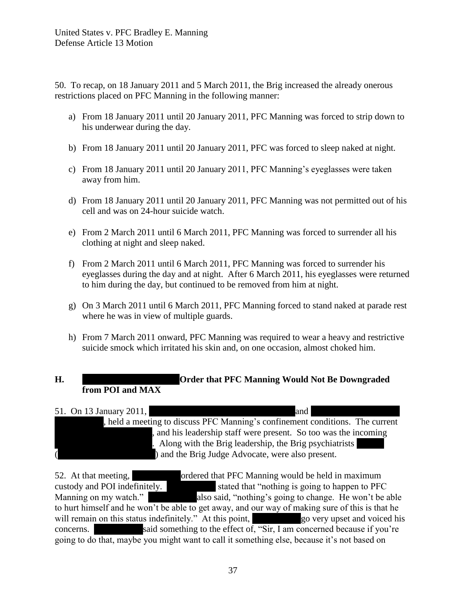50. To recap, on 18 January 2011 and 5 March 2011, the Brig increased the already onerous restrictions placed on PFC Manning in the following manner:

- a) From 18 January 2011 until 20 January 2011, PFC Manning was forced to strip down to his underwear during the day.
- b) From 18 January 2011 until 20 January 2011, PFC was forced to sleep naked at night.
- c) From 18 January 2011 until 20 January 2011, PFC Manning's eyeglasses were taken away from him.
- d) From 18 January 2011 until 20 January 2011, PFC Manning was not permitted out of his cell and was on 24-hour suicide watch.
- e) From 2 March 2011 until 6 March 2011, PFC Manning was forced to surrender all his clothing at night and sleep naked.
- f) From 2 March 2011 until 6 March 2011, PFC Manning was forced to surrender his eyeglasses during the day and at night. After 6 March 2011, his eyeglasses were returned to him during the day, but continued to be removed from him at night.
- g) On 3 March 2011 until 6 March 2011, PFC Manning forced to stand naked at parade rest where he was in view of multiple guards.
- h) From 7 March 2011 onward, PFC Manning was required to wear a heavy and restrictive suicide smock which irritated his skin and, on one occasion, almost choked him.

# **H. hetable of Order that PFC Manning Would Not Be Downgraded from POI and MAX**

51. On 13 January 2011,  $\qquad \qquad$  and  $\qquad \qquad$ , held a meeting to discuss PFC Manning's confinement conditions. The current , and his leadership staff were present. So too was the incoming . Along with the Brig leadership, the Brig psychiatrists  $\mathbf \epsilon$ ) and the Brig Judge Advocate, were also present.

52. At that meeting, state ordered that PFC Manning would be held in maximum custody and POI indefinitely.  $\blacksquare$  stated that "nothing is going to happen to PFC Eustody and POI indefinitely.<br>Manning on my watch." also said, "nothing's going to change. He won't be able to hurt himself and he won't be able to get away, and our way of making sure of this is that he will remain on this status indefinitely." At this point, see a go very upset and voiced his concerns.  $\frac{1}{\sqrt{R}}$  said something to the effect of, "Sir, I am concerned because if you're going to do that, maybe you might want to call it something else, because it's not based on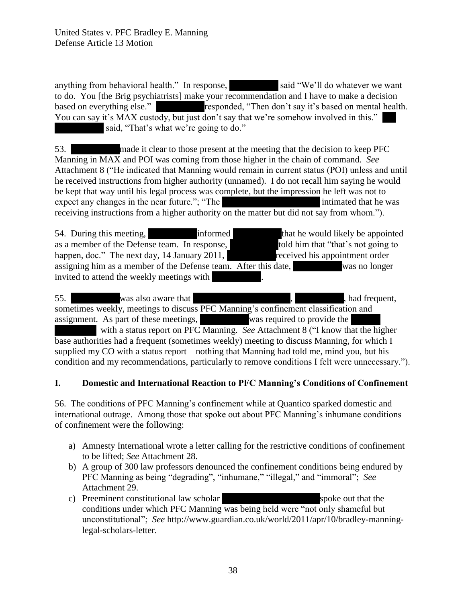anything from behavioral health." In response, said "We'll do whatever we want to do. You [the Brig psychiatrists] make your recommendation and I have to make a decision based on everything else." \*\*Redacted\*\*responded, "Then don't say it's based on mental health. You can say it's MAX custody, but just don't say that we're somehow involved in this." said, "That's what we're going to do."

53. \*\*Redacted\*\*made it clear to those present at the meeting that the decision to keep PFC Manning in MAX and POI was coming from those higher in the chain of command. *See*  Attachment 8 ("He indicated that Manning would remain in current status (POI) unless and until he received instructions from higher authority (unnamed). I do not recall him saying he would be kept that way until his legal process was complete, but the impression he left was not to expect any changes in the near future."; "The  $\blacksquare$  intimated that he was receiving instructions from a higher authority on the matter but did not say from whom.").

54. During this meeting,  $\frac{1}{R}$  informed that he would likely be appointed as a member of the Defense team. In response, \*\*Redacted\*\*told him that "that's not going to happen, doc." The next day, 14 January 2011, received his appointment order assigning him as a member of the Defense team. After this date,  $\frac{R}{R}$  was no longer invited to attend the weekly meetings with

55. \*\*Redacted\*\*was also aware that \*\*Redacted\*\*\*\*Redacted\*\*, \*\*Redacted\*\*, had frequent, sometimes weekly, meetings to discuss PFC Manning's confinement classification and assignment. As part of these meetings, \*\*Redacted\*\*was required to provide the \*\*\*\*\*\*\* with a status report on PFC Manning. *See* Attachment 8 ("I know that the higher base authorities had a frequent (sometimes weekly) meeting to discuss Manning, for which I supplied my CO with a status report – nothing that Manning had told me, mind you, but his condition and my recommendations, particularly to remove conditions I felt were unnecessary.").

#### **I. Domestic and International Reaction to PFC Manning's Conditions of Confinement**

56. The conditions of PFC Manning's confinement while at Quantico sparked domestic and international outrage. Among those that spoke out about PFC Manning's inhumane conditions of confinement were the following:

- a) Amnesty International wrote a letter calling for the restrictive conditions of confinement to be lifted; *See* Attachment 28.
- b) A group of 300 law professors denounced the confinement conditions being endured by PFC Manning as being "degrading", "inhumane," "illegal," and "immoral"; *See*  Attachment 29.
- c) Preeminent constitutional law scholar \*\*Redacted\*\*\*\*Redacted\*\*spoke out that the conditions under which PFC Manning was being held were "not only shameful but unconstitutional"; *See* http://www.guardian.co.uk/world/2011/apr/10/bradley-manninglegal-scholars-letter.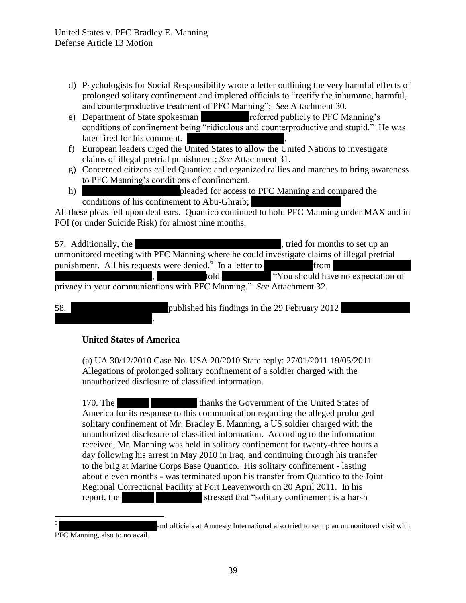- d) Psychologists for Social Responsibility wrote a letter outlining the very harmful effects of prolonged solitary confinement and implored officials to "rectify the inhumane, harmful, and counterproductive treatment of PFC Manning"; *See* Attachment 30.
- e) Department of State spokesman \*\*Redacted\*\*referred publicly to PFC Manning's conditions of confinement being "ridiculous and counterproductive and stupid." He was later fired for his comment.
- f) European leaders urged the United States to allow the United Nations to investigate claims of illegal pretrial punishment; *See* Attachment 31.
- g) Concerned citizens called Quantico and organized rallies and marches to bring awareness to PFC Manning's conditions of confinement.
- h) \*\*Redacted\*\*\*\*Redacted\*\*pleaded for access to PFC Manning and compared the conditions of his confinement to Abu-Ghraib;

All these pleas fell upon deaf ears. Quantico continued to hold PFC Manning under MAX and in POI (or under Suicide Risk) for almost nine months.

57. Additionally, the  $\ddot{\text{F}}$  and  $\ddot{\text{F}}$  and  $\ddot{\text{F}}$  tried for months to set up and unmonitored meeting with PFC Manning where he could investigate claims of illegal pretrial punishment. All his requests were denied.<sup>6</sup> In a letter to **from** the from  $\blacksquare$ told  $*You$  should have no expectation of privacy in your communications with PFC Manning." *See* Attachment 32.

58. \*\*Redacted\*\*\*\*Redacted\*\*published his findings in the 29 February 2012 \*\*\*\*\*\*\*\*\*\*\*\*\*\*\*

# **United States of America**

\*\*Redacted\*\*\*\*Redacted\*\*.

 $\overline{a}$ 

(a) UA 30/12/2010 Case No. USA 20/2010 State reply: 27/01/2011 19/05/2011 Allegations of prolonged solitary confinement of a soldier charged with the unauthorized disclosure of classified information.

170. The **thanks** the Government of the United States of America for its response to this communication regarding the alleged prolonged solitary confinement of Mr. Bradley E. Manning, a US soldier charged with the unauthorized disclosure of classified information. According to the information received, Mr. Manning was held in solitary confinement for twenty-three hours a day following his arrest in May 2010 in Iraq, and continuing through his transfer to the brig at Marine Corps Base Quantico. His solitary confinement - lasting about eleven months - was terminated upon his transfer from Quantico to the Joint Regional Correctional Facility at Fort Leavenworth on 20 April 2011. In his report, the \*\*\*\*\*\*\* \*\*\*\*\*\*\*\*\*\* stressed that "solitary confinement is a harsh

<sup>6</sup> and officials at Amnesty International also tried to set up an unmonitored visit with PFC Manning, also to no avail.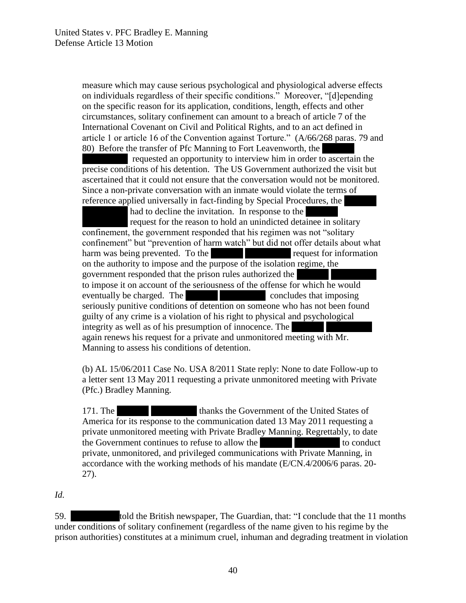measure which may cause serious psychological and physiological adverse effects on individuals regardless of their specific conditions." Moreover, "[d]epending on the specific reason for its application, conditions, length, effects and other circumstances, solitary confinement can amount to a breach of article 7 of the International Covenant on Civil and Political Rights, and to an act defined in article 1 or article 16 of the Convention against Torture." (A/66/268 paras. 79 and 80) Before the transfer of Pfc Manning to Fort Leavenworth, the

requested an opportunity to interview him in order to ascertain the precise conditions of his detention. The US Government authorized the visit but ascertained that it could not ensure that the conversation would not be monitored. Since a non-private conversation with an inmate would violate the terms of reference applied universally in fact-finding by Special Procedures, the

had to decline the invitation. In response to the  $\mathbf \epsilon$ request for the reason to hold an unindicted detainee in solitary confinement, the government responded that his regimen was not "solitary confinement" but "prevention of harm watch" but did not offer details about what harm was being prevented. To the \*\*\*\* \*\*\* request for information on the authority to impose and the purpose of the isolation regime, the government responded that the prison rules authorized the to impose it on account of the seriousness of the offense for which he would eventually be charged. The \*\*\*\*\*\*\*\* concludes that imposing seriously punitive conditions of detention on someone who has not been found guilty of any crime is a violation of his right to physical and psychological integrity as well as of his presumption of innocence. The again renews his request for a private and unmonitored meeting with Mr. Manning to assess his conditions of detention.

(b) AL 15/06/2011 Case No. USA 8/2011 State reply: None to date Follow-up to a letter sent 13 May 2011 requesting a private unmonitored meeting with Private (Pfc.) Bradley Manning.

171. The thanks the Government of the United States of America for its response to the communication dated 13 May 2011 requesting a private unmonitored meeting with Private Bradley Manning. Regrettably, to date the Government continues to refuse to allow the \*\*\*\*\*\* \*\*\*\* to conduct private, unmonitored, and privileged communications with Private Manning, in accordance with the working methods of his mandate (E/CN.4/2006/6 paras. 20- 27).

# *Id.*

59. \*\*Redacted\*\*told the British newspaper, The Guardian, that: "I conclude that the 11 months under conditions of solitary confinement (regardless of the name given to his regime by the prison authorities) constitutes at a minimum cruel, inhuman and degrading treatment in violation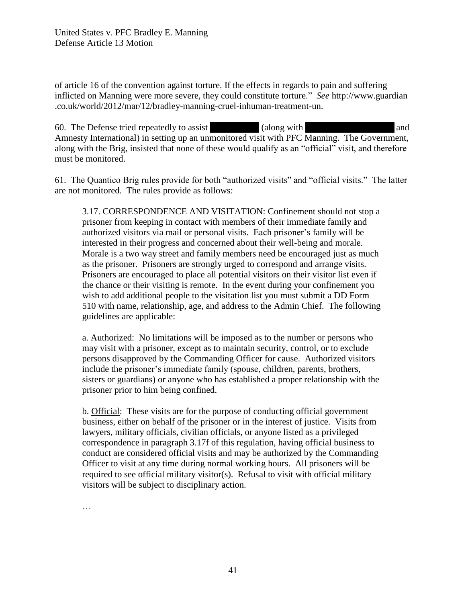United States v. PFC Bradley E. Manning Defense Article 13 Motion

of article 16 of the convention against torture. If the effects in regards to pain and suffering inflicted on Manning were more severe, they could constitute torture." *See* http://www.guardian .co.uk/world/2012/mar/12/bradley-manning-cruel-inhuman-treatment-un.

60. The Defense tried repeatedly to assist  $\qquad \qquad$  (along with  $\qquad \qquad$  and Amnesty International) in setting up an unmonitored visit with PFC Manning. The Government, along with the Brig, insisted that none of these would qualify as an "official" visit, and therefore must be monitored.

61. The Quantico Brig rules provide for both "authorized visits" and "official visits." The latter are not monitored. The rules provide as follows:

3.17. CORRESPONDENCE AND VISITATION: Confinement should not stop a prisoner from keeping in contact with members of their immediate family and authorized visitors via mail or personal visits. Each prisoner's family will be interested in their progress and concerned about their well-being and morale. Morale is a two way street and family members need be encouraged just as much as the prisoner. Prisoners are strongly urged to correspond and arrange visits. Prisoners are encouraged to place all potential visitors on their visitor list even if the chance or their visiting is remote. In the event during your confinement you wish to add additional people to the visitation list you must submit a DD Form 510 with name, relationship, age, and address to the Admin Chief. The following guidelines are applicable:

a. Authorized: No limitations will be imposed as to the number or persons who may visit with a prisoner, except as to maintain security, control, or to exclude persons disapproved by the Commanding Officer for cause. Authorized visitors include the prisoner's immediate family (spouse, children, parents, brothers, sisters or guardians) or anyone who has established a proper relationship with the prisoner prior to him being confined.

b. Official: These visits are for the purpose of conducting official government business, either on behalf of the prisoner or in the interest of justice. Visits from lawyers, military officials, civilian officials, or anyone listed as a privileged correspondence in paragraph 3.17f of this regulation, having official business to conduct are considered official visits and may be authorized by the Commanding Officer to visit at any time during normal working hours. All prisoners will be required to see official military visitor(s). Refusal to visit with official military visitors will be subject to disciplinary action.

…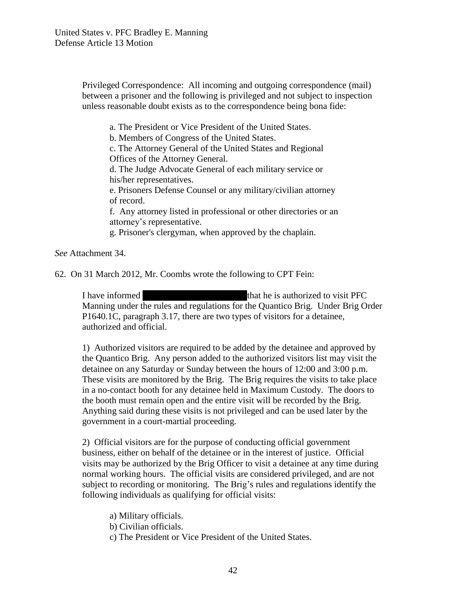Privileged Correspondence: All incoming and outgoing correspondence (mail) between a prisoner and the following is privileged and not subject to inspection unless reasonable doubt exists as to the correspondence being bona fide:

a. The President or Vice President of the United States.

b. Members of Congress of the United States.

c. The Attorney General of the United States and Regional Offices of the Attorney General.

d. The Judge Advocate General of each military service or his/her representatives.

e. Prisoners Defense Counsel or any military/civilian attorney of record.

f. Any attorney listed in professional or other directories or an attorney's representative.

g. Prisoner's clergyman, when approved by the chaplain.

*See* Attachment 34.

62. On 31 March 2012, Mr. Coombs wrote the following to CPT Fein:

I have informed that he is authorized to visit PFC Manning under the rules and regulations for the Quantico Brig. Under Brig Order P1640.1C, paragraph 3.17, there are two types of visitors for a detainee, authorized and official.

1) Authorized visitors are required to be added by the detainee and approved by the Quantico Brig. Any person added to the authorized visitors list may visit the detainee on any Saturday or Sunday between the hours of 12:00 and 3:00 p.m. These visits are monitored by the Brig. The Brig requires the visits to take place in a no-contact booth for any detainee held in Maximum Custody. The doors to the booth must remain open and the entire visit will be recorded by the Brig. Anything said during these visits is not privileged and can be used later by the government in a court-martial proceeding.

2) Official visitors are for the purpose of conducting official government business, either on behalf of the detainee or in the interest of justice. Official visits may be authorized by the Brig Officer to visit a detainee at any time during normal working hours. The official visits are considered privileged, and are not subject to recording or monitoring. The Brig's rules and regulations identify the following individuals as qualifying for official visits:

- a) Military officials.
- b) Civilian officials.

c) The President or Vice President of the United States.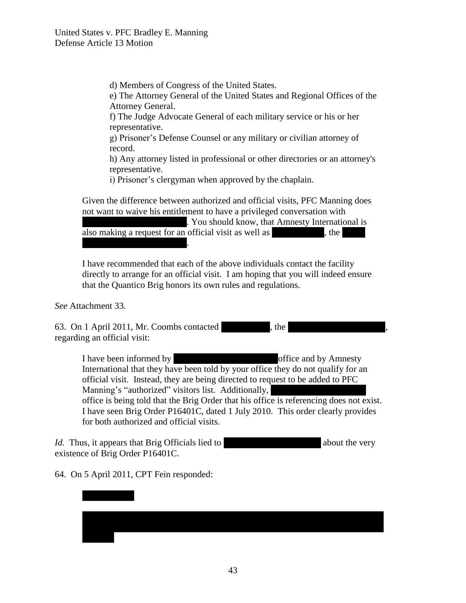d) Members of Congress of the United States.

e) The Attorney General of the United States and Regional Offices of the Attorney General.

f) The Judge Advocate General of each military service or his or her representative.

g) Prisoner's Defense Counsel or any military or civilian attorney of record.

h) Any attorney listed in professional or other directories or an attorney's representative.

i) Prisoner's clergyman when approved by the chaplain.

Given the difference between authorized and official visits, PFC Manning does not want to waive his entitlement to have a privileged conversation with

. You should know, that Amnesty International is also making a request for an official visit as well as \*\*\*\*, the \*\*\* \*\*Redacted\*\*\*\*Redacted\*\*.

I have recommended that each of the above individuals contact the facility directly to arrange for an official visit. I am hoping that you will indeed ensure that the Quantico Brig honors its own rules and regulations.

*See* Attachment 33.

63. On 1 April 2011, Mr. Coombs contacted  $\ddot{\text{R}}$ , the regarding an official visit:

I have been informed by  $\blacksquare$ International that they have been told by your office they do not qualify for an official visit. Instead, they are being directed to request to be added to PFC Manning's "authorized" visitors list. Additionally, office is being told that the Brig Order that his office is referencing does not exist. I have seen Brig Order P16401C, dated 1 July 2010. This order clearly provides for both authorized and official visits.

*Id.* Thus, it appears that Brig Officials lied to \*\*Redacted\*\*\*\*Redacted\*\* about the very existence of Brig Order P16401C.

64. On 5 April 2011, CPT Fein responded:

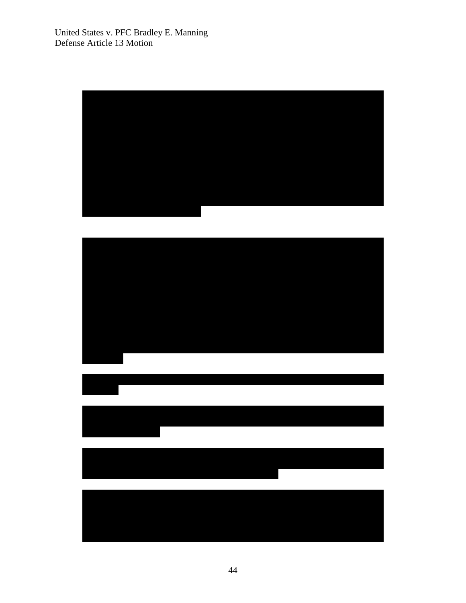United States v. PFC Bradley E. Manning<br>Defense Article 13 Motion











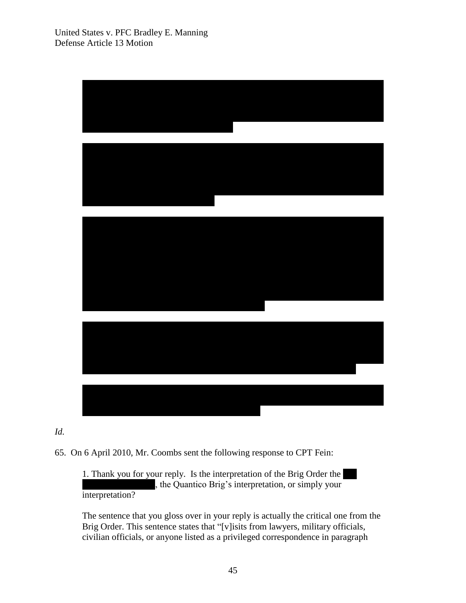

 $Id.$ 

65. On 6 April 2010, Mr. Coombs sent the following response to CPT Fein:

1. Thank you for your reply. Is the interpretation of the Brig Order the , the Quantico Brig's interpretation, or simply your interpretation?

The sentence that you gloss over in your reply is actually the critical one from the Brig Order. This sentence states that "[v]isits from lawyers, military officials, civilian officials, or anyone listed as a privileged correspondence in paragraph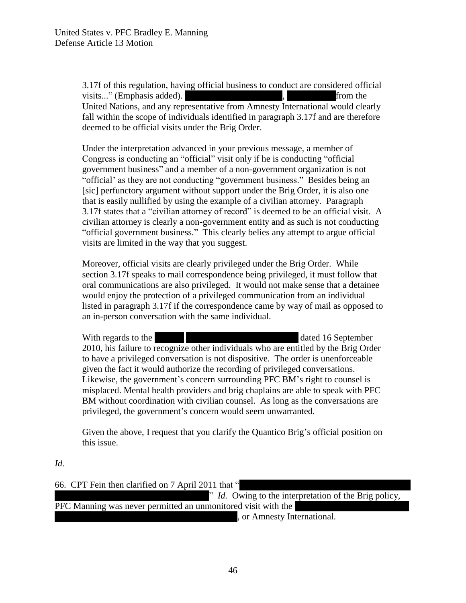3.17f of this regulation, having official business to conduct are considered official visits..." (Emphasis added). \*\*Redacted\*\*\*\*Redacted\*\*, \*\*Redacted\*\*from the United Nations, and any representative from Amnesty International would clearly fall within the scope of individuals identified in paragraph 3.17f and are therefore deemed to be official visits under the Brig Order.

Under the interpretation advanced in your previous message, a member of Congress is conducting an "official" visit only if he is conducting "official government business" and a member of a non-government organization is not "official' as they are not conducting "government business." Besides being an [sic] perfunctory argument without support under the Brig Order, it is also one that is easily nullified by using the example of a civilian attorney. Paragraph 3.17f states that a "civilian attorney of record" is deemed to be an official visit. A civilian attorney is clearly a non-government entity and as such is not conducting "official government business." This clearly belies any attempt to argue official visits are limited in the way that you suggest.

Moreover, official visits are clearly privileged under the Brig Order. While section 3.17f speaks to mail correspondence being privileged, it must follow that oral communications are also privileged. It would not make sense that a detainee would enjoy the protection of a privileged communication from an individual listed in paragraph 3.17f if the correspondence came by way of mail as opposed to an in-person conversation with the same individual.

With regards to the \*\*\*\*\*\*\* \*\*\*\*\*\*\*\*\*\*\*\*\*\*\*\*\*\*\*\*\*\*\*\*\*\*\* dated 16 September 2010, his failure to recognize other individuals who are entitled by the Brig Order to have a privileged conversation is not dispositive. The order is unenforceable given the fact it would authorize the recording of privileged conversations. Likewise, the government's concern surrounding PFC BM's right to counsel is misplaced. Mental health providers and brig chaplains are able to speak with PFC BM without coordination with civilian counsel. As long as the conversations are privileged, the government's concern would seem unwarranted.

Given the above, I request that you clarify the Quantico Brig's official position on this issue.

*Id.*

| 66. CPT Fein then clarified on 7 April 2011 that "            |
|---------------------------------------------------------------|
| " <i>Id.</i> Owing to the interpretation of the Brig policy,  |
| PFC Manning was never permitted an unmonitored visit with the |
| or Amnesty International.                                     |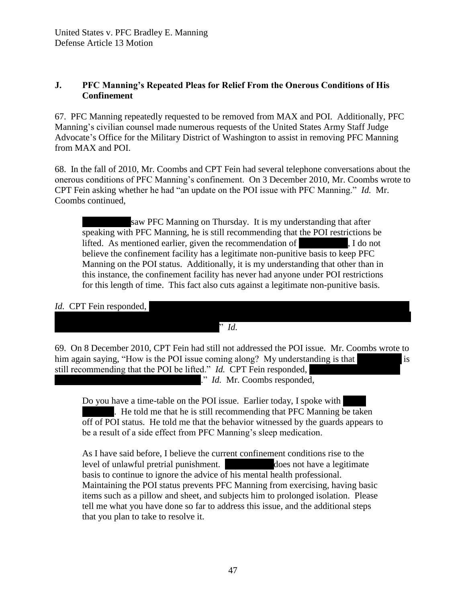#### **J. PFC Manning's Repeated Pleas for Relief From the Onerous Conditions of His Confinement**

67. PFC Manning repeatedly requested to be removed from MAX and POI. Additionally, PFC Manning's civilian counsel made numerous requests of the United States Army Staff Judge Advocate's Office for the Military District of Washington to assist in removing PFC Manning from MAX and POI.

68. In the fall of 2010, Mr. Coombs and CPT Fein had several telephone conversations about the onerous conditions of PFC Manning's confinement. On 3 December 2010, Mr. Coombs wrote to CPT Fein asking whether he had "an update on the POI issue with PFC Manning." *Id.* Mr. Coombs continued,

saw PFC Manning on Thursday. It is my understanding that after speaking with PFC Manning, he is still recommending that the POI restrictions be lifted. As mentioned earlier, given the recommendation of  $\blacksquare$ , I do not believe the confinement facility has a legitimate non-punitive basis to keep PFC Manning on the POI status. Additionally, it is my understanding that other than in this instance, the confinement facility has never had anyone under POI restrictions for this length of time. This fact also cuts against a legitimate non-punitive basis.

*Id.* CPT Fein responded,

 $\ddot{a}$   $\ddot{a}$ 

69. On 8 December 2010, CPT Fein had still not addressed the POI issue. Mr. Coombs wrote to him again saying, "How is the POI issue coming along? My understanding is that  $\overline{\phantom{a}}$  is still recommending that the POI be lifted." *Id.* CPT Fein responded, ." *Id.* Mr. Coombs responded,

Do you have a time-table on the POI issue. Earlier today, I spoke with  $\mathbf{R}$ . He told me that he is still recommending that PFC Manning be taken off of POI status. He told me that the behavior witnessed by the guards appears to be a result of a side effect from PFC Manning's sleep medication.

As I have said before, I believe the current confinement conditions rise to the level of unlawful pretrial punishment. \*\*\*\*\*\*\*does not have a legitimate basis to continue to ignore the advice of his mental health professional. Maintaining the POI status prevents PFC Manning from exercising, having basic items such as a pillow and sheet, and subjects him to prolonged isolation. Please tell me what you have done so far to address this issue, and the additional steps that you plan to take to resolve it.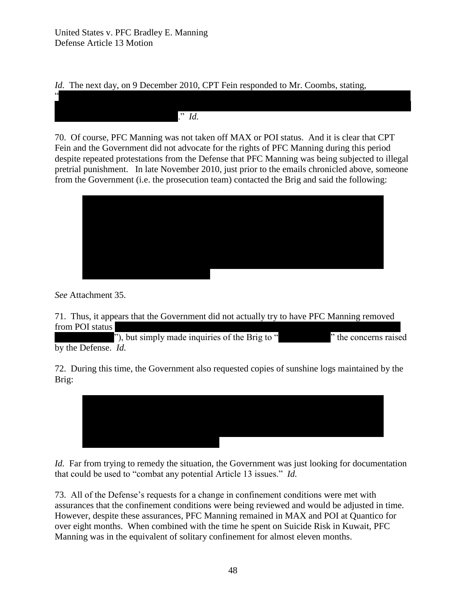*Id.* The next day, on 9 December 2010, CPT Fein responded to Mr. Coombs, stating,

The contraction of the contraction of the contraction of the contraction of the contraction of the contraction of the contraction of the contraction of the contraction of the contraction of the contraction of the contract  $\therefore$  *Id.* 

70. Of course, PFC Manning was not taken off MAX or POI status. And it is clear that CPT Fein and the Government did not advocate for the rights of PFC Manning during this period despite repeated protestations from the Defense that PFC Manning was being subjected to illegal pretrial punishment. In late November 2010, just prior to the emails chronicled above, someone from the Government (i.e. the prosecution team) contacted the Brig and said the following:



*See* Attachment 35.

71. Thus, it appears that the Government did not actually try to have PFC Manning removed from POI status

 $^{\prime\prime}$ , but simply made inquiries of the Brig to " $^{\prime\prime}$  the concerns raised by the Defense. *Id.*

72. During this time, the Government also requested copies of sunshine logs maintained by the Brig:



*Id.* Far from trying to remedy the situation, the Government was just looking for documentation that could be used to "combat any potential Article 13 issues." *Id.*

73. All of the Defense's requests for a change in confinement conditions were met with assurances that the confinement conditions were being reviewed and would be adjusted in time. However, despite these assurances, PFC Manning remained in MAX and POI at Quantico for over eight months. When combined with the time he spent on Suicide Risk in Kuwait, PFC Manning was in the equivalent of solitary confinement for almost eleven months.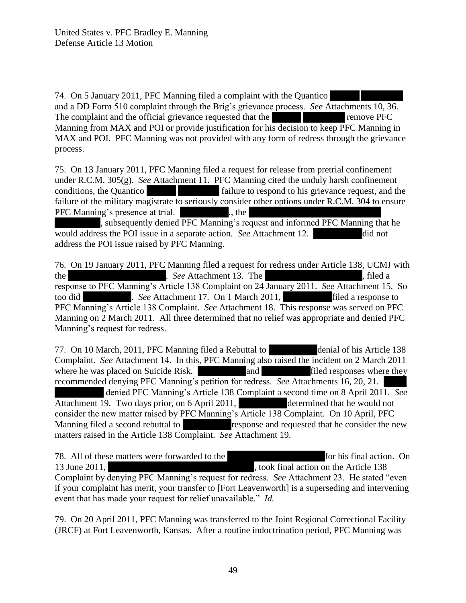74. On 5 January 2011, PFC Manning filed a complaint with the Quantico and a DD Form 510 complaint through the Brig's grievance process. *See* Attachments 10, 36. The complaint and the official grievance requested that the \*\*\*\* \*\*\* remove PFC Manning from MAX and POI or provide justification for his decision to keep PFC Manning in MAX and POI. PFC Manning was not provided with any form of redress through the grievance process.

75. On 13 January 2011, PFC Manning filed a request for release from pretrial confinement under R.C.M. 305(g). *See* Attachment 11. PFC Manning cited the unduly harsh confinement conditions, the Quantico  $\frac{1}{\sqrt{1-\frac{1}{\sqrt{1-\frac{1}{\sqrt{1-\frac{1}{\sqrt{1-\frac{1}{\sqrt{1-\frac{1}{\sqrt{1-\frac{1}{\sqrt{1-\frac{1}{\sqrt{1-\frac{1}{\sqrt{1-\frac{1}{\sqrt{1-\frac{1}{\sqrt{1-\frac{1}{\sqrt{1-\frac{1}{\sqrt{1-\frac{1}{\sqrt{1-\frac{1}{\sqrt{1-\frac{1}{\sqrt{1-\frac{1}{\sqrt{1-\frac{1}{\sqrt{1-\frac{1}{\sqrt{1-\frac{1}{\sqrt{1-\frac{1}{\sqrt{1-\frac{1}{\sqrt$ failure of the military magistrate to seriously consider other options under R.C.M. 304 to ensure PFC Manning's presence at trial.  $\blacksquare$ ., the

, subsequently denied PFC Manning's request and informed PFC Manning that he would address the POI issue in a separate action. *See* Attachment 12. did not address the POI issue raised by PFC Manning.

76. On 19 January 2011, PFC Manning filed a request for redress under Article 138, UCMJ with the \*\*Redacted\*\*\*\*Redacted\*\*. *See* Attachment 13. The \*\*Redacted\*\*\*\*Redacted\*\*, filed a response to PFC Manning's Article 138 Complaint on 24 January 2011. *See* Attachment 15. So too did **See Attachment 17. On 1 March 2011,** filed a response to PFC Manning's Article 138 Complaint. *See* Attachment 18. This response was served on PFC Manning on 2 March 2011. All three determined that no relief was appropriate and denied PFC Manning's request for redress.

77. On 10 March, 2011, PFC Manning filed a Rebuttal to \*\*\*\*\*\*\*denial of his Article 138 Complaint. *See* Attachment 14. In this, PFC Manning also raised the incident on 2 March 2011 where he was placed on Suicide Risk. \*\*Redacted\*\*and \*\*Redacted\*\*filed responses where they recommended denying PFC Manning's petition for redress. *See* Attachments 16, 20, 21. \*\*\*\*\* denied PFC Manning's Article 138 Complaint a second time on 8 April 2011. *See* Attachment 19. Two days prior, on 6 April 2011, determined that he would not consider the new matter raised by PFC Manning's Article 138 Complaint. On 10 April, PFC Manning filed a second rebuttal to \*\*Redacted\*\*response and requested that he consider the new matters raised in the Article 138 Complaint. *See* Attachment 19.

78. All of these matters were forwarded to the \*\*Redacted\*\*\*\*Redacted\*\*for his final action. On 13 June 2011,  $\frac{1}{\sqrt{1-\frac{1}{\sqrt{1-\frac{1}{\sqrt{1-\frac{1}{\sqrt{1-\frac{1}{\sqrt{1-\frac{1}{\sqrt{1-\frac{1}{\sqrt{1-\frac{1}{\sqrt{1-\frac{1}{\sqrt{1-\frac{1}{\sqrt{1-\frac{1}{\sqrt{1-\frac{1}{\sqrt{1-\frac{1}{\sqrt{1-\frac{1}{\sqrt{1-\frac{1}{\sqrt{1-\frac{1}{\sqrt{1-\frac{1}{\sqrt{1-\frac{1}{\sqrt{1-\frac{1}{\sqrt{1-\frac{1}{\sqrt{1-\frac{1}{\sqrt{1-\frac{1}{\sqrt{1-\frac{1}{\sqrt{1$ Complaint by denying PFC Manning's request for redress. *See* Attachment 23. He stated "even if your complaint has merit, your transfer to [Fort Leavenworth] is a superseding and intervening event that has made your request for relief unavailable." *Id.*

79. On 20 April 2011, PFC Manning was transferred to the Joint Regional Correctional Facility (JRCF) at Fort Leavenworth, Kansas. After a routine indoctrination period, PFC Manning was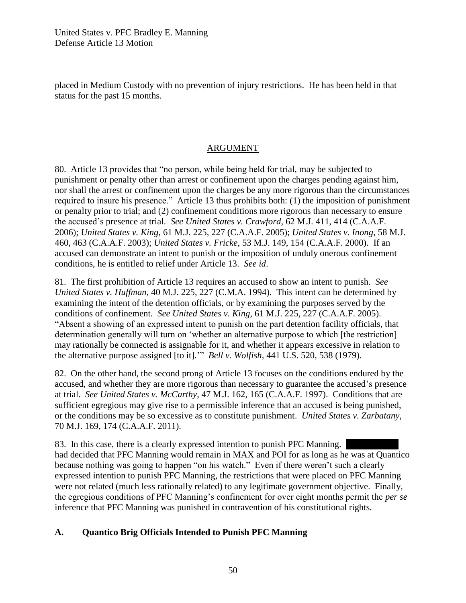United States v. PFC Bradley E. Manning Defense Article 13 Motion

placed in Medium Custody with no prevention of injury restrictions. He has been held in that status for the past 15 months.

#### ARGUMENT

80. Article 13 provides that "no person, while being held for trial, may be subjected to punishment or penalty other than arrest or confinement upon the charges pending against him, nor shall the arrest or confinement upon the charges be any more rigorous than the circumstances required to insure his presence." Article 13 thus prohibits both: (1) the imposition of punishment or penalty prior to trial; and (2) confinement conditions more rigorous than necessary to ensure the accused's presence at trial. *See United States v. Crawford*, 62 M.J. 411, 414 (C.A.A.F. 2006); *United States v. King*, 61 M.J. 225, 227 (C.A.A.F. 2005); *United States v. Inong*, 58 M.J. 460, 463 (C.A.A.F. 2003); *United States v. Fricke*, 53 M.J. 149, 154 (C.A.A.F. 2000). If an accused can demonstrate an intent to punish or the imposition of unduly onerous confinement conditions, he is entitled to relief under Article 13. *See id*.

81. The first prohibition of Article 13 requires an accused to show an intent to punish. *See United States v. Huffman,* 40 M.J. 225, 227 (C.M.A. 1994). This intent can be determined by examining the intent of the detention officials, or by examining the purposes served by the conditions of confinement. *See United States v. King*, 61 M.J. 225, 227 (C.A.A.F. 2005). "Absent a showing of an expressed intent to punish on the part detention facility officials, that determination generally will turn on 'whether an alternative purpose to which [the restriction] may rationally be connected is assignable for it, and whether it appears excessive in relation to the alternative purpose assigned [to it].'" *Bell v. Wolfish,* 441 U.S. 520, 538 (1979).

82. On the other hand, the second prong of Article 13 focuses on the conditions endured by the accused, and whether they are more rigorous than necessary to guarantee the accused's presence at trial. *See United States v. McCarthy*, 47 M.J. 162, 165 (C.A.A.F. 1997). Conditions that are sufficient egregious may give rise to a permissible inference that an accused is being punished, or the conditions may be so excessive as to constitute punishment. *United States v. Zarbatany*, 70 M.J. 169, 174 (C.A.A.F. 2011).

83. In this case, there is a clearly expressed intention to punish PFC Manning. had decided that PFC Manning would remain in MAX and POI for as long as he was at Quantico because nothing was going to happen "on his watch." Even if there weren't such a clearly expressed intention to punish PFC Manning, the restrictions that were placed on PFC Manning were not related (much less rationally related) to any legitimate government objective. Finally, the egregious conditions of PFC Manning's confinement for over eight months permit the *per se*  inference that PFC Manning was punished in contravention of his constitutional rights.

# **A. Quantico Brig Officials Intended to Punish PFC Manning**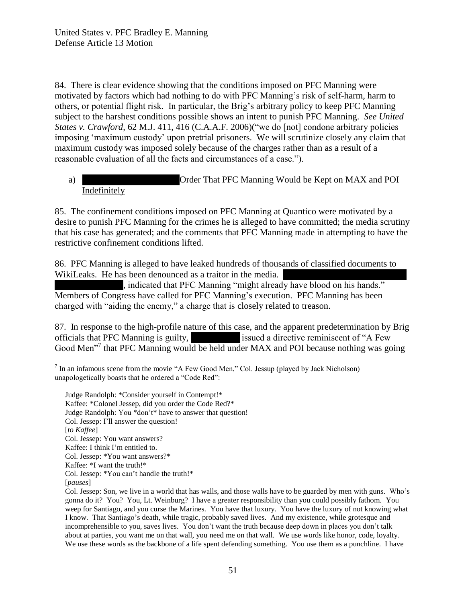84. There is clear evidence showing that the conditions imposed on PFC Manning were motivated by factors which had nothing to do with PFC Manning's risk of self-harm, harm to others, or potential flight risk. In particular, the Brig's arbitrary policy to keep PFC Manning subject to the harshest conditions possible shows an intent to punish PFC Manning. *See United States v. Crawford*, 62 M.J. 411, 416 (C.A.A.F. 2006)("we do [not] condone arbitrary policies imposing 'maximum custody' upon pretrial prisoners. We will scrutinize closely any claim that maximum custody was imposed solely because of the charges rather than as a result of a reasonable evaluation of all the facts and circumstances of a case.").

# a) \*\*Redacted\*\*\*\*Redacted\*\*Order That PFC Manning Would be Kept on MAX and POI Indefinitely

85. The confinement conditions imposed on PFC Manning at Quantico were motivated by a desire to punish PFC Manning for the crimes he is alleged to have committed; the media scrutiny that his case has generated; and the comments that PFC Manning made in attempting to have the restrictive confinement conditions lifted.

86. PFC Manning is alleged to have leaked hundreds of thousands of classified documents to WikiLeaks. He has been denounced as a traitor in the media.

, indicated that PFC Manning "might already have blood on his hands." Members of Congress have called for PFC Manning's execution. PFC Manning has been charged with "aiding the enemy," a charge that is closely related to treason.

87. In response to the high-profile nature of this case, and the apparent predetermination by Brig officials that PFC Manning is guilty, issued a directive reminiscent of "A Few Good Men<sup>77</sup> that PFC Manning would be held under MAX and POI because nothing was going

- [Col. Jessep:](http://www.imdb.com/name/nm0000197/) I'll answer the question!
- [*to Kaffee*]

 $\overline{a}$ 

 $<sup>7</sup>$  In an infamous scene from the movie "A Few Good Men," Col. Jessup (played by Jack Nicholson)</sup> unapologetically boasts that he ordered a "Code Red":

[Judge Randolph:](http://www.imdb.com/name/nm0696430/) \*Consider yourself in Contempt!\*

[Kaffee:](http://www.imdb.com/name/nm0000129/) \*Colonel Jessep, did you order the Code Red?\*

[Judge Randolph:](http://www.imdb.com/name/nm0696430/) You \*don't\* have to answer that question!

[Col. Jessep:](http://www.imdb.com/name/nm0000197/) You want answers?

[Kaffee:](http://www.imdb.com/name/nm0000129/) I think I'm entitled to.

[Col. Jessep:](http://www.imdb.com/name/nm0000197/) \*You want answers?\*

[Kaffee:](http://www.imdb.com/name/nm0000129/) \*I want the truth!\*

[Col. Jessep:](http://www.imdb.com/name/nm0000197/) \*You can't handle the truth!\*

<sup>[</sup>*pauses*]

[Col. Jessep:](http://www.imdb.com/name/nm0000197/) Son, we live in a world that has walls, and those walls have to be guarded by men with guns. Who's gonna do it? You? You, Lt. Weinburg? I have a greater responsibility than you could possibly fathom. You weep for Santiago, and you curse the Marines. You have that luxury. You have the luxury of not knowing what I know. That Santiago's death, while tragic, probably saved lives. And my existence, while grotesque and incomprehensible to you, saves lives. You don't want the truth because deep down in places you don't talk about at parties, you want me on that wall, you need me on that wall. We use words like honor, code, loyalty. We use these words as the backbone of a life spent defending something. You use them as a punchline. I have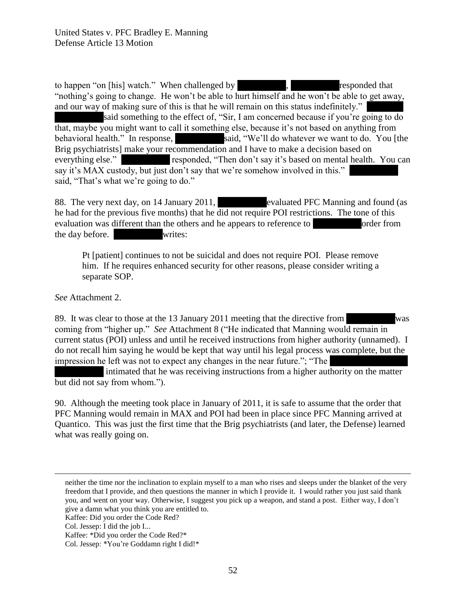to happen "on [his] watch." When challenged by  $\blacksquare$ ,  $\blacksquare$  responded that "nothing's going to change. He won't be able to hurt himself and he won't be able to get away, and our way of making sure of this is that he will remain on this status indefinitely." said something to the effect of, "Sir, I am concerned because if you're going to do that, maybe you might want to call it something else, because it's not based on anything from behavioral health." In response, said, "We'll do whatever we want to do. You [the Brig psychiatrists] make your recommendation and I have to make a decision based on everything else." responded, "Then don't say it's based on mental health. You can say it's MAX custody, but just don't say that we're somehow involved in this." said, "That's what we're going to do."

88. The very next day, on 14 January 2011, the valuated PFC Manning and found (as he had for the previous five months) that he did not require POI restrictions. The tone of this evaluation was different than the others and he appears to reference to \*\*Redacted\*\*order from the day before. \*\*Redacted\*\*writes:

Pt [patient] continues to not be suicidal and does not require POI. Please remove him. If he requires enhanced security for other reasons, please consider writing a separate SOP.

*See* Attachment 2.

89. It was clear to those at the 13 January 2011 meeting that the directive from  $\mu$  was coming from "higher up." *See* Attachment 8 ("He indicated that Manning would remain in current status (POI) unless and until he received instructions from higher authority (unnamed). I do not recall him saying he would be kept that way until his legal process was complete, but the impression he left was not to expect any changes in the near future."; "The

intimated that he was receiving instructions from a higher authority on the matter but did not say from whom.").

90. Although the meeting took place in January of 2011, it is safe to assume that the order that PFC Manning would remain in MAX and POI had been in place since PFC Manning arrived at Quantico. This was just the first time that the Brig psychiatrists (and later, the Defense) learned what was really going on.

[Kaffee:](http://www.imdb.com/name/nm0000129/) Did you order the Code Red?

 $\overline{a}$ 

neither the time nor the inclination to explain myself to a man who rises and sleeps under the blanket of the very freedom that I provide, and then questions the manner in which I provide it. I would rather you just said thank you, and went on your way. Otherwise, I suggest you pick up a weapon, and stand a post. Either way, I don't give a damn what you think you are entitled to.

[Col. Jessep:](http://www.imdb.com/name/nm0000197/) I did the job I...

[Kaffee:](http://www.imdb.com/name/nm0000129/) \*Did you order the Code Red?\*

[Col. Jessep:](http://www.imdb.com/name/nm0000197/) \*You're Goddamn right I did!\*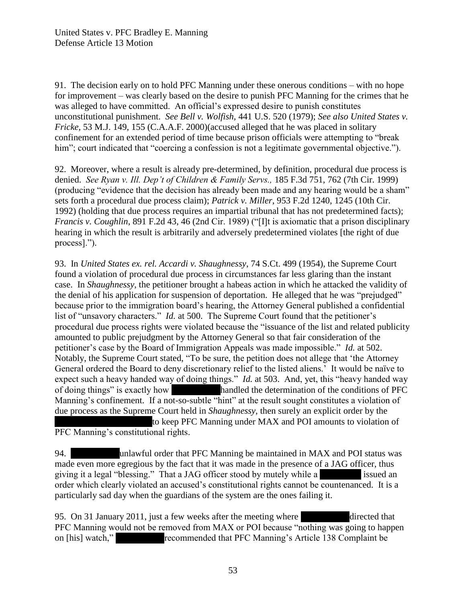91. The decision early on to hold PFC Manning under these onerous conditions – with no hope for improvement – was clearly based on the desire to punish PFC Manning for the crimes that he was alleged to have committed. An official's expressed desire to punish constitutes unconstitutional punishment. *See Bell v. Wolfish,* 441 U.S. 520 (1979); *See also United States v. Fricke,* 53 M.J. 149, 155 (C.A.A.F. 2000)(accused alleged that he was placed in solitary confinement for an extended period of time because prison officials were attempting to "break him"; court indicated that "coercing a confession is not a legitimate governmental objective.").

92. Moreover, where a result is already pre-determined, by definition, procedural due process is denied. *See Ryan v. Ill. Dep't of Children & Family Servs.,* 185 F.3d 751, 762 (7th Cir. 1999) (producing "evidence that the decision has already been made and any hearing would be a sham" sets forth a procedural due process claim); *Patrick v. Miller*, 953 F.2d 1240, 1245 (10th Cir. 1992) (holding that due process requires an impartial tribunal that has not predetermined facts); *Francis v. Coughlin*, 891 F.2d 43, 46 (2nd Cir. 1989) ("[I]t is axiomatic that a prison disciplinary hearing in which the result is arbitrarily and adversely predetermined violates [the right of due process].").

93. In *United States ex. rel. Accardi v. Shaughnessy*, 74 S.Ct. 499 (1954), the Supreme Court found a violation of procedural due process in circumstances far less glaring than the instant case. In *Shaughnessy*, the petitioner brought a habeas action in which he attacked the validity of the denial of his application for suspension of deportation. He alleged that he was "prejudged" because prior to the immigration board's hearing, the Attorney General published a confidential list of "unsavory characters." *Id.* at 500. The Supreme Court found that the petitioner's procedural due process rights were violated because the "issuance of the list and related publicity amounted to public prejudgment by the Attorney General so that fair consideration of the petitioner's case by the Board of Immigration Appeals was made impossible." *Id.* at 502. Notably, the Supreme Court stated, "To be sure, the petition does not allege that 'the Attorney General ordered the Board to deny discretionary relief to the listed aliens.' It would be naïve to expect such a heavy handed way of doing things." *Id.* at 503. And, yet, this "heavy handed way of doing things" is exactly how  $\frac{R}{R}$  handled the determination of the conditions of PFC Manning's confinement. If a not-so-subtle "hint" at the result sought constitutes a violation of due process as the Supreme Court held in *Shaughnessy*, then surely an explicit order by the to keep PFC Manning under MAX and POI amounts to violation of PFC Manning's constitutional rights.

94. \*\*\*\*\*unlawful order that PFC Manning be maintained in MAX and POI status was made even more egregious by the fact that it was made in the presence of a JAG officer, thus giving it a legal "blessing." That a JAG officer stood by mutely while a sissued an order which clearly violated an accused's constitutional rights cannot be countenanced. It is a particularly sad day when the guardians of the system are the ones failing it.

95. On 31 January 2011, just a few weeks after the meeting where  $\ddot{\theta}$  directed that PFC Manning would not be removed from MAX or POI because "nothing was going to happen on [his] watch," recommended that PFC Manning's Article 138 Complaint be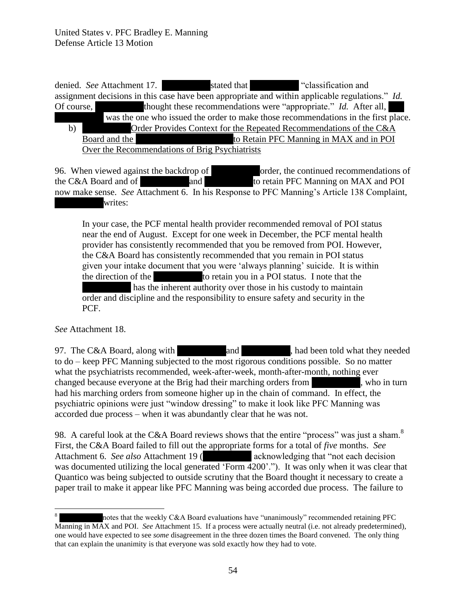denied. *See* Attachment 17. \*\*\*\*\* \*\*\* stated that \*\*\*\* \*\*\* "classification and assignment decisions in this case have been appropriate and within applicable regulations." *Id.*  Of course, thought these recommendations were "appropriate." *Id.* After all, was the one who issued the order to make those recommendations in the first place. b) \*\*\*\*\*\*\*\*\*Order Provides Context for the Repeated Recommendations of the C&A Board and the \*\*Redacted\*\*\*\*Redacted\*\*to Retain PFC Manning in MAX and in POI Over the Recommendations of Brig Psychiatrists

96. When viewed against the backdrop of \*\*\*\*\*\*\*\*order, the continued recommendations of the C&A Board and of  $\overline{R}$  and  $\overline{R}$  to retain PFC Manning on MAX and POI now make sense. *See* Attachment 6. In his Response to PFC Manning's Article 138 Complaint, writes:

In your case, the PCF mental health provider recommended removal of POI status near the end of August. Except for one week in December, the PCF mental health provider has consistently recommended that you be removed from POI. However, the C&A Board has consistently recommended that you remain in POI status given your intake document that you were 'always planning' suicide. It is within the direction of the \*\*Redacted\*\*to retain you in a POI status. I note that the has the inherent authority over those in his custody to maintain order and discipline and the responsibility to ensure safety and security in the PCF.

*See* Attachment 18.

 $\overline{a}$ 

97. The C&A Board, along with \*\*\*\*\*\*\*\*\*\*\*\*\*\*\*\*\*\*\*\*\*\*\*\*\*\*\*, had been told what they needed to do – keep PFC Manning subjected to the most rigorous conditions possible. So no matter what the psychiatrists recommended, week-after-week, month-after-month, nothing ever changed because everyone at the Brig had their marching orders from , who in turn had his marching orders from someone higher up in the chain of command. In effect, the psychiatric opinions were just "window dressing" to make it look like PFC Manning was accorded due process – when it was abundantly clear that he was not.

98. A careful look at the C&A Board reviews shows that the entire "process" was just a sham.<sup>8</sup> First, the C&A Board failed to fill out the appropriate forms for a total of *five* months. *See*  Attachment 6. *See also* Attachment 19 ( $\qquad \qquad$  acknowledging that "not each decision" was documented utilizing the local generated 'Form 4200'."). It was only when it was clear that Quantico was being subjected to outside scrutiny that the Board thought it necessary to create a paper trail to make it appear like PFC Manning was being accorded due process. The failure to

<sup>8</sup> notes that the weekly C&A Board evaluations have "unanimously" recommended retaining PFC Manning in MAX and POI. *See* Attachment 15. If a process were actually neutral (i.e. not already predetermined), one would have expected to see *some* disagreement in the three dozen times the Board convened. The only thing that can explain the unanimity is that everyone was sold exactly how they had to vote.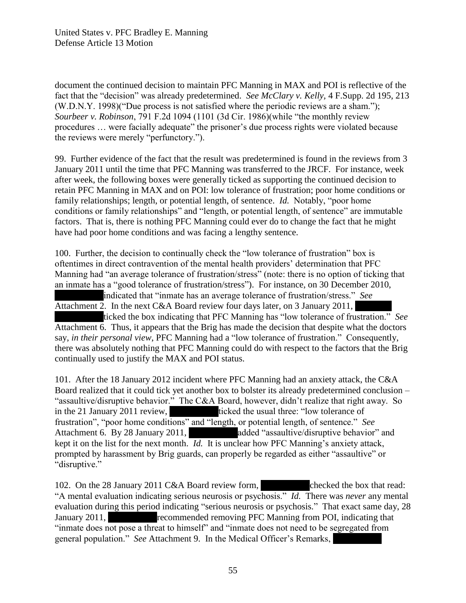United States v. PFC Bradley E. Manning Defense Article 13 Motion

document the continued decision to maintain PFC Manning in MAX and POI is reflective of the fact that the "decision" was already predetermined. *See McClary v. Kelly,* 4 F.Supp. 2d 195, 213 (W.D.N.Y. 1998)("Due process is not satisfied where the periodic reviews are a sham."); *Sourbeer v. Robinson*, 791 F.2d 1094 (1101 (3d Cir. 1986)(while "the monthly review procedures … were facially adequate" the prisoner's due process rights were violated because the reviews were merely "perfunctory.").

99. Further evidence of the fact that the result was predetermined is found in the reviews from 3 January 2011 until the time that PFC Manning was transferred to the JRCF. For instance, week after week, the following boxes were generally ticked as supporting the continued decision to retain PFC Manning in MAX and on POI: low tolerance of frustration; poor home conditions or family relationships; length, or potential length, of sentence. *Id.* Notably, "poor home conditions or family relationships" and "length, or potential length, of sentence" are immutable factors. That is, there is nothing PFC Manning could ever do to change the fact that he might have had poor home conditions and was facing a lengthy sentence.

100. Further, the decision to continually check the "low tolerance of frustration" box is oftentimes in direct contravention of the mental health providers' determination that PFC Manning had "an average tolerance of frustration/stress" (note: there is no option of ticking that an inmate has a "good tolerance of frustration/stress"). For instance, on 30 December 2010,

indicated that "inmate has an average tolerance of frustration/stress." *See* Attachment 2. In the next C&A Board review four days later, on 3 January 2011, ticked the box indicating that PFC Manning has "low tolerance of frustration." *See* Attachment 6. Thus, it appears that the Brig has made the decision that despite what the doctors say, *in their personal view*, PFC Manning had a "low tolerance of frustration." Consequently, there was absolutely nothing that PFC Manning could do with respect to the factors that the Brig continually used to justify the MAX and POI status.

101. After the 18 January 2012 incident where PFC Manning had an anxiety attack, the C&A Board realized that it could tick yet another box to bolster its already predetermined conclusion – "assaultive/disruptive behavior." The C&A Board, however, didn't realize that right away. So in the 21 January 2011 review, ticked the usual three: "low tolerance of frustration", "poor home conditions" and "length, or potential length, of sentence." *See*  Attachment 6. By 28 January 2011, added "assaultive/disruptive behavior" and kept it on the list for the next month. *Id.* It is unclear how PFC Manning's anxiety attack, prompted by harassment by Brig guards, can properly be regarded as either "assaultive" or "disruptive."

102. On the 28 January 2011 C&A Board review form, the checked the box that read: "A mental evaluation indicating serious neurosis or psychosis." *Id.* There was *never* any mental evaluation during this period indicating "serious neurosis or psychosis." That exact same day, 28 January 2011, **Example 1.4** recommended removing PFC Manning from POI, indicating that "inmate does not pose a threat to himself" and "inmate does not need to be segregated from general population." *See* Attachment 9. In the Medical Officer's Remarks,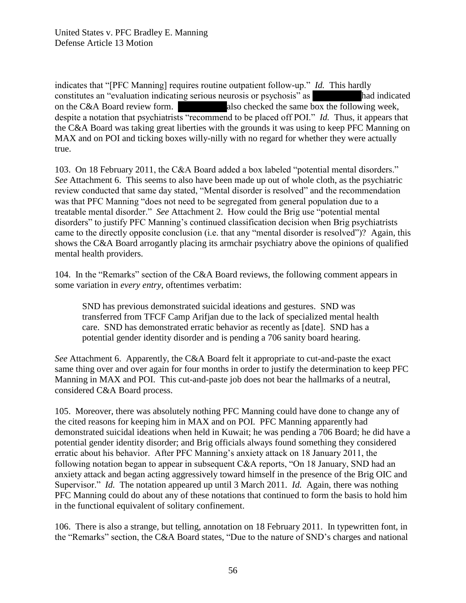indicates that "[PFC Manning] requires routine outpatient follow-up." *Id.* This hardly constitutes an "evaluation indicating serious neurosis or psychosis" as \*\*Redacted\*\*had indicated on the C&A Board review form. \*\*\*\*\*\*\*\*\*\*\*\*\*\*also checked the same box the following week, despite a notation that psychiatrists "recommend to be placed off POI." *Id.* Thus, it appears that the C&A Board was taking great liberties with the grounds it was using to keep PFC Manning on MAX and on POI and ticking boxes willy-nilly with no regard for whether they were actually true.

103. On 18 February 2011, the C&A Board added a box labeled "potential mental disorders." *See* Attachment 6. This seems to also have been made up out of whole cloth, as the psychiatric review conducted that same day stated, "Mental disorder is resolved" and the recommendation was that PFC Manning "does not need to be segregated from general population due to a treatable mental disorder." *See* Attachment 2. How could the Brig use "potential mental disorders" to justify PFC Manning's continued classification decision when Brig psychiatrists came to the directly opposite conclusion (i.e. that any "mental disorder is resolved")? Again, this shows the C&A Board arrogantly placing its armchair psychiatry above the opinions of qualified mental health providers.

104. In the "Remarks" section of the C&A Board reviews, the following comment appears in some variation in *every entry*, oftentimes verbatim:

SND has previous demonstrated suicidal ideations and gestures. SND was transferred from TFCF Camp Arifjan due to the lack of specialized mental health care. SND has demonstrated erratic behavior as recently as [date]. SND has a potential gender identity disorder and is pending a 706 sanity board hearing.

*See* Attachment 6. Apparently, the C&A Board felt it appropriate to cut-and-paste the exact same thing over and over again for four months in order to justify the determination to keep PFC Manning in MAX and POI. This cut-and-paste job does not bear the hallmarks of a neutral, considered C&A Board process.

105. Moreover, there was absolutely nothing PFC Manning could have done to change any of the cited reasons for keeping him in MAX and on POI. PFC Manning apparently had demonstrated suicidal ideations when held in Kuwait; he was pending a 706 Board; he did have a potential gender identity disorder; and Brig officials always found something they considered erratic about his behavior. After PFC Manning's anxiety attack on 18 January 2011, the following notation began to appear in subsequent C&A reports, "On 18 January, SND had an anxiety attack and began acting aggressively toward himself in the presence of the Brig OIC and Supervisor." *Id.* The notation appeared up until 3 March 2011. *Id.* Again, there was nothing PFC Manning could do about any of these notations that continued to form the basis to hold him in the functional equivalent of solitary confinement.

106. There is also a strange, but telling, annotation on 18 February 2011. In typewritten font, in the "Remarks" section, the C&A Board states, "Due to the nature of SND's charges and national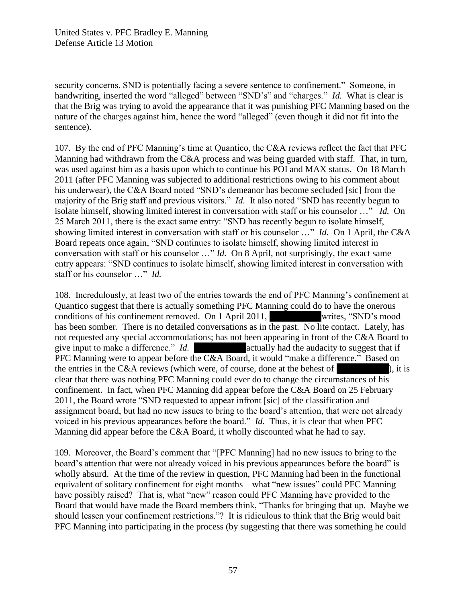security concerns, SND is potentially facing a severe sentence to confinement." Someone, in handwriting, inserted the word "alleged" between "SND's" and "charges." *Id.* What is clear is that the Brig was trying to avoid the appearance that it was punishing PFC Manning based on the nature of the charges against him, hence the word "alleged" (even though it did not fit into the sentence).

107. By the end of PFC Manning's time at Quantico, the C&A reviews reflect the fact that PFC Manning had withdrawn from the C&A process and was being guarded with staff. That, in turn, was used against him as a basis upon which to continue his POI and MAX status. On 18 March 2011 (after PFC Manning was subjected to additional restrictions owing to his comment about his underwear), the C&A Board noted "SND's demeanor has become secluded [sic] from the majority of the Brig staff and previous visitors." *Id.* It also noted "SND has recently begun to isolate himself, showing limited interest in conversation with staff or his counselor …" *Id.* On 25 March 2011, there is the exact same entry: "SND has recently begun to isolate himself, showing limited interest in conversation with staff or his counselor …" *Id.* On 1 April, the C&A Board repeats once again, "SND continues to isolate himself, showing limited interest in conversation with staff or his counselor …" *Id.* On 8 April, not surprisingly, the exact same entry appears: "SND continues to isolate himself, showing limited interest in conversation with staff or his counselor …" *Id.* 

108. Incredulously, at least two of the entries towards the end of PFC Manning's confinement at Quantico suggest that there is actually something PFC Manning could do to have the onerous conditions of his confinement removed. On  $1$  April 2011, writes, "SND's mood has been somber. There is no detailed conversations as in the past. No lite contact. Lately, has not requested any special accommodations; has not been appearing in front of the C&A Board to give input to make a difference." *Id.* actually had the audacity to suggest that if PFC Manning were to appear before the C&A Board, it would "make a difference." Based on the entries in the C&A reviews (which were, of course, done at the behest of  $\blacksquare$ ), it is clear that there was nothing PFC Manning could ever do to change the circumstances of his confinement. In fact, when PFC Manning did appear before the C&A Board on 25 February 2011, the Board wrote "SND requested to appear infront [sic] of the classification and assignment board, but had no new issues to bring to the board's attention, that were not already voiced in his previous appearances before the board." *Id.* Thus, it is clear that when PFC Manning did appear before the C&A Board, it wholly discounted what he had to say.

109. Moreover, the Board's comment that "[PFC Manning] had no new issues to bring to the board's attention that were not already voiced in his previous appearances before the board" is wholly absurd. At the time of the review in question, PFC Manning had been in the functional equivalent of solitary confinement for eight months – what "new issues" could PFC Manning have possibly raised? That is, what "new" reason could PFC Manning have provided to the Board that would have made the Board members think, "Thanks for bringing that up. Maybe we should lessen your confinement restrictions."? It is ridiculous to think that the Brig would bait PFC Manning into participating in the process (by suggesting that there was something he could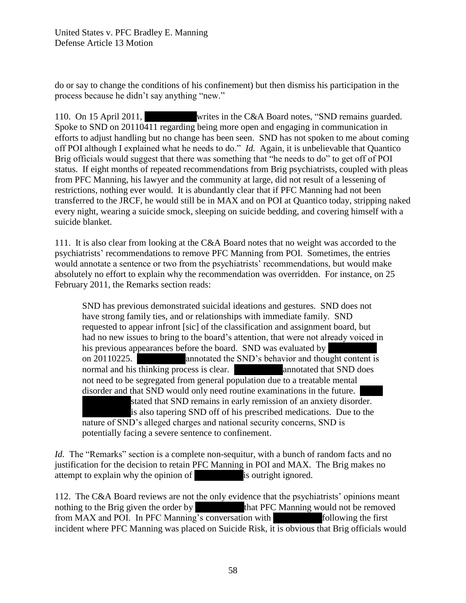United States v. PFC Bradley E. Manning Defense Article 13 Motion

do or say to change the conditions of his confinement) but then dismiss his participation in the process because he didn't say anything "new."

110. On 15 April 2011, writes in the C&A Board notes, "SND remains guarded. Spoke to SND on 20110411 regarding being more open and engaging in communication in efforts to adjust handling but no change has been seen. SND has not spoken to me about coming off POI although I explained what he needs to do." *Id.* Again, it is unbelievable that Quantico Brig officials would suggest that there was something that "he needs to do" to get off of POI status. If eight months of repeated recommendations from Brig psychiatrists, coupled with pleas from PFC Manning, his lawyer and the community at large, did not result of a lessening of restrictions, nothing ever would. It is abundantly clear that if PFC Manning had not been transferred to the JRCF, he would still be in MAX and on POI at Quantico today, stripping naked every night, wearing a suicide smock, sleeping on suicide bedding, and covering himself with a suicide blanket.

111. It is also clear from looking at the C&A Board notes that no weight was accorded to the psychiatrists' recommendations to remove PFC Manning from POI. Sometimes, the entries would annotate a sentence or two from the psychiatrists' recommendations, but would make absolutely no effort to explain why the recommendation was overridden. For instance, on 25 February 2011, the Remarks section reads:

SND has previous demonstrated suicidal ideations and gestures. SND does not have strong family ties, and or relationships with immediate family. SND requested to appear infront [sic] of the classification and assignment board, but had no new issues to bring to the board's attention, that were not already voiced in his previous appearances before the board. SND was evaluated by on 20110225. **A annotated the SND's behavior and thought content is** normal and his thinking process is clear. \*\*Redacted\*\*annotated that SND does not need to be segregated from general population due to a treatable mental disorder and that SND would only need routine examinations in the future. \*\*\*\*\* stated that SND remains in early remission of an anxiety disorder. is also tapering SND off of his prescribed medications. Due to the nature of SND's alleged charges and national security concerns, SND is potentially facing a severe sentence to confinement.

*Id.* The "Remarks" section is a complete non-sequitur, with a bunch of random facts and no justification for the decision to retain PFC Manning in POI and MAX. The Brig makes no attempt to explain why the opinion of \*\*Redacted\*\*is outright ignored.

112. The C&A Board reviews are not the only evidence that the psychiatrists' opinions meant nothing to the Brig given the order by that PFC Manning would not be removed from MAX and POI. In PFC Manning's conversation with  $\frac{1}{R}$  following the first incident where PFC Manning was placed on Suicide Risk, it is obvious that Brig officials would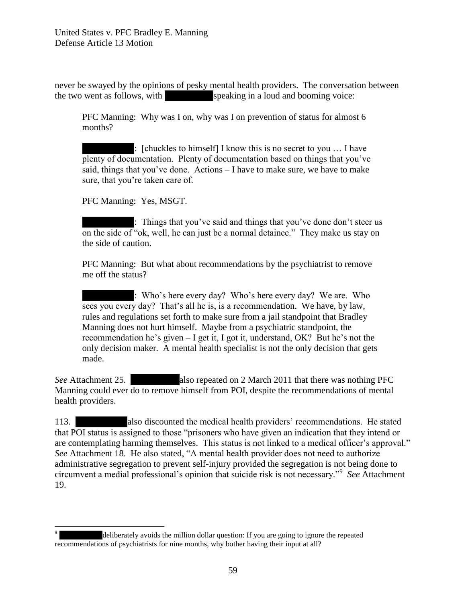never be swayed by the opinions of pesky mental health providers. The conversation between the two went as follows, with \*\*\*\*\*\*\*\*speaking in a loud and booming voice:

PFC Manning: Why was I on, why was I on prevention of status for almost 6 months?

: [chuckles to himself] I know this is no secret to you  $\dots$  I have plenty of documentation. Plenty of documentation based on things that you've said, things that you've done. Actions – I have to make sure, we have to make sure, that you're taken care of.

PFC Manning: Yes, MSGT.

: Things that you've said and things that you've done don't steer us on the side of "ok, well, he can just be a normal detainee." They make us stay on the side of caution.

PFC Manning: But what about recommendations by the psychiatrist to remove me off the status?

: Who's here every day? Who's here every day? We are. Who sees you every day? That's all he is, is a recommendation. We have, by law, rules and regulations set forth to make sure from a jail standpoint that Bradley Manning does not hurt himself. Maybe from a psychiatric standpoint, the recommendation he's given – I get it, I got it, understand, OK? But he's not the only decision maker. A mental health specialist is not the only decision that gets made.

*See* Attachment 25. \*\*\*\*\*\*\*\*\*\*\*also repeated on 2 March 2011 that there was nothing PFC Manning could ever do to remove himself from POI, despite the recommendations of mental health providers.

113. \*\*\*\*also discounted the medical health providers' recommendations. He stated that POI status is assigned to those "prisoners who have given an indication that they intend or are contemplating harming themselves. This status is not linked to a medical officer's approval." *See* Attachment 18. He also stated, "A mental health provider does not need to authorize administrative segregation to prevent self-injury provided the segregation is not being done to circumvent a medial professional's opinion that suicide risk is not necessary."<sup>9</sup> *See* Attachment 19.

 $\overline{a}$ 9 deliberately avoids the million dollar question: If you are going to ignore the repeated recommendations of psychiatrists for nine months, why bother having their input at all?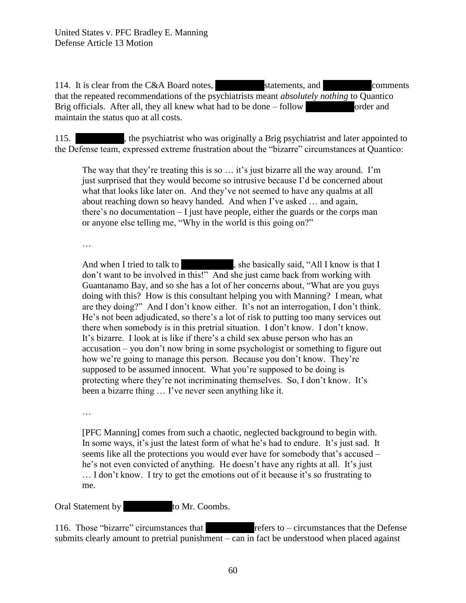114. It is clear from the C&A Board notes, \*\*Redacted\*\*statements, and \*\*Redacted\*\*comments that the repeated recommendations of the psychiatrists meant *absolutely nothing* to Quantico Brig officials. After all, they all knew what had to be done  $-$  follow  $\overline{\phantom{a}}$  order and maintain the status quo at all costs.

115. \*\*Redacted\*\*, the psychiatrist who was originally a Brig psychiatrist and later appointed to the Defense team, expressed extreme frustration about the "bizarre" circumstances at Quantico:

The way that they're treating this is so … it's just bizarre all the way around. I'm just surprised that they would become so intrusive because I'd be concerned about what that looks like later on. And they've not seemed to have any qualms at all about reaching down so heavy handed. And when I've asked … and again, there's no documentation – I just have people, either the guards or the corps man or anyone else telling me, "Why in the world is this going on?"

…

And when I tried to talk to \*\*\*\*, she basically said, "All I know is that I don't want to be involved in this!" And she just came back from working with Guantanamo Bay, and so she has a lot of her concerns about, "What are you guys doing with this? How is this consultant helping you with Manning? I mean, what are they doing?" And I don't know either. It's not an interrogation, I don't think. He's not been adjudicated, so there's a lot of risk to putting too many services out there when somebody is in this pretrial situation. I don't know. I don't know. It's bizarre. I look at is like if there's a child sex abuse person who has an accusation – you don't now bring in some psychologist or something to figure out how we're going to manage this person. Because you don't know. They're supposed to be assumed innocent. What you're supposed to be doing is protecting where they're not incriminating themselves. So, I don't know. It's been a bizarre thing … I've never seen anything like it.

…

[PFC Manning] comes from such a chaotic, neglected background to begin with. In some ways, it's just the latest form of what he's had to endure. It's just sad. It seems like all the protections you would ever have for somebody that's accused – he's not even convicted of anything. He doesn't have any rights at all. It's just

… I don't know. I try to get the emotions out of it because it's so frustrating to me.

Oral Statement by  $\qquad \qquad$  to Mr. Coombs.

116. Those "bizarre" circumstances that  $\frac{r}{R}$  refers to – circumstances that the Defense submits clearly amount to pretrial punishment – can in fact be understood when placed against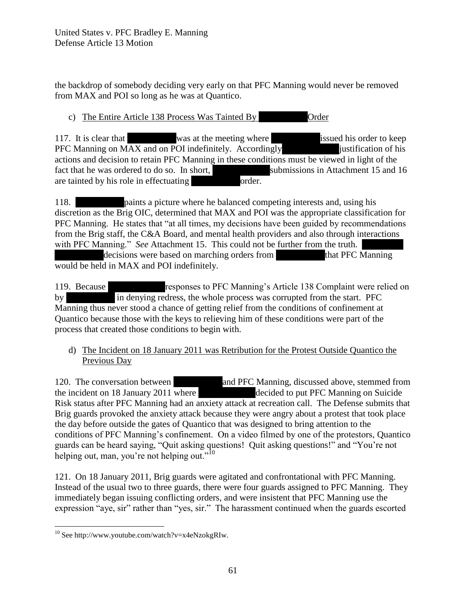the backdrop of somebody deciding very early on that PFC Manning would never be removed from MAX and POI so long as he was at Quantico.

# c) The Entire Article 138 Process Was Tainted By Order

117. It is clear that \*\*Redacted\*\*was at the meeting where \*\*Redacted\*\*issued his order to keep PFC Manning on  $\overline{MAX}$  and on POI indefinitely. Accordingly iustification of his actions and decision to retain PFC Manning in these conditions must be viewed in light of the fact that he was ordered to do so. In short,  $\blacksquare$  submissions in Attachment 15 and 16 are tainted by his role in effectuating \*\*\*\*\*\*\*\*order.

118. \*\*\*\*paints a picture where he balanced competing interests and, using his discretion as the Brig OIC, determined that MAX and POI was the appropriate classification for PFC Manning. He states that "at all times, my decisions have been guided by recommendations from the Brig staff, the C&A Board, and mental health providers and also through interactions with PFC Manning." *See* Attachment 15. This could not be further from the truth.

decisions were based on marching orders from  $\frac{1}{\pi}$  that PFC Manning would be held in MAX and POI indefinitely.

119. Because \*\*Redacted\*\*\*\*responses to PFC Manning's Article 138 Complaint were relied on by  $\frac{1}{R}$  in denying redress, the whole process was corrupted from the start. PFC Manning thus never stood a chance of getting relief from the conditions of confinement at Quantico because those with the keys to relieving him of these conditions were part of the process that created those conditions to begin with.

d) The Incident on 18 January 2011 was Retribution for the Protest Outside Quantico the Previous Day

120. The conversation between \*\*\*\*\*\*and PFC Manning, discussed above, stemmed from the incident on 18 January 2011 where  $\frac{d}{dx}$  decided to put PFC Manning on Suicide Risk status after PFC Manning had an anxiety attack at recreation call. The Defense submits that Brig guards provoked the anxiety attack because they were angry about a protest that took place the day before outside the gates of Quantico that was designed to bring attention to the conditions of PFC Manning's confinement. On a video filmed by one of the protestors, Quantico guards can be heard saying, "Quit asking questions! Quit asking questions!" and "You're not helping out, man, you're not helping out." $10$ 

121. On 18 January 2011, Brig guards were agitated and confrontational with PFC Manning. Instead of the usual two to three guards, there were four guards assigned to PFC Manning. They immediately began issuing conflicting orders, and were insistent that PFC Manning use the expression "aye, sir" rather than "yes, sir." The harassment continued when the guards escorted

 $\overline{a}$  $10$  See http://www.youtube.com/watch?v=x4eNzokgRIw.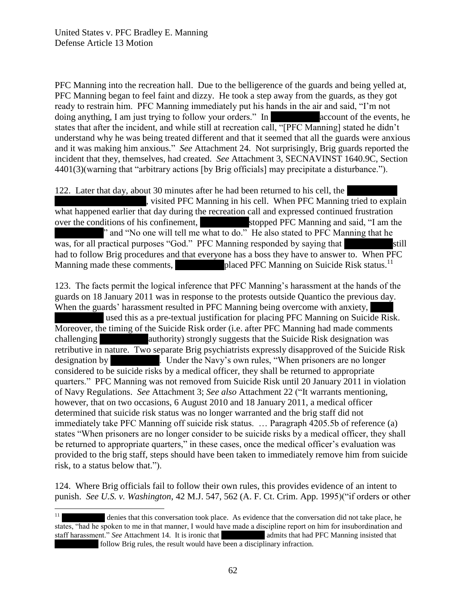PFC Manning into the recreation hall. Due to the belligerence of the guards and being yelled at, PFC Manning began to feel faint and dizzy. He took a step away from the guards, as they got ready to restrain him. PFC Manning immediately put his hands in the air and said, "I'm not doing anything, I am just trying to follow your orders." In \*\*\*\*\*\*\*\*\* account of the events, he states that after the incident, and while still at recreation call, "[PFC Manning] stated he didn't understand why he was being treated different and that it seemed that all the guards were anxious and it was making him anxious." *See* Attachment 24. Not surprisingly, Brig guards reported the incident that they, themselves, had created. *See* Attachment 3, SECNAVINST 1640.9C, Section 4401(3)(warning that "arbitrary actions [by Brig officials] may precipitate a disturbance.").

122. Later that day, about 30 minutes after he had been returned to his cell, the , visited PFC Manning in his cell. When PFC Manning tried to explain what happened earlier that day during the recreation call and expressed continued frustration over the conditions of his confinement, \*\*Redacted\*\*stopped PFC Manning and said, "I am the  $*$  and "No one will tell me what to do." He also stated to PFC Manning that he was, for all practical purposes "God." PFC Manning responded by saying that  $\overline{\phantom{a}}$  still had to follow Brig procedures and that everyone has a boss they have to answer to. When PFC Manning made these comments,  $\mu$  placed PFC Manning on Suicide Risk status.<sup>11</sup>

123. The facts permit the logical inference that PFC Manning's harassment at the hands of the guards on 18 January 2011 was in response to the protests outside Quantico the previous day. When the guards' harassment resulted in PFC Manning being overcome with anxiety, used this as a pre-textual justification for placing PFC Manning on Suicide Risk. Moreover, the timing of the Suicide Risk order (i.e. after PFC Manning had made comments challenging authority) strongly suggests that the Suicide Risk designation was retributive in nature. Two separate Brig psychiatrists expressly disapproved of the Suicide Risk designation by : Under the Navy's own rules, "When prisoners are no longer considered to be suicide risks by a medical officer, they shall be returned to appropriate quarters." PFC Manning was not removed from Suicide Risk until 20 January 2011 in violation of Navy Regulations. *See* Attachment 3; *See also* Attachment 22 ("It warrants mentioning, however, that on two occasions, 6 August 2010 and 18 January 2011, a medical officer determined that suicide risk status was no longer warranted and the brig staff did not immediately take PFC Manning off suicide risk status. … Paragraph 4205.5b of reference (a) states "When prisoners are no longer consider to be suicide risks by a medical officer, they shall be returned to appropriate quarters," in these cases, once the medical officer's evaluation was provided to the brig staff, steps should have been taken to immediately remove him from suicide risk, to a status below that.").

124. Where Brig officials fail to follow their own rules, this provides evidence of an intent to punish. *See U.S. v. Washington*, 42 M.J. 547, 562 (A. F. Ct. Crim. App. 1995)("if orders or other

 $11\,$ denies that this conversation took place. As evidence that the conversation did not take place, he states, "had he spoken to me in that manner, I would have made a discipline report on him for insubordination and staff harassment." *See* Attachment 14. It is ironic that \*\*\*\* admits that had PFC Manning insisted that follow Brig rules, the result would have been a disciplinary infraction.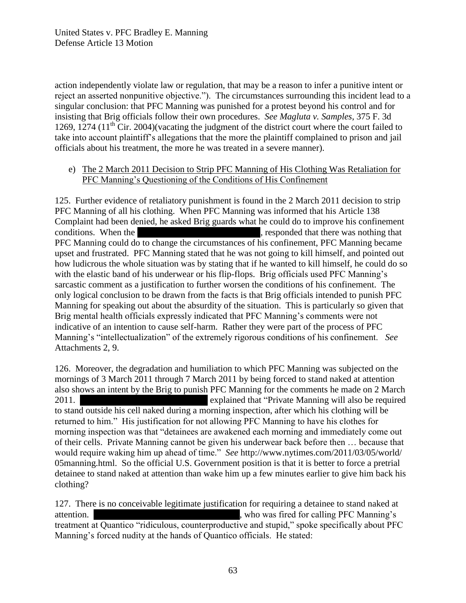action independently violate law or regulation, that may be a reason to infer a punitive intent or reject an asserted nonpunitive objective."). The circumstances surrounding this incident lead to a singular conclusion: that PFC Manning was punished for a protest beyond his control and for insisting that Brig officials follow their own procedures. *See Magluta v. Samples*, 375 F. 3d 1269, 1274 (11<sup>th</sup> Cir. 2004)(vacating the judgment of the district court where the court failed to take into account plaintiff's allegations that the more the plaintiff complained to prison and jail officials about his treatment, the more he was treated in a severe manner).

#### e) The 2 March 2011 Decision to Strip PFC Manning of His Clothing Was Retaliation for PFC Manning's Questioning of the Conditions of His Confinement

125. Further evidence of retaliatory punishment is found in the 2 March 2011 decision to strip PFC Manning of all his clothing. When PFC Manning was informed that his Article 138 Complaint had been denied, he asked Brig guards what he could do to improve his confinement conditions. When the  $\blacksquare$  the second that there was nothing that PFC Manning could do to change the circumstances of his confinement, PFC Manning became upset and frustrated. PFC Manning stated that he was not going to kill himself, and pointed out how ludicrous the whole situation was by stating that if he wanted to kill himself, he could do so with the elastic band of his underwear or his flip-flops. Brig officials used PFC Manning's sarcastic comment as a justification to further worsen the conditions of his confinement. The only logical conclusion to be drawn from the facts is that Brig officials intended to punish PFC Manning for speaking out about the absurdity of the situation. This is particularly so given that Brig mental health officials expressly indicated that PFC Manning's comments were not indicative of an intention to cause self-harm. Rather they were part of the process of PFC Manning's "intellectualization" of the extremely rigorous conditions of his confinement. *See*  Attachments 2, 9.

126. Moreover, the degradation and humiliation to which PFC Manning was subjected on the mornings of 3 March 2011 through 7 March 2011 by being forced to stand naked at attention also shows an intent by the Brig to punish PFC Manning for the comments he made on 2 March 2011. \*\*\*\*\*\*\*\*\*\*\*\*\*\*\*\*\*\*\*\*\*\*\*\*\*\*\*\* explained that "Private Manning will also be required to stand outside his cell naked during a morning inspection, after which his clothing will be returned to him." His justification for not allowing PFC Manning to have his clothes for morning inspection was that "detainees are awakened each morning and immediately come out of their cells. Private Manning cannot be given his underwear back before then … because that would require waking him up ahead of time." *See* http://www.nytimes.com/2011/03/05/world/ 05manning.html. So the official U.S. Government position is that it is better to force a pretrial detainee to stand naked at attention than wake him up a few minutes earlier to give him back his clothing?

127. There is no conceivable legitimate justification for requiring a detainee to stand naked at attention. \*\*\*\*\*\*\*\*\*\*\*\*\*\*\*\*\*\*\*\*\*\*\*\*\*\*\*\*\*\*\*\*, who was fired for calling PFC Manning's treatment at Quantico "ridiculous, counterproductive and stupid," spoke specifically about PFC Manning's forced nudity at the hands of Quantico officials. He stated: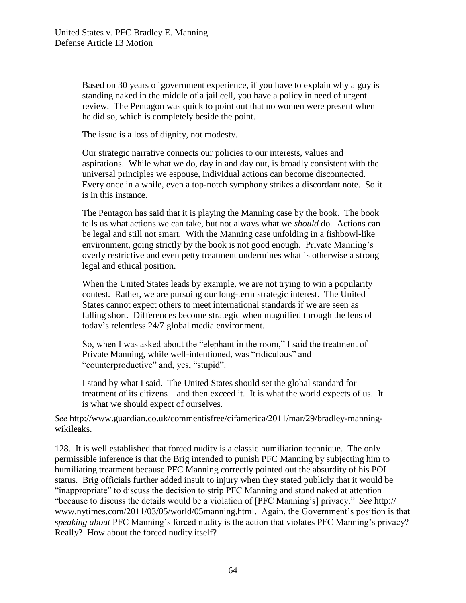Based on 30 years of government experience, if you have to explain why a guy is standing naked in the middle of a jail cell, you have a policy in need of urgent review. The Pentagon was quick to point out that no women were present when he did so, which is completely beside the point.

The issue is a loss of dignity, not modesty.

Our strategic narrative connects our policies to our interests, values and aspirations. While what we do, day in and day out, is broadly consistent with the universal principles we espouse, individual actions can become disconnected. Every once in a while, even a top-notch symphony strikes a discordant note. So it is in this instance.

The Pentagon has said that it is playing the Manning case by the book. The book tells us what actions we can take, but not always what we *should* do. Actions can be legal and still not smart. With the Manning case unfolding in a fishbowl-like environment, going strictly by the book is not good enough. Private Manning's overly restrictive and even petty treatment undermines what is otherwise a strong legal and ethical position.

When the United States leads by example, we are not trying to win a popularity contest. Rather, we are pursuing our long-term strategic interest. The United States cannot expect others to meet international standards if we are seen as falling short. Differences become strategic when magnified through the lens of today's relentless 24/7 global media environment.

So, when I was asked about the "elephant in the room," I said the treatment of Private Manning, while well-intentioned, was "ridiculous" and "counterproductive" and, yes, "stupid".

[I stand by what I said.](http://www.guardian.co.uk/world/2011/mar/28/no-regrets-pj-crowley-bradley-manning-wikileaks?INTCMP=SRCH) The United States should set the global standard for treatment of its citizens – and then exceed it. It is what the world expects of us. It is what we should expect of ourselves.

*See* http://www.guardian.co.uk/commentisfree/cifamerica/2011/mar/29/bradley-manningwikileaks.

128. It is well established that forced nudity is a classic humiliation technique. The only permissible inference is that the Brig intended to punish PFC Manning by subjecting him to humiliating treatment because PFC Manning correctly pointed out the absurdity of his POI status. Brig officials further added insult to injury when they stated publicly that it would be "inappropriate" to discuss the decision to strip PFC Manning and stand naked at attention "because to discuss the details would be a violation of [PFC Manning's] privacy." *See* http:// www.nytimes.com/2011/03/05/world/05manning.html. Again, the Government's position is that *speaking about* PFC Manning's forced nudity is the action that violates PFC Manning's privacy? Really? How about the forced nudity itself?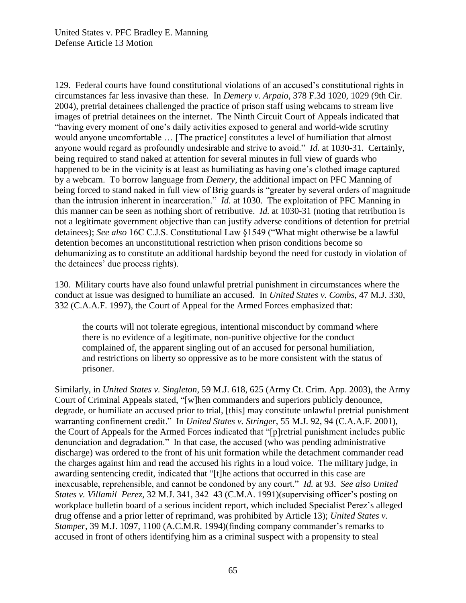129. Federal courts have found constitutional violations of an accused's constitutional rights in circumstances far less invasive than these. In *Demery v. Arpaio*, 378 F.3d 1020, 1029 (9th Cir. 2004), pretrial detainees challenged the practice of prison staff using webcams to stream live images of pretrial detainees on the internet. The Ninth Circuit Court of Appeals indicated that "having every moment of one's daily activities exposed to general and world-wide scrutiny would anyone uncomfortable … [The practice] constitutes a level of humiliation that almost anyone would regard as profoundly undesirable and strive to avoid." *Id.* at 1030-31. Certainly, being required to stand naked at attention for several minutes in full view of guards who happened to be in the vicinity is at least as humiliating as having one's clothed image captured by a webcam. To borrow language from *Demery*, the additional impact on PFC Manning of being forced to stand naked in full view of Brig guards is "greater by several orders of magnitude than the intrusion inherent in incarceration." *Id.* at 1030. The exploitation of PFC Manning in this manner can be seen as nothing short of retributive. *Id.* at 1030-31 (noting that retribution is not a legitimate government objective than can justify adverse conditions of detention for pretrial detainees); *See also* 16C C.J.S. Constitutional Law §1549 ("What might otherwise be a lawful detention becomes an unconstitutional restriction when prison conditions become so dehumanizing as to constitute an additional hardship beyond the need for custody in violation of the detainees' due process rights).

130. Military courts have also found unlawful pretrial punishment in circumstances where the conduct at issue was designed to humiliate an accused. In *United States v. Combs*, 47 M.J. 330, 332 (C.A.A.F. 1997), the Court of Appeal for the Armed Forces emphasized that:

the courts will not tolerate egregious, intentional misconduct by command where there is no evidence of a legitimate, non-punitive objective for the conduct complained of, the apparent singling out of an accused for personal humiliation, and restrictions on liberty so oppressive as to be more consistent with the status of prisoner.

Similarly, in *United States v. Singleton*, 59 M.J. 618, 625 (Army Ct. Crim. App. 2003), the Army Court of Criminal Appeals stated, "[w]hen commanders and superiors publicly denounce, degrade, or humiliate an accused prior to trial, [this] may constitute unlawful pretrial punishment warranting confinement credit." In *United States v. Stringer*, 55 M.J. 92, 94 (C.A.A.F. 2001), the Court of Appeals for the Armed Forces indicated that "[p]retrial punishment includes public denunciation and degradation." In that case, the accused (who was pending administrative discharge) was ordered to the front of his unit formation while the detachment commander read the charges against him and read the accused his rights in a loud voice. The military judge, in awarding sentencing credit, indicated that "[t]he actions that occurred in this case are inexcusable, reprehensible, and cannot be condoned by any court." *Id.* at 93. *See also United States v. Villamil–Perez,* 32 M.J. 341, 342–43 (C.M.A. 1991)(supervising officer's posting on workplace bulletin board of a serious incident report, which included Specialist Perez's alleged drug offense and a prior letter of reprimand, was prohibited by Article 13); *United States v. Stamper,* 39 M.J. 1097, 1100 (A.C.M.R. 1994)(finding company commander's remarks to accused in front of others identifying him as a criminal suspect with a propensity to steal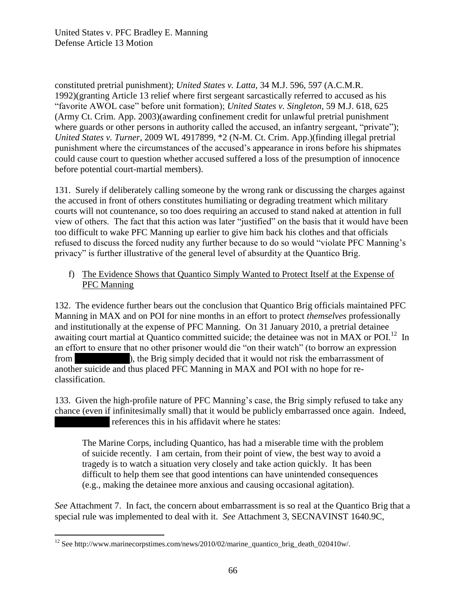constituted pretrial punishment); *United States v. Latta,* 34 M.J. 596, 597 (A.C.M.R. 1992)(granting Article 13 relief where first sergeant sarcastically referred to accused as his "favorite AWOL case" before unit formation); *United States v. Singleton*, 59 M.J. 618, 625 (Army Ct. Crim. App. 2003)(awarding confinement credit for unlawful pretrial punishment where guards or other persons in authority called the accused, an infantry sergeant, "private"); *United States v. Turner*, 2009 WL 4917899, \*2 (N-M. Ct. Crim. App.)(finding illegal pretrial punishment where the circumstances of the accused's appearance in irons before his shipmates could cause court to question whether accused suffered a loss of the presumption of innocence before potential court-martial members).

131. Surely if deliberately calling someone by the wrong rank or discussing the charges against the accused in front of others constitutes humiliating or degrading treatment which military courts will not countenance, so too does requiring an accused to stand naked at attention in full view of others. The fact that this action was later "justified" on the basis that it would have been too difficult to wake PFC Manning up earlier to give him back his clothes and that officials refused to discuss the forced nudity any further because to do so would "violate PFC Manning's privacy" is further illustrative of the general level of absurdity at the Quantico Brig.

### f) The Evidence Shows that Quantico Simply Wanted to Protect Itself at the Expense of PFC Manning

132. The evidence further bears out the conclusion that Quantico Brig officials maintained PFC Manning in MAX and on POI for nine months in an effort to protect *themselves* professionally and institutionally at the expense of PFC Manning. On 31 January 2010, a pretrial detainee awaiting court martial at Quantico committed suicide; the detainee was not in MAX or POI.<sup>12</sup> In an effort to ensure that no other prisoner would die "on their watch" (to borrow an expression from  $\blacksquare$ , the Brig simply decided that it would not risk the embarrassment of another suicide and thus placed PFC Manning in MAX and POI with no hope for reclassification.

133. Given the high-profile nature of PFC Manning's case, the Brig simply refused to take any chance (even if infinitesimally small) that it would be publicly embarrassed once again. Indeed, references this in his affidavit where he states:

The Marine Corps, including Quantico, has had a miserable time with the problem of suicide recently. I am certain, from their point of view, the best way to avoid a tragedy is to watch a situation very closely and take action quickly. It has been difficult to help them see that good intentions can have unintended consequences (e.g., making the detainee more anxious and causing occasional agitation).

*See* Attachment 7. In fact, the concern about embarrassment is so real at the Quantico Brig that a special rule was implemented to deal with it. *See* Attachment 3, SECNAVINST 1640.9C,

 $\overline{a}$  $12$  See http://www.marinecorpstimes.com/news/2010/02/marine\_quantico\_brig\_death\_020410w/.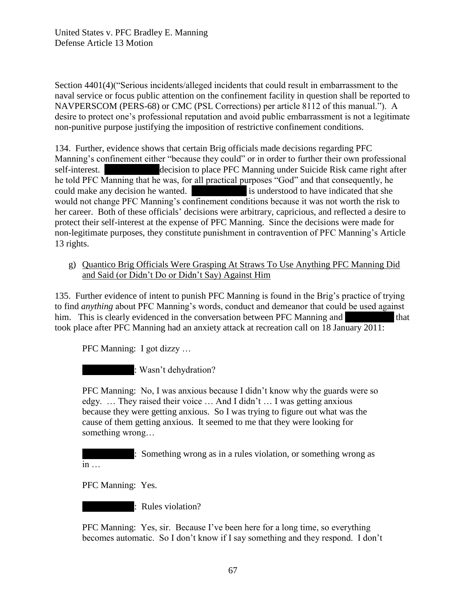United States v. PFC Bradley E. Manning Defense Article 13 Motion

Section 4401(4)("Serious incidents/alleged incidents that could result in embarrassment to the naval service or focus public attention on the confinement facility in question shall be reported to NAVPERSCOM (PERS-68) or CMC (PSL Corrections) per article 8112 of this manual."). A desire to protect one's professional reputation and avoid public embarrassment is not a legitimate non-punitive purpose justifying the imposition of restrictive confinement conditions.

134. Further, evidence shows that certain Brig officials made decisions regarding PFC Manning's confinement either "because they could" or in order to further their own professional self-interest. \*\*Redacted\*\*decision to place PFC Manning under Suicide Risk came right after he told PFC Manning that he was, for all practical purposes "God" and that consequently, he could make any decision he wanted. \*\*\*\*\* is understood to have indicated that she would not change PFC Manning's confinement conditions because it was not worth the risk to her career. Both of these officials' decisions were arbitrary, capricious, and reflected a desire to protect their self-interest at the expense of PFC Manning. Since the decisions were made for non-legitimate purposes, they constitute punishment in contravention of PFC Manning's Article 13 rights.

g) Quantico Brig Officials Were Grasping At Straws To Use Anything PFC Manning Did and Said (or Didn't Do or Didn't Say) Against Him

135. Further evidence of intent to punish PFC Manning is found in the Brig's practice of trying to find *anything* about PFC Manning's words, conduct and demeanor that could be used against him. This is clearly evidenced in the conversation between PFC Manning and \*\*\* took place after PFC Manning had an anxiety attack at recreation call on 18 January 2011:

PFC Manning: I got dizzy …

: Wasn't dehydration?

PFC Manning: No, I was anxious because I didn't know why the guards were so edgy. … They raised their voice … And I didn't … I was getting anxious because they were getting anxious. So I was trying to figure out what was the cause of them getting anxious. It seemed to me that they were looking for something wrong…

: Something wrong as in a rules violation, or something wrong as  $in \dots$ 

PFC Manning: Yes.

: Rules violation?

PFC Manning: Yes, sir. Because I've been here for a long time, so everything becomes automatic. So I don't know if I say something and they respond. I don't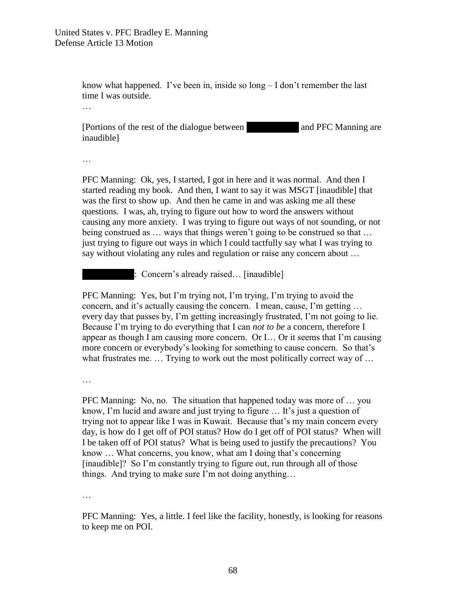know what happened. I've been in, inside so long – I don't remember the last time I was outside.

…

[Portions of the rest of the dialogue between  $\blacksquare$  and PFC Manning are inaudible]

…

PFC Manning: Ok, yes, I started, I got in here and it was normal. And then I started reading my book. And then, I want to say it was MSGT [inaudible] that was the first to show up. And then he came in and was asking me all these questions. I was, ah, trying to figure out how to word the answers without causing any more anxiety. I was trying to figure out ways of not sounding, or not being construed as … ways that things weren't going to be construed so that … just trying to figure out ways in which I could tactfully say what I was trying to say without violating any rules and regulation or raise any concern about …

 $:$  Concern's already raised... [inaudible]

PFC Manning: Yes, but I'm trying not, I'm trying, I'm trying to avoid the concern, and it's actually causing the concern. I mean, cause, I'm getting … every day that passes by, I'm getting increasingly frustrated, I'm not going to lie. Because I'm trying to do everything that I can *not to be* a concern, therefore I appear as though I am causing more concern. Or I… Or it seems that I'm causing more concern or everybody's looking for something to cause concern. So that's what frustrates me. ... Trying to work out the most politically correct way of ...

…

PFC Manning: No, no. The situation that happened today was more of … you know, I'm lucid and aware and just trying to figure … It's just a question of trying not to appear like I was in Kuwait. Because that's my main concern every day, is how do I get off of POI status? How do I get off of POI status? When will I be taken off of POI status? What is being used to justify the precautions? You know … What concerns, you know, what am I doing that's concerning [inaudible]? So I'm constantly trying to figure out, run through all of those things. And trying to make sure I'm not doing anything…

…

PFC Manning: Yes, a little. I feel like the facility, honestly, is looking for reasons to keep me on POI.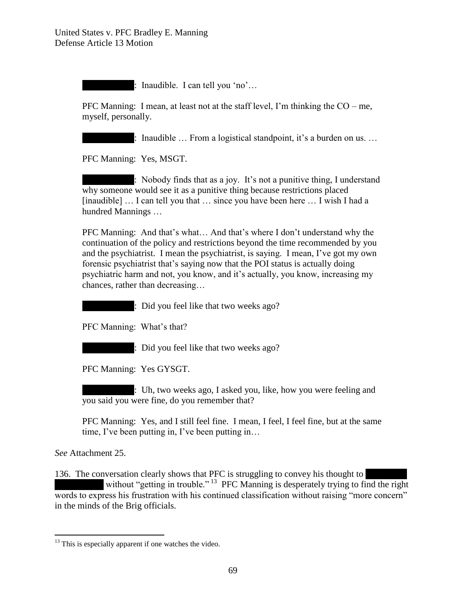: Inaudible. I can tell you 'no'...

PFC Manning: I mean, at least not at the staff level, I'm thinking the CO – me, myself, personally.

: Inaudible  $\ldots$  From a logistical standpoint, it's a burden on us.  $\ldots$ 

PFC Manning: Yes, MSGT.

: Nobody finds that as a joy. It's not a punitive thing, I understand why someone would see it as a punitive thing because restrictions placed [inaudible] … I can tell you that … since you have been here … I wish I had a hundred Mannings …

PFC Manning: And that's what… And that's where I don't understand why the continuation of the policy and restrictions beyond the time recommended by you and the psychiatrist. I mean the psychiatrist, is saying. I mean, I've got my own forensic psychiatrist that's saying now that the POI status is actually doing psychiatric harm and not, you know, and it's actually, you know, increasing my chances, rather than decreasing…

: Did you feel like that two weeks ago?

PFC Manning: What's that?

: Did you feel like that two weeks ago?

PFC Manning: Yes GYSGT.

: Uh, two weeks ago, I asked you, like, how you were feeling and you said you were fine, do you remember that?

PFC Manning: Yes, and I still feel fine. I mean, I feel, I feel fine, but at the same time, I've been putting in, I've been putting in…

*See* Attachment 25.

 $\overline{a}$ 

136. The conversation clearly shows that PFC is struggling to convey his thought to without "getting in trouble."<sup>13</sup> PFC Manning is desperately trying to find the right words to express his frustration with his continued classification without raising "more concern" in the minds of the Brig officials.

 $13$  This is especially apparent if one watches the video.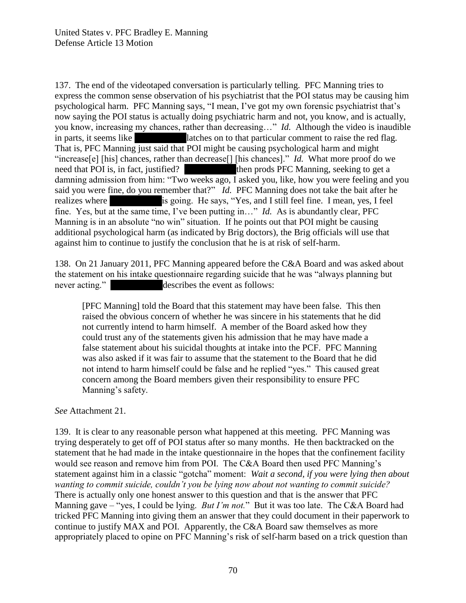137. The end of the videotaped conversation is particularly telling. PFC Manning tries to express the common sense observation of his psychiatrist that the POI status may be causing him psychological harm. PFC Manning says, "I mean, I've got my own forensic psychiatrist that's now saying the POI status is actually doing psychiatric harm and not, you know, and is actually, you know, increasing my chances, rather than decreasing…" *Id.* Although the video is inaudible in parts, it seems like \*\*\*\* latches on to that particular comment to raise the red flag. That is, PFC Manning just said that POI might be causing psychological harm and might "increase[e] [his] chances, rather than decrease[] [his chances]." *Id.* What more proof do we need that POI is, in fact, justified? \*\*Redacted\*\*then prods PFC Manning, seeking to get a damning admission from him: "Two weeks ago, I asked you, like, how you were feeling and you said you were fine, do you remember that?" *Id.* PFC Manning does not take the bait after he realizes where  $\frac{1}{\sqrt{1-\frac{1}{\sqrt{1-\frac{1}{\sqrt{1-\frac{1}{\sqrt{1-\frac{1}{\sqrt{1-\frac{1}{\sqrt{1-\frac{1}{\sqrt{1-\frac{1}{\sqrt{1-\frac{1}{\sqrt{1-\frac{1}{\sqrt{1-\frac{1}{\sqrt{1-\frac{1}{\sqrt{1-\frac{1}{\sqrt{1-\frac{1}{\sqrt{1-\frac{1}{\sqrt{1-\frac{1}{\sqrt{1-\frac{1}{\sqrt{1-\frac{1}{\sqrt{1-\frac{1}{\sqrt{1-\frac{1}{\sqrt{1-\frac{1}{\sqrt{1-\frac{1}{\sqrt{1-\frac{1}{\sqrt{$ fine. Yes, but at the same time, I've been putting in…" *Id.* As is abundantly clear, PFC Manning is in an absolute "no win" situation. If he points out that POI might be causing additional psychological harm (as indicated by Brig doctors), the Brig officials will use that against him to continue to justify the conclusion that he is at risk of self-harm.

138. On 21 January 2011, PFC Manning appeared before the C&A Board and was asked about the statement on his intake questionnaire regarding suicide that he was "always planning but never acting." \*\*\*\*\*\*\*\*\*\*describes the event as follows:

[PFC Manning] told the Board that this statement may have been false. This then raised the obvious concern of whether he was sincere in his statements that he did not currently intend to harm himself. A member of the Board asked how they could trust any of the statements given his admission that he may have made a false statement about his suicidal thoughts at intake into the PCF. PFC Manning was also asked if it was fair to assume that the statement to the Board that he did not intend to harm himself could be false and he replied "yes." This caused great concern among the Board members given their responsibility to ensure PFC Manning's safety.

*See* Attachment 21.

139. It is clear to any reasonable person what happened at this meeting. PFC Manning was trying desperately to get off of POI status after so many months. He then backtracked on the statement that he had made in the intake questionnaire in the hopes that the confinement facility would see reason and remove him from POI. The C&A Board then used PFC Manning's statement against him in a classic "gotcha" moment: *Wait a second, if you were lying then about wanting to commit suicide, couldn't you be lying now about not wanting to commit suicide?* There is actually only one honest answer to this question and that is the answer that PFC Manning gave – "yes, I could be lying. *But I'm not.*" But it was too late. The C&A Board had tricked PFC Manning into giving them an answer that they could document in their paperwork to continue to justify MAX and POI. Apparently, the C&A Board saw themselves as more appropriately placed to opine on PFC Manning's risk of self-harm based on a trick question than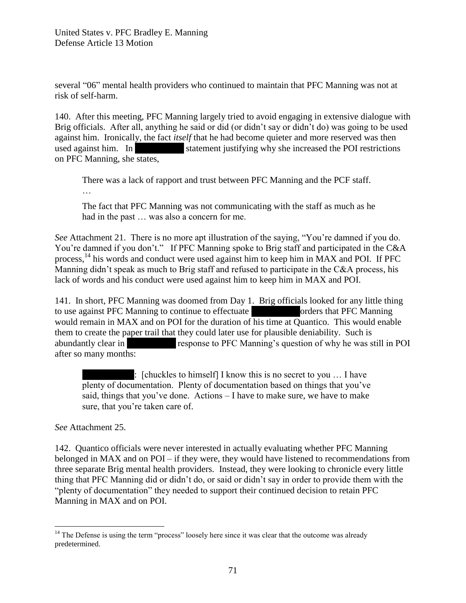United States v. PFC Bradley E. Manning Defense Article 13 Motion

several "06" mental health providers who continued to maintain that PFC Manning was not at risk of self-harm.

140. After this meeting, PFC Manning largely tried to avoid engaging in extensive dialogue with Brig officials. After all, anything he said or did (or didn't say or didn't do) was going to be used against him. Ironically, the fact *itself* that he had become quieter and more reserved was then used against him. In \*\*\*\* statement justifying why she increased the POI restrictions on PFC Manning, she states,

There was a lack of rapport and trust between PFC Manning and the PCF staff.

…

The fact that PFC Manning was not communicating with the staff as much as he had in the past  $\dots$  was also a concern for me.

*See* Attachment 21. There is no more apt illustration of the saying, "You're damned if you do. You're damned if you don't." If PFC Manning spoke to Brig staff and participated in the C&A process,<sup>14</sup> his words and conduct were used against him to keep him in MAX and POI. If PFC Manning didn't speak as much to Brig staff and refused to participate in the C&A process, his lack of words and his conduct were used against him to keep him in MAX and POI.

141. In short, PFC Manning was doomed from Day 1. Brig officials looked for any little thing to use against PFC Manning to continue to effectuate \*\*\*\*\*\*\*\*\*\*\*\*\*orders that PFC Manning would remain in MAX and on POI for the duration of his time at Quantico. This would enable them to create the paper trail that they could later use for plausible deniability. Such is abundantly clear in \*\*\* response to PFC Manning's question of why he was still in POI after so many months:

: [chuckles to himself] I know this is no secret to you  $\dots$  I have plenty of documentation. Plenty of documentation based on things that you've said, things that you've done. Actions – I have to make sure, we have to make sure, that you're taken care of.

*See* Attachment 25.

142. Quantico officials were never interested in actually evaluating whether PFC Manning belonged in MAX and on POI – if they were, they would have listened to recommendations from three separate Brig mental health providers. Instead, they were looking to chronicle every little thing that PFC Manning did or didn't do, or said or didn't say in order to provide them with the "plenty of documentation" they needed to support their continued decision to retain PFC Manning in MAX and on POI.

 $\overline{a}$  $14$  The Defense is using the term "process" loosely here since it was clear that the outcome was already predetermined.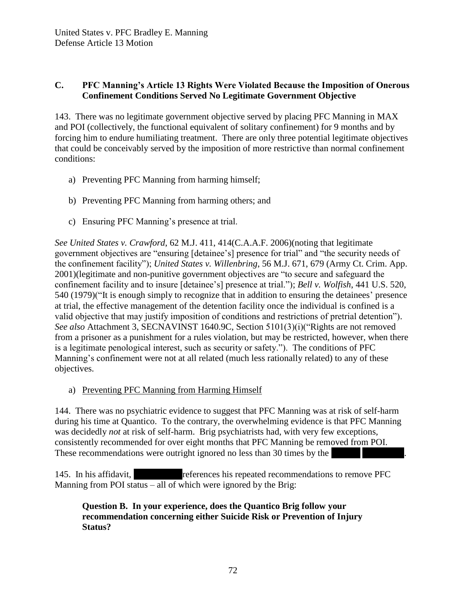#### **C. PFC Manning's Article 13 Rights Were Violated Because the Imposition of Onerous Confinement Conditions Served No Legitimate Government Objective**

143. There was no legitimate government objective served by placing PFC Manning in MAX and POI (collectively, the functional equivalent of solitary confinement) for 9 months and by forcing him to endure humiliating treatment. There are only three potential legitimate objectives that could be conceivably served by the imposition of more restrictive than normal confinement conditions:

- a) Preventing PFC Manning from harming himself;
- b) Preventing PFC Manning from harming others; and
- c) Ensuring PFC Manning's presence at trial.

*See United States v. Crawford*, 62 M.J. 411, 414(C.A.A.F. 2006)(noting that legitimate government objectives are "ensuring [detainee's] presence for trial" and "the security needs of the confinement facility"); *United States v. Willenbring*, 56 M.J. 671, 679 (Army Ct. Crim. App. 2001)(legitimate and non-punitive government objectives are "to secure and safeguard the confinement facility and to insure [detainee's] presence at trial."); *Bell v. Wolfish*, 441 U.S. 520, 540 (1979)("It is enough simply to recognize that in addition to ensuring the detainees' presence at trial, the effective management of the detention facility once the individual is confined is a valid objective that may justify imposition of conditions and restrictions of pretrial detention"). *See also* Attachment 3, SECNAVINST 1640.9C, Section 5101(3)(i)("Rights are not removed from a prisoner as a punishment for a rules violation, but may be restricted, however, when there is a legitimate penological interest, such as security or safety."). The conditions of PFC Manning's confinement were not at all related (much less rationally related) to any of these objectives.

a) Preventing PFC Manning from Harming Himself

144. There was no psychiatric evidence to suggest that PFC Manning was at risk of self-harm during his time at Quantico. To the contrary, the overwhelming evidence is that PFC Manning was decidedly *not* at risk of self-harm. Brig psychiatrists had, with very few exceptions, consistently recommended for over eight months that PFC Manning be removed from POI. These recommendations were outright ignored no less than 30 times by the

145. In his affidavit, the references his repeated recommendations to remove PFC Manning from POI status – all of which were ignored by the Brig:

#### **Question B. In your experience, does the Quantico Brig follow your recommendation concerning either Suicide Risk or Prevention of Injury Status?**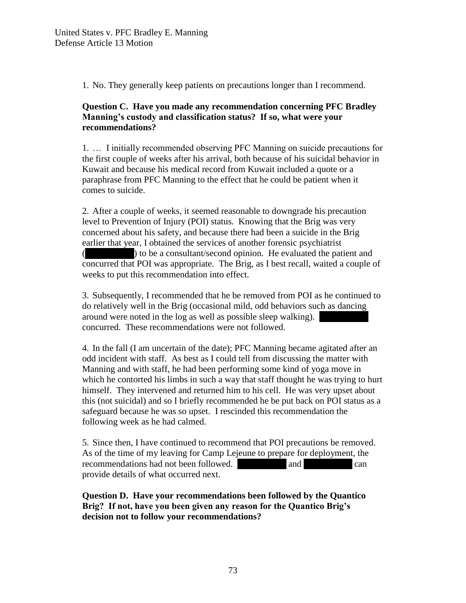1. No. They generally keep patients on precautions longer than I recommend.

#### **Question C. Have you made any recommendation concerning PFC Bradley Manning's custody and classification status? If so, what were your recommendations?**

1. … I initially recommended observing PFC Manning on suicide precautions for the first couple of weeks after his arrival, both because of his suicidal behavior in Kuwait and because his medical record from Kuwait included a quote or a paraphrase from PFC Manning to the effect that he could be patient when it comes to suicide.

2. After a couple of weeks, it seemed reasonable to downgrade his precaution level to Prevention of Injury (POI) status. Knowing that the Brig was very concerned about his safety, and because there had been a suicide in the Brig earlier that year, I obtained the services of another forensic psychiatrist

 $($   $)$  to be a consultant/second opinion. He evaluated the patient and concurred that POI was appropriate. The Brig, as I best recall, waited a couple of weeks to put this recommendation into effect.

3. Subsequently, I recommended that he be removed from POI as he continued to do relatively well in the Brig (occasional mild, odd behaviors such as dancing around were noted in the log as well as possible sleep walking). concurred. These recommendations were not followed.

4. In the fall (I am uncertain of the date); PFC Manning became agitated after an odd incident with staff. As best as I could tell from discussing the matter with Manning and with staff, he had been performing some kind of yoga move in which he contorted his limbs in such a way that staff thought he was trying to hurt himself. They intervened and returned him to his cell. He was very upset about this (not suicidal) and so I briefly recommended he be put back on POI status as a safeguard because he was so upset. I rescinded this recommendation the following week as he had calmed.

5. Since then, I have continued to recommend that POI precautions be removed. As of the time of my leaving for Camp Lejeune to prepare for deployment, the recommendations had not been followed. \*\*\*\* and \*\*\* can provide details of what occurred next.

**Question D. Have your recommendations been followed by the Quantico Brig? If not, have you been given any reason for the Quantico Brig's decision not to follow your recommendations?**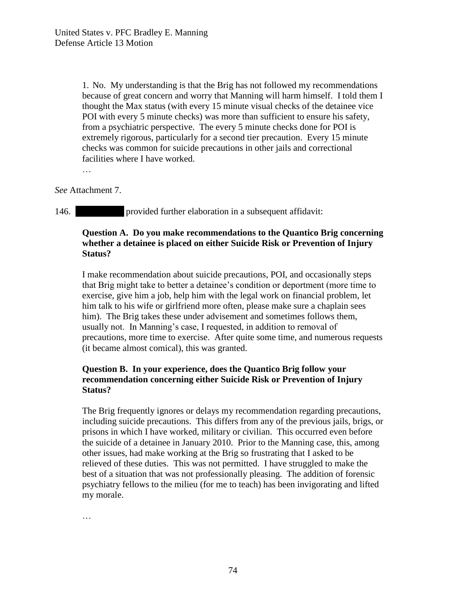1. No. My understanding is that the Brig has not followed my recommendations because of great concern and worry that Manning will harm himself. I told them I thought the Max status (with every 15 minute visual checks of the detainee vice POI with every 5 minute checks) was more than sufficient to ensure his safety, from a psychiatric perspective. The every 5 minute checks done for POI is extremely rigorous, particularly for a second tier precaution. Every 15 minute checks was common for suicide precautions in other jails and correctional facilities where I have worked.

…

*See* Attachment 7.

146. \*\*\* provided further elaboration in a subsequent affidavit:

#### **Question A. Do you make recommendations to the Quantico Brig concerning whether a detainee is placed on either Suicide Risk or Prevention of Injury Status?**

I make recommendation about suicide precautions, POI, and occasionally steps that Brig might take to better a detainee's condition or deportment (more time to exercise, give him a job, help him with the legal work on financial problem, let him talk to his wife or girlfriend more often, please make sure a chaplain sees him). The Brig takes these under advisement and sometimes follows them, usually not. In Manning's case, I requested, in addition to removal of precautions, more time to exercise. After quite some time, and numerous requests (it became almost comical), this was granted.

## **Question B. In your experience, does the Quantico Brig follow your recommendation concerning either Suicide Risk or Prevention of Injury Status?**

The Brig frequently ignores or delays my recommendation regarding precautions, including suicide precautions. This differs from any of the previous jails, brigs, or prisons in which I have worked, military or civilian. This occurred even before the suicide of a detainee in January 2010. Prior to the Manning case, this, among other issues, had make working at the Brig so frustrating that I asked to be relieved of these duties. This was not permitted. I have struggled to make the best of a situation that was not professionally pleasing. The addition of forensic psychiatry fellows to the milieu (for me to teach) has been invigorating and lifted my morale.

…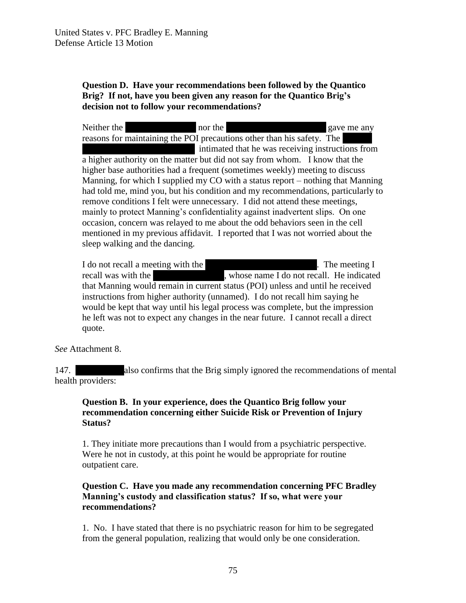## **Question D. Have your recommendations been followed by the Quantico Brig? If not, have you been given any reason for the Quantico Brig's decision not to follow your recommendations?**

Neither the \*\*\*\*\*\*\*\*\*\*\*\*\*\*\*\*\* nor the \*\*\*\*\*\*\*\*\*\*\*\*\*\*\*\*\*\*\*\*\*\*\*\* gave me any reasons for maintaining the POI precautions other than his safety. The intimated that he was receiving instructions from a higher authority on the matter but did not say from whom. I know that the higher base authorities had a frequent (sometimes weekly) meeting to discuss Manning, for which I supplied my CO with a status report – nothing that Manning had told me, mind you, but his condition and my recommendations, particularly to remove conditions I felt were unnecessary. I did not attend these meetings, mainly to protect Manning's confidentiality against inadvertent slips. On one occasion, concern was relayed to me about the odd behaviors seen in the cell mentioned in my previous affidavit. I reported that I was not worried about the sleep walking and the dancing.

I do not recall a meeting with the  $\blacksquare$  The meeting I recall was with the \*\*\*\*\*\*\*\*\*\*\*\*\*\*\*, whose name I do not recall. He indicated that Manning would remain in current status (POI) unless and until he received instructions from higher authority (unnamed). I do not recall him saying he would be kept that way until his legal process was complete, but the impression he left was not to expect any changes in the near future. I cannot recall a direct quote.

*See* Attachment 8.

147. \*\*\*\*also confirms that the Brig simply ignored the recommendations of mental health providers:

## **Question B. In your experience, does the Quantico Brig follow your recommendation concerning either Suicide Risk or Prevention of Injury Status?**

1. They initiate more precautions than I would from a psychiatric perspective. Were he not in custody, at this point he would be appropriate for routine outpatient care.

## **Question C. Have you made any recommendation concerning PFC Bradley Manning's custody and classification status? If so, what were your recommendations?**

1. No. I have stated that there is no psychiatric reason for him to be segregated from the general population, realizing that would only be one consideration.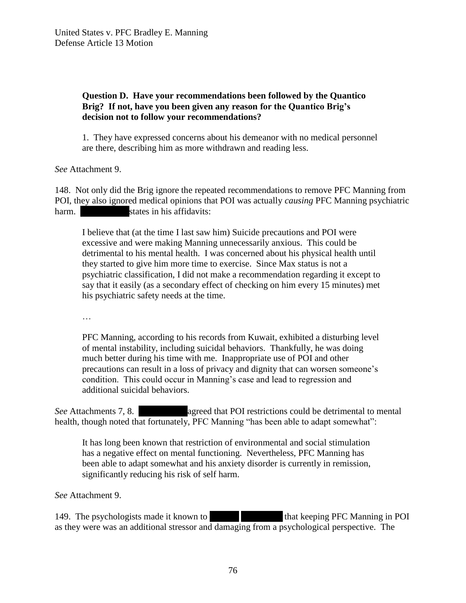## **Question D. Have your recommendations been followed by the Quantico Brig? If not, have you been given any reason for the Quantico Brig's decision not to follow your recommendations?**

1. They have expressed concerns about his demeanor with no medical personnel are there, describing him as more withdrawn and reading less.

*See* Attachment 9.

148. Not only did the Brig ignore the repeated recommendations to remove PFC Manning from POI, they also ignored medical opinions that POI was actually *causing* PFC Manning psychiatric harm. \*\*Redacted\*\*states in his affidavits:

I believe that (at the time I last saw him) Suicide precautions and POI were excessive and were making Manning unnecessarily anxious. This could be detrimental to his mental health. I was concerned about his physical health until they started to give him more time to exercise. Since Max status is not a psychiatric classification, I did not make a recommendation regarding it except to say that it easily (as a secondary effect of checking on him every 15 minutes) met his psychiatric safety needs at the time.

…

PFC Manning, according to his records from Kuwait, exhibited a disturbing level of mental instability, including suicidal behaviors. Thankfully, he was doing much better during his time with me. Inappropriate use of POI and other precautions can result in a loss of privacy and dignity that can worsen someone's condition. This could occur in Manning's case and lead to regression and additional suicidal behaviors.

*See* Attachments 7, 8. \*\*\*\*\*\*\*agreed that POI restrictions could be detrimental to mental health, though noted that fortunately, PFC Manning "has been able to adapt somewhat":

It has long been known that restriction of environmental and social stimulation has a negative effect on mental functioning. Nevertheless, PFC Manning has been able to adapt somewhat and his anxiety disorder is currently in remission, significantly reducing his risk of self harm.

*See* Attachment 9.

149. The psychologists made it known to \*\*\*\* \*\*\* that keeping PFC Manning in POI as they were was an additional stressor and damaging from a psychological perspective. The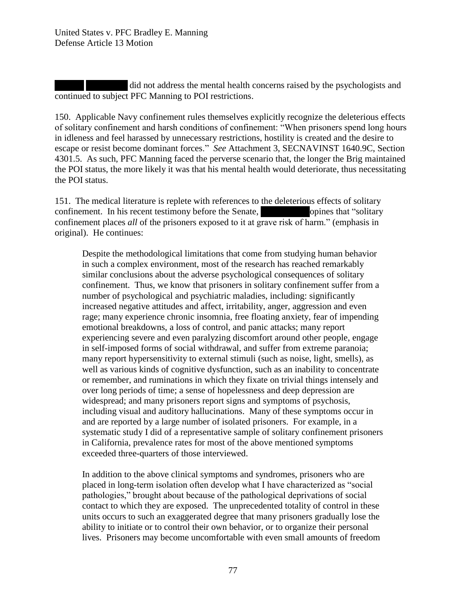did not address the mental health concerns raised by the psychologists and continued to subject PFC Manning to POI restrictions.

150. Applicable Navy confinement rules themselves explicitly recognize the deleterious effects of solitary confinement and harsh conditions of confinement: "When prisoners spend long hours in idleness and feel harassed by unnecessary restrictions, hostility is created and the desire to escape or resist become dominant forces." *See* Attachment 3, SECNAVINST 1640.9C, Section 4301.5. As such, PFC Manning faced the perverse scenario that, the longer the Brig maintained the POI status, the more likely it was that his mental health would deteriorate, thus necessitating the POI status.

151. The medical literature is replete with references to the deleterious effects of solitary confinement. In his recent testimony before the Senate, \*\*\*\*\*\*\*opines that "solitary" confinement places *all* of the prisoners exposed to it at grave risk of harm." (emphasis in original). He continues:

Despite the methodological limitations that come from studying human behavior in such a complex environment, most of the research has reached remarkably similar conclusions about the adverse psychological consequences of solitary confinement. Thus, we know that prisoners in solitary confinement suffer from a number of psychological and psychiatric maladies, including: significantly increased negative attitudes and affect, irritability, anger, aggression and even rage; many experience chronic insomnia, free floating anxiety, fear of impending emotional breakdowns, a loss of control, and panic attacks; many report experiencing severe and even paralyzing discomfort around other people, engage in self-imposed forms of social withdrawal, and suffer from extreme paranoia; many report hypersensitivity to external stimuli (such as noise, light, smells), as well as various kinds of cognitive dysfunction, such as an inability to concentrate or remember, and ruminations in which they fixate on trivial things intensely and over long periods of time; a sense of hopelessness and deep depression are widespread; and many prisoners report signs and symptoms of psychosis, including visual and auditory hallucinations. Many of these symptoms occur in and are reported by a large number of isolated prisoners. For example, in a systematic study I did of a representative sample of solitary confinement prisoners in California, prevalence rates for most of the above mentioned symptoms exceeded three-quarters of those interviewed.

In addition to the above clinical symptoms and syndromes, prisoners who are placed in long-term isolation often develop what I have characterized as "social pathologies," brought about because of the pathological deprivations of social contact to which they are exposed. The unprecedented totality of control in these units occurs to such an exaggerated degree that many prisoners gradually lose the ability to initiate or to control their own behavior, or to organize their personal lives. Prisoners may become uncomfortable with even small amounts of freedom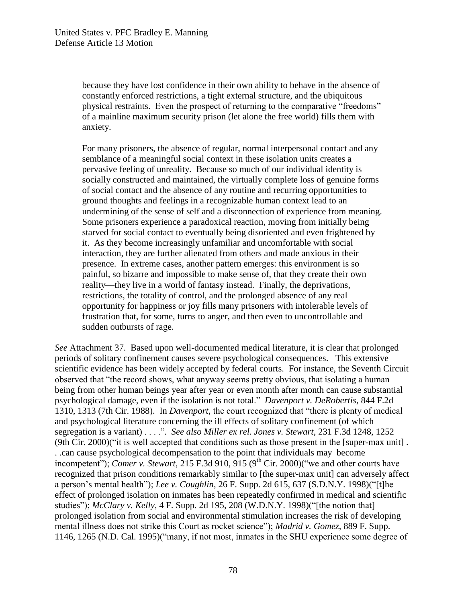because they have lost confidence in their own ability to behave in the absence of constantly enforced restrictions, a tight external structure, and the ubiquitous physical restraints. Even the prospect of returning to the comparative "freedoms" of a mainline maximum security prison (let alone the free world) fills them with anxiety.

For many prisoners, the absence of regular, normal interpersonal contact and any semblance of a meaningful social context in these isolation units creates a pervasive feeling of unreality. Because so much of our individual identity is socially constructed and maintained, the virtually complete loss of genuine forms of social contact and the absence of any routine and recurring opportunities to ground thoughts and feelings in a recognizable human context lead to an undermining of the sense of self and a disconnection of experience from meaning. Some prisoners experience a paradoxical reaction, moving from initially being starved for social contact to eventually being disoriented and even frightened by it. As they become increasingly unfamiliar and uncomfortable with social interaction, they are further alienated from others and made anxious in their presence. In extreme cases, another pattern emerges: this environment is so painful, so bizarre and impossible to make sense of, that they create their own reality—they live in a world of fantasy instead. Finally, the deprivations, restrictions, the totality of control, and the prolonged absence of any real opportunity for happiness or joy fills many prisoners with intolerable levels of frustration that, for some, turns to anger, and then even to uncontrollable and sudden outbursts of rage.

*See* Attachment 37. Based upon well-documented medical literature, it is clear that prolonged periods of solitary confinement causes severe psychological consequences. This extensive scientific evidence has been widely accepted by federal courts. For instance, the Seventh Circuit observed that "the record shows, what anyway seems pretty obvious, that isolating a human being from other human beings year after year or even month after month can cause substantial psychological damage, even if the isolation is not total." *Davenport v. DeRobertis*, 844 F.2d 1310, 1313 (7th Cir. 1988). In *Davenport*, the court recognized that "there is plenty of medical and psychological literature concerning the ill effects of solitary confinement (of which segregation is a variant) . . . .". *See also Miller ex rel. Jones v. Stewart*, 231 F.3d 1248, 1252 (9th Cir. 2000)("it is well accepted that conditions such as those present in the [super-max unit] . . .can cause psychological decompensation to the point that individuals may become incompetent"); *Comer v. Stewart,* 215 F.3d 910, 915 (9<sup>th</sup> Cir. 2000)("we and other courts have recognized that prison conditions remarkably similar to [the super-max unit] can adversely affect a person's mental health"); *Lee v. Coughlin*, 26 F. Supp. 2d 615, 637 (S.D.N.Y. 1998)("[t]he effect of prolonged isolation on inmates has been repeatedly confirmed in medical and scientific studies"); *McClary v. Kelly*, 4 F. Supp. 2d 195, 208 (W.D.N.Y. 1998)("[the notion that] prolonged isolation from social and environmental stimulation increases the risk of developing mental illness does not strike this Court as rocket science"); *Madrid v. Gomez*, 889 F. Supp. 1146, 1265 (N.D. Cal. 1995)("many, if not most, inmates in the SHU experience some degree of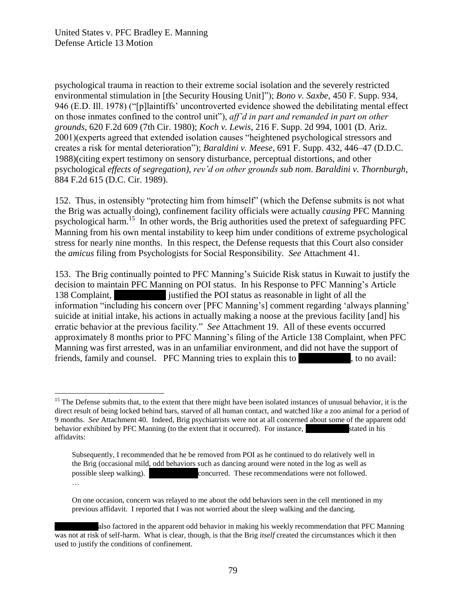$\overline{a}$ 

psychological trauma in reaction to their extreme social isolation and the severely restricted environmental stimulation in [the Security Housing Unit]"); *Bono v. Saxbe*, 450 F. Supp. 934, 946 (E.D. Ill. 1978) ("[p]laintiffs' uncontroverted evidence showed the debilitating mental effect on those inmates confined to the control unit"), *aff'd in part and remanded in part on other grounds*, 620 F.2d 609 (7th Cir. 1980); *Koch v. Lewis*, 216 F. Supp. 2d 994, 1001 (D. Ariz. 2001)(experts agreed that extended isolation causes "heightened psychological stressors and creates a risk for mental deterioration"); *Baraldini v. Meese*, 691 F. Supp. 432, 446–47 (D.D.C. 1988)(citing expert testimony on sensory disturbance, perceptual distortions, and other psychological *effects of segregation), rev'd on other grounds sub nom*. *Baraldini v. Thornburgh*, 884 F.2d 615 (D.C. Cir. 1989).

152. Thus, in ostensibly "protecting him from himself" (which the Defense submits is not what the Brig was actually doing), confinement facility officials were actually *causing* PFC Manning psychological harm.<sup>15</sup> In other words, the Brig authorities used the pretext of safeguarding PFC Manning from his own mental instability to keep him under conditions of extreme psychological stress for nearly nine months. In this respect, the Defense requests that this Court also consider the *amicus* filing from Psychologists for Social Responsibility*. See* Attachment 41.

153. The Brig continually pointed to PFC Manning's Suicide Risk status in Kuwait to justify the decision to maintain PFC Manning on POI status. In his Response to PFC Manning's Article 138 Complaint, the initial intervals in light of all the point of all the light of all the light of all the light of all the light of all the light of all the light of all the light of all the light of all the light of all information "including his concern over [PFC Manning's] comment regarding 'always planning' suicide at initial intake, his actions in actually making a noose at the previous facility [and] his erratic behavior at the previous facility." *See* Attachment 19. All of these events occurred approximately 8 months prior to PFC Manning's filing of the Article 138 Complaint, when PFC Manning was first arrested, was in an unfamiliar environment, and did not have the support of friends, family and counsel. PFC Manning tries to explain this to  $\blacksquare$ , to no avail:

 $15$  The Defense submits that, to the extent that there might have been isolated instances of unusual behavior, it is the direct result of being locked behind bars, starved of all human contact, and watched like a zoo animal for a period of 9 months. *See* Attachment 40. Indeed, Brig psychiatrists were not at all concerned about some of the apparent odd behavior exhibited by PFC Manning (to the extent that it occurred). For instance, stated in his affidavits:

Subsequently, I recommended that he be removed from POI as he continued to do relatively well in the Brig (occasional mild, odd behaviors such as dancing around were noted in the log as well as possible sleep walking). \*\*Redacted\*\*concurred. These recommendations were not followed. …

On one occasion, concern was relayed to me about the odd behaviors seen in the cell mentioned in my previous affidavit. I reported that I was not worried about the sleep walking and the dancing.

also factored in the apparent odd behavior in making his weekly recommendation that PFC Manning was not at risk of self-harm. What is clear, though, is that the Brig *itself* created the circumstances which it then used to justify the conditions of confinement.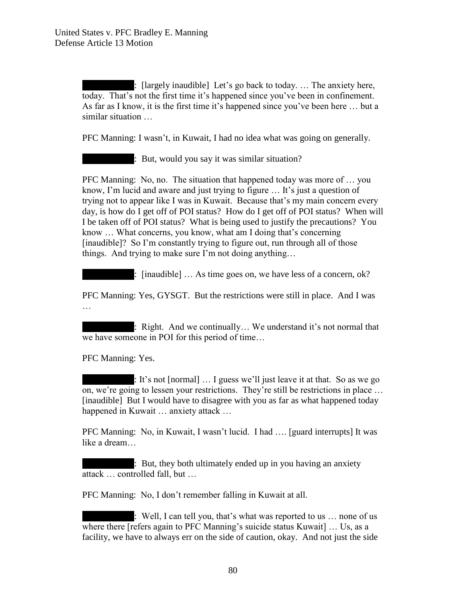: [largely inaudible] Let's go back to today.  $\ldots$  The anxiety here, today. That's not the first time it's happened since you've been in confinement. As far as I know, it is the first time it's happened since you've been here … but a similar situation …

PFC Manning: I wasn't, in Kuwait, I had no idea what was going on generally.

: But, would you say it was similar situation?

PFC Manning: No, no. The situation that happened today was more of … you know, I'm lucid and aware and just trying to figure … It's just a question of trying not to appear like I was in Kuwait. Because that's my main concern every day, is how do I get off of POI status? How do I get off of POI status? When will I be taken off of POI status? What is being used to justify the precautions? You know … What concerns, you know, what am I doing that's concerning [inaudible]? So I'm constantly trying to figure out, run through all of those things. And trying to make sure I'm not doing anything…

: [inaudible]  $\ldots$  As time goes on, we have less of a concern, ok?

PFC Manning: Yes, GYSGT. But the restrictions were still in place. And I was …

 $\therefore$  Right. And we continually... We understand it's not normal that we have someone in POI for this period of time…

PFC Manning: Yes.

: It's not [normal]  $\ldots$  I guess we'll just leave it at that. So as we go on, we're going to lessen your restrictions. They're still be restrictions in place … [inaudible] But I would have to disagree with you as far as what happened today happened in Kuwait … anxiety attack …

PFC Manning: No, in Kuwait, I wasn't lucid. I had …. [guard interrupts] It was like a dream…

they both ultimately ended up in you having an anxiety attack … controlled fall, but …

PFC Manning: No, I don't remember falling in Kuwait at all.

: Well, I can tell you, that's what was reported to us  $\ldots$  none of us where there [refers again to PFC Manning's suicide status Kuwait] ... Us, as a facility, we have to always err on the side of caution, okay. And not just the side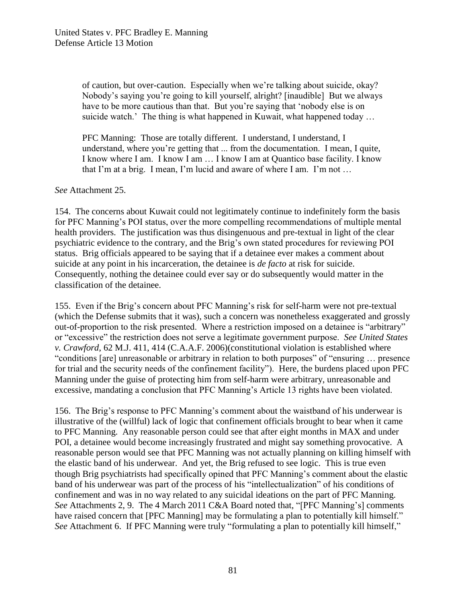of caution, but over-caution. Especially when we're talking about suicide, okay? Nobody's saying you're going to kill yourself, alright? [inaudible] But we always have to be more cautious than that. But you're saying that 'nobody else is on suicide watch.' The thing is what happened in Kuwait, what happened today ...

PFC Manning: Those are totally different. I understand, I understand, I understand, where you're getting that ... from the documentation. I mean, I quite, I know where I am. I know I am … I know I am at Quantico base facility. I know that I'm at a brig. I mean, I'm lucid and aware of where I am. I'm not …

#### *See* Attachment 25.

154. The concerns about Kuwait could not legitimately continue to indefinitely form the basis for PFC Manning's POI status, over the more compelling recommendations of multiple mental health providers. The justification was thus disingenuous and pre-textual in light of the clear psychiatric evidence to the contrary, and the Brig's own stated procedures for reviewing POI status. Brig officials appeared to be saying that if a detainee ever makes a comment about suicide at any point in his incarceration, the detainee is *de facto* at risk for suicide. Consequently, nothing the detainee could ever say or do subsequently would matter in the classification of the detainee.

155. Even if the Brig's concern about PFC Manning's risk for self-harm were not pre-textual (which the Defense submits that it was), such a concern was nonetheless exaggerated and grossly out-of-proportion to the risk presented. Where a restriction imposed on a detainee is "arbitrary" or "excessive" the restriction does not serve a legitimate government purpose. *See United States v. Crawford*, 62 M.J. 411, 414 (C.A.A.F. 2006)(constitutional violation is established where "conditions [are] unreasonable or arbitrary in relation to both purposes" of "ensuring … presence for trial and the security needs of the confinement facility"). Here, the burdens placed upon PFC Manning under the guise of protecting him from self-harm were arbitrary, unreasonable and excessive, mandating a conclusion that PFC Manning's Article 13 rights have been violated.

156. The Brig's response to PFC Manning's comment about the waistband of his underwear is illustrative of the (willful) lack of logic that confinement officials brought to bear when it came to PFC Manning. Any reasonable person could see that after eight months in MAX and under POI, a detainee would become increasingly frustrated and might say something provocative. A reasonable person would see that PFC Manning was not actually planning on killing himself with the elastic band of his underwear. And yet, the Brig refused to see logic. This is true even though Brig psychiatrists had specifically opined that PFC Manning's comment about the elastic band of his underwear was part of the process of his "intellectualization" of his conditions of confinement and was in no way related to any suicidal ideations on the part of PFC Manning. *See* Attachments 2, 9. The 4 March 2011 C&A Board noted that, "[PFC Manning's] comments have raised concern that [PFC Manning] may be formulating a plan to potentially kill himself." *See* Attachment 6. If PFC Manning were truly "formulating a plan to potentially kill himself,"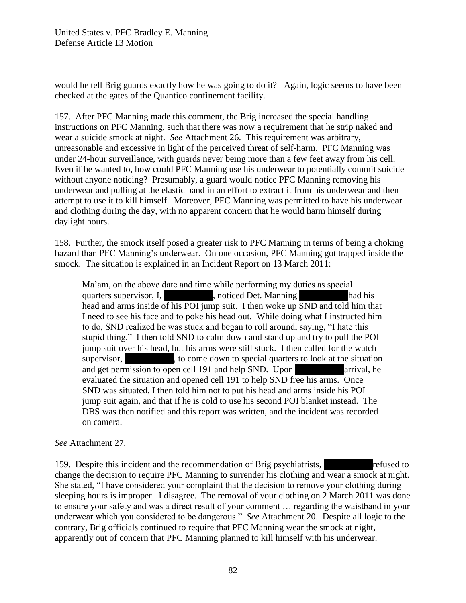United States v. PFC Bradley E. Manning Defense Article 13 Motion

would he tell Brig guards exactly how he was going to do it? Again, logic seems to have been checked at the gates of the Quantico confinement facility.

157. After PFC Manning made this comment, the Brig increased the special handling instructions on PFC Manning, such that there was now a requirement that he strip naked and wear a suicide smock at night. *See* Attachment 26. This requirement was arbitrary, unreasonable and excessive in light of the perceived threat of self-harm. PFC Manning was under 24-hour surveillance, with guards never being more than a few feet away from his cell. Even if he wanted to, how could PFC Manning use his underwear to potentially commit suicide without anyone noticing? Presumably, a guard would notice PFC Manning removing his underwear and pulling at the elastic band in an effort to extract it from his underwear and then attempt to use it to kill himself. Moreover, PFC Manning was permitted to have his underwear and clothing during the day, with no apparent concern that he would harm himself during daylight hours.

158. Further, the smock itself posed a greater risk to PFC Manning in terms of being a choking hazard than PFC Manning's underwear. On one occasion, PFC Manning got trapped inside the smock. The situation is explained in an Incident Report on 13 March 2011:

Ma'am, on the above date and time while performing my duties as special quarters supervisor, I, \*\*Redacted\*\*, noticed Det. Manning \*\*Redacted\*\*had his head and arms inside of his POI jump suit. I then woke up SND and told him that I need to see his face and to poke his head out. While doing what I instructed him to do, SND realized he was stuck and began to roll around, saying, "I hate this stupid thing." I then told SND to calm down and stand up and try to pull the POI jump suit over his head, but his arms were still stuck. I then called for the watch supervisor, supervisor, supervisor, to come down to special quarters to look at the situation and get permission to open cell 191 and help SND. Upon \*\*\*\* evaluated the situation and opened cell 191 to help SND free his arms. Once SND was situated, I then told him not to put his head and arms inside his POI jump suit again, and that if he is cold to use his second POI blanket instead. The DBS was then notified and this report was written, and the incident was recorded on camera.

*See* Attachment 27.

159. Despite this incident and the recommendation of Brig psychiatrists, the refused to change the decision to require PFC Manning to surrender his clothing and wear a smock at night. She stated, "I have considered your complaint that the decision to remove your clothing during sleeping hours is improper. I disagree. The removal of your clothing on 2 March 2011 was done to ensure your safety and was a direct result of your comment … regarding the waistband in your underwear which you considered to be dangerous." *See* Attachment 20. Despite all logic to the contrary, Brig officials continued to require that PFC Manning wear the smock at night, apparently out of concern that PFC Manning planned to kill himself with his underwear.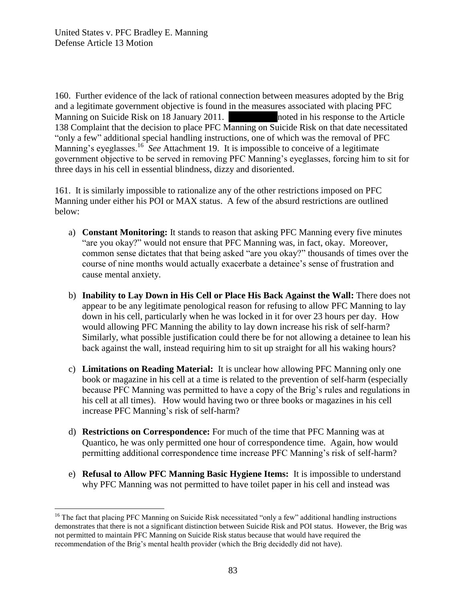$\overline{a}$ 

160. Further evidence of the lack of rational connection between measures adopted by the Brig and a legitimate government objective is found in the measures associated with placing PFC Manning on Suicide Risk on 18 January 2011. https://www.moted.in his response to the Article 138 Complaint that the decision to place PFC Manning on Suicide Risk on that date necessitated "only a few" additional special handling instructions, one of which was the removal of PFC Manning's eyeglasses.<sup>16</sup> See Attachment 19. It is impossible to conceive of a legitimate government objective to be served in removing PFC Manning's eyeglasses, forcing him to sit for three days in his cell in essential blindness, dizzy and disoriented.

161. It is similarly impossible to rationalize any of the other restrictions imposed on PFC Manning under either his POI or MAX status. A few of the absurd restrictions are outlined below:

- a) **Constant Monitoring:** It stands to reason that asking PFC Manning every five minutes "are you okay?" would not ensure that PFC Manning was, in fact, okay. Moreover, common sense dictates that that being asked "are you okay?" thousands of times over the course of nine months would actually exacerbate a detainee's sense of frustration and cause mental anxiety.
- b) **Inability to Lay Down in His Cell or Place His Back Against the Wall:** There does not appear to be any legitimate penological reason for refusing to allow PFC Manning to lay down in his cell, particularly when he was locked in it for over 23 hours per day. How would allowing PFC Manning the ability to lay down increase his risk of self-harm? Similarly, what possible justification could there be for not allowing a detainee to lean his back against the wall, instead requiring him to sit up straight for all his waking hours?
- c) **Limitations on Reading Material:** It is unclear how allowing PFC Manning only one book or magazine in his cell at a time is related to the prevention of self-harm (especially because PFC Manning was permitted to have a copy of the Brig's rules and regulations in his cell at all times). How would having two or three books or magazines in his cell increase PFC Manning's risk of self-harm?
- d) **Restrictions on Correspondence:** For much of the time that PFC Manning was at Quantico, he was only permitted one hour of correspondence time. Again, how would permitting additional correspondence time increase PFC Manning's risk of self-harm?
- e) **Refusal to Allow PFC Manning Basic Hygiene Items:** It is impossible to understand why PFC Manning was not permitted to have toilet paper in his cell and instead was

<sup>&</sup>lt;sup>16</sup> The fact that placing PFC Manning on Suicide Risk necessitated "only a few" additional handling instructions demonstrates that there is not a significant distinction between Suicide Risk and POI status. However, the Brig was not permitted to maintain PFC Manning on Suicide Risk status because that would have required the recommendation of the Brig's mental health provider (which the Brig decidedly did not have).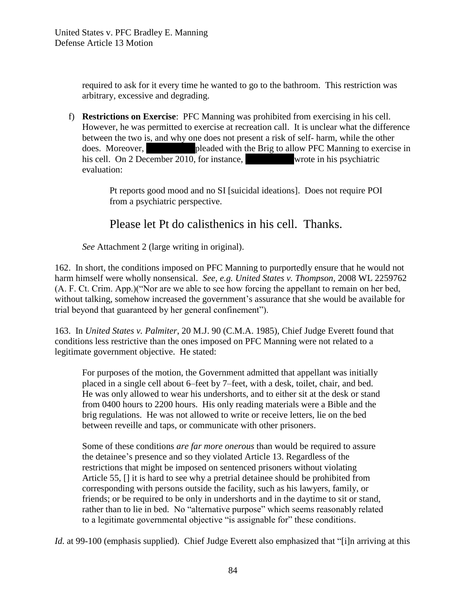required to ask for it every time he wanted to go to the bathroom. This restriction was arbitrary, excessive and degrading.

f) **Restrictions on Exercise**: PFC Manning was prohibited from exercising in his cell. However, he was permitted to exercise at recreation call. It is unclear what the difference between the two is, and why one does not present a risk of self- harm, while the other does. Moreover, the pleaded with the Brig to allow PFC Manning to exercise in his cell. On 2 December 2010, for instance, wrote in his psychiatric evaluation:

> Pt reports good mood and no SI [suicidal ideations]. Does not require POI from a psychiatric perspective.

# Please let Pt do calisthenics in his cell. Thanks.

*See* Attachment 2 (large writing in original).

162. In short, the conditions imposed on PFC Manning to purportedly ensure that he would not harm himself were wholly nonsensical. *See, e.g. United States v. Thompson,* 2008 WL 2259762 (A. F. Ct. Crim. App.)("Nor are we able to see how forcing the appellant to remain on her bed, without talking, somehow increased the government's assurance that she would be available for trial beyond that guaranteed by her general confinement").

163. In *United States v. Palmiter*, 20 M.J. 90 (C.M.A. 1985), Chief Judge Everett found that conditions less restrictive than the ones imposed on PFC Manning were not related to a legitimate government objective. He stated:

For purposes of the motion, the Government admitted that appellant was initially placed in a single cell about 6–feet by 7–feet, with a desk, toilet, chair, and bed. He was only allowed to wear his undershorts, and to either sit at the desk or stand from 0400 hours to 2200 hours. His only reading materials were a Bible and the brig regulations. He was not allowed to write or receive letters, lie on the bed between reveille and taps, or communicate with other prisoners.

Some of these conditions *are far more onerous* than would be required to assure the detainee's presence and so they violated Article 13. Regardless of the restrictions that might be imposed on sentenced prisoners without violating Article 55, [] it is hard to see why a pretrial detainee should be prohibited from corresponding with persons outside the facility, such as his lawyers, family, or friends; or be required to be only in undershorts and in the daytime to sit or stand, rather than to lie in bed. No "alternative purpose" which seems reasonably related to a legitimate governmental objective "is assignable for" these conditions.

*Id.* at 99-100 (emphasis supplied). Chief Judge Everett also emphasized that "[i]n arriving at this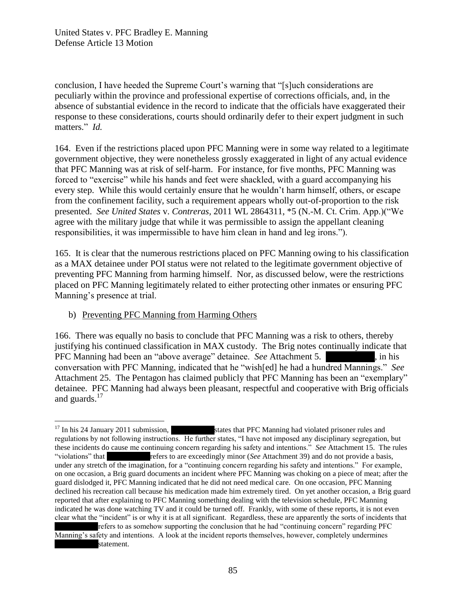conclusion, I have heeded the Supreme Court's warning that "[s]uch considerations are peculiarly within the province and professional expertise of corrections officials, and, in the absence of substantial evidence in the record to indicate that the officials have exaggerated their response to these considerations, courts should ordinarily defer to their expert judgment in such matters." *Id.*

164. Even if the restrictions placed upon PFC Manning were in some way related to a legitimate government objective, they were nonetheless grossly exaggerated in light of any actual evidence that PFC Manning was at risk of self-harm. For instance, for five months, PFC Manning was forced to "exercise" while his hands and feet were shackled, with a guard accompanying his every step. While this would certainly ensure that he wouldn't harm himself, others, or escape from the confinement facility, such a requirement appears wholly out-of-proportion to the risk presented. *See United States* v. *Contreras,* 2011 WL 2864311, \*5 (N.-M. Ct. Crim. App.)("We agree with the military judge that while it was permissible to assign the appellant cleaning responsibilities, it was impermissible to have him clean in hand and leg irons.").

165. It is clear that the numerous restrictions placed on PFC Manning owing to his classification as a MAX detainee under POI status were not related to the legitimate government objective of preventing PFC Manning from harming himself. Nor, as discussed below, were the restrictions placed on PFC Manning legitimately related to either protecting other inmates or ensuring PFC Manning's presence at trial.

## b) Preventing PFC Manning from Harming Others

166. There was equally no basis to conclude that PFC Manning was a risk to others, thereby justifying his continued classification in MAX custody. The Brig notes continually indicate that PFC Manning had been an "above average" detainee. *See* Attachment 5. conversation with PFC Manning, indicated that he "wish[ed] he had a hundred Mannings." *See*  Attachment 25. The Pentagon has claimed publicly that PFC Manning has been an "exemplary" detainee. PFC Manning had always been pleasant, respectful and cooperative with Brig officials and guards. $17$ 

 $\overline{a}$ 

<sup>&</sup>lt;sup>17</sup> In his 24 January 2011 submission,  $\overline{\phantom{a}}$  states that PFC Manning had violated prisoner rules and regulations by not following instructions. He further states, "I have not imposed any disciplinary segregation, but these incidents do cause me continuing concern regarding his safety and intentions." *See* Attachment 15. The rules "violations" that \*\*Redacted\*\*refers to are exceedingly minor (*See* Attachment 39) and do not provide a basis, under any stretch of the imagination, for a "continuing concern regarding his safety and intentions." For example, on one occasion, a Brig guard documents an incident where PFC Manning was choking on a piece of meat; after the guard dislodged it, PFC Manning indicated that he did not need medical care. On one occasion, PFC Manning declined his recreation call because his medication made him extremely tired. On yet another occasion, a Brig guard reported that after explaining to PFC Manning something dealing with the television schedule, PFC Manning indicated he was done watching TV and it could be turned off. Frankly, with some of these reports, it is not even clear what the "incident" is or why it is at all significant. Regardless, these are apparently the sorts of incidents that refers to as somehow supporting the conclusion that he had "continuing concern" regarding PFC Manning's safety and intentions. A look at the incident reports themselves, however, completely undermines

statement.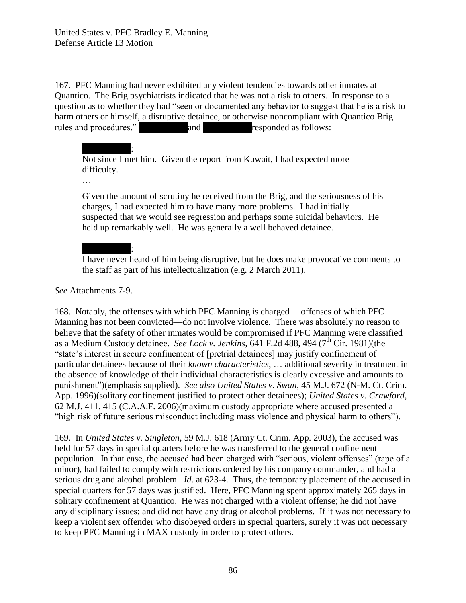167. PFC Manning had never exhibited any violent tendencies towards other inmates at Quantico. The Brig psychiatrists indicated that he was not a risk to others. In response to a question as to whether they had "seen or documented any behavior to suggest that he is a risk to harm others or himself, a disruptive detainee, or otherwise noncompliant with Quantico Brig rules and procedures," \*\*Redacted\*\*and \*\*Redacted\*\*responded as follows:

 $\ddot{\cdot}$ Not since I met him. Given the report from Kuwait, I had expected more difficulty.

…

Given the amount of scrutiny he received from the Brig, and the seriousness of his charges, I had expected him to have many more problems. I had initially suspected that we would see regression and perhaps some suicidal behaviors. He held up remarkably well. He was generally a well behaved detainee.

 $\ddot{\cdot}$ I have never heard of him being disruptive, but he does make provocative comments to the staff as part of his intellectualization (e.g. 2 March 2011).

*See* Attachments 7-9.

168. Notably, the offenses with which PFC Manning is charged— offenses of which PFC Manning has not been convicted—do not involve violence. There was absolutely no reason to believe that the safety of other inmates would be compromised if PFC Manning were classified as a Medium Custody detainee. *See Lock v. Jenkins*, 641 F.2d 488, 494 (7<sup>th</sup> Cir. 1981)(the "state's interest in secure confinement of [pretrial detainees] may justify confinement of particular detainees because of their *known characteristics*, … additional severity in treatment in the absence of knowledge of their individual characteristics is clearly excessive and amounts to punishment")(emphasis supplied). *See also United States v. Swan*, 45 M.J. 672 (N-M. Ct. Crim. App. 1996)(solitary confinement justified to protect other detainees); *United States v. Crawford*, 62 M.J. 411, 415 (C.A.A.F. 2006)(maximum custody appropriate where accused presented a "high risk of future serious misconduct including mass violence and physical harm to others").

169. In *United States v. Singleton*, 59 M.J. 618 (Army Ct. Crim. App. 2003), the accused was held for 57 days in special quarters before he was transferred to the general confinement population. In that case, the accused had been charged with "serious, violent offenses" (rape of a minor), had failed to comply with restrictions ordered by his company commander, and had a serious drug and alcohol problem. *Id*. at 623-4. Thus, the temporary placement of the accused in special quarters for 57 days was justified. Here, PFC Manning spent approximately 265 days in solitary confinement at Quantico. He was not charged with a violent offense; he did not have any disciplinary issues; and did not have any drug or alcohol problems. If it was not necessary to keep a violent sex offender who disobeyed orders in special quarters, surely it was not necessary to keep PFC Manning in MAX custody in order to protect others.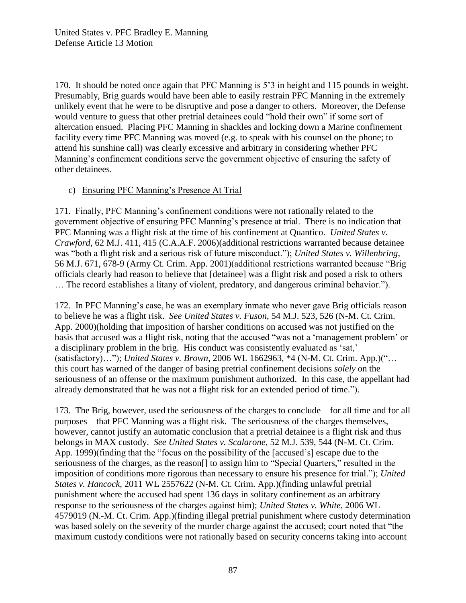170. It should be noted once again that PFC Manning is 5'3 in height and 115 pounds in weight. Presumably, Brig guards would have been able to easily restrain PFC Manning in the extremely unlikely event that he were to be disruptive and pose a danger to others. Moreover, the Defense would venture to guess that other pretrial detainees could "hold their own" if some sort of altercation ensued. Placing PFC Manning in shackles and locking down a Marine confinement facility every time PFC Manning was moved (e.g. to speak with his counsel on the phone; to attend his sunshine call) was clearly excessive and arbitrary in considering whether PFC Manning's confinement conditions serve the government objective of ensuring the safety of other detainees.

## c) Ensuring PFC Manning's Presence At Trial

171. Finally, PFC Manning's confinement conditions were not rationally related to the government objective of ensuring PFC Manning's presence at trial. There is no indication that PFC Manning was a flight risk at the time of his confinement at Quantico. *United States v. Crawford*, 62 M.J. 411, 415 (C.A.A.F. 2006)(additional restrictions warranted because detainee was "both a flight risk and a serious risk of future misconduct."); *United States v. Willenbring*, 56 M.J. 671, 678-9 (Army Ct. Crim. App. 2001)(additional restrictions warranted because "Brig officials clearly had reason to believe that [detainee] was a flight risk and posed a risk to others … The record establishes a litany of violent, predatory, and dangerous criminal behavior.").

172. In PFC Manning's case, he was an exemplary inmate who never gave Brig officials reason to believe he was a flight risk. *See United States v. Fuson*, 54 M.J. 523, 526 (N-M. Ct. Crim. App. 2000)(holding that imposition of harsher conditions on accused was not justified on the basis that accused was a flight risk, noting that the accused "was not a 'management problem' or a disciplinary problem in the brig. His conduct was consistently evaluated as 'sat,' (satisfactory)…"); *United States v. Brown*, 2006 WL 1662963, \*4 (N-M. Ct. Crim. App.)("… this court has warned of the danger of basing pretrial confinement decisions *solely* on the seriousness of an offense or the maximum punishment authorized. In this case, the appellant had already demonstrated that he was not a flight risk for an extended period of time.").

173. The Brig, however, used the seriousness of the charges to conclude – for all time and for all purposes – that PFC Manning was a flight risk. The seriousness of the charges themselves, however, cannot justify an automatic conclusion that a pretrial detainee is a flight risk and thus belongs in MAX custody. *See United States v. Scalarone*, 52 M.J. 539, 544 (N-M. Ct. Crim. App. 1999)(finding that the "focus on the possibility of the [accused's] escape due to the seriousness of the charges, as the reason[] to assign him to "Special Quarters," resulted in the imposition of conditions more rigorous than necessary to ensure his presence for trial."); *United States v. Hancock*, 2011 WL 2557622 (N-M. Ct. Crim. App.)(finding unlawful pretrial punishment where the accused had spent 136 days in solitary confinement as an arbitrary response to the seriousness of the charges against him); *United States v. White*, 2006 WL 4579019 (N.-M. Ct. Crim. App.)(finding illegal pretrial punishment where custody determination was based solely on the severity of the murder charge against the accused; court noted that "the maximum custody conditions were not rationally based on security concerns taking into account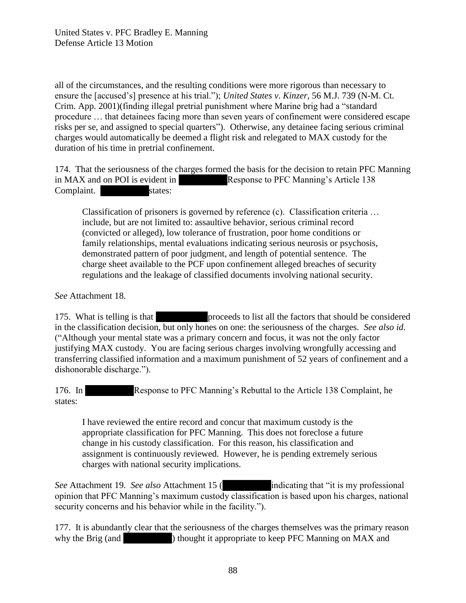all of the circumstances, and the resulting conditions were more rigorous than necessary to ensure the [accused's] presence at his trial."); *United States v. Kinzer*, 56 M.J. 739 (N-M. Ct. Crim. App. 2001)(finding illegal pretrial punishment where Marine brig had a "standard procedure … that detainees facing more than seven years of confinement were considered escape risks per se, and assigned to special quarters"). Otherwise, any detainee facing serious criminal charges would automatically be deemed a flight risk and relegated to MAX custody for the duration of his time in pretrial confinement.

174. That the seriousness of the charges formed the basis for the decision to retain PFC Manning in MAX and on POI is evident in \*\*\*\*\*\*\*\*\*\*\*Response to PFC Manning's Article 138 Complaint. \*\*\*\*\*\*\*\*states:

Classification of prisoners is governed by reference (c). Classification criteria … include, but are not limited to: assaultive behavior, serious criminal record (convicted or alleged), low tolerance of frustration, poor home conditions or family relationships, mental evaluations indicating serious neurosis or psychosis, demonstrated pattern of poor judgment, and length of potential sentence. The charge sheet available to the PCF upon confinement alleged breaches of security regulations and the leakage of classified documents involving national security.

*See* Attachment 18.

175. What is telling is that \*\*Redacted\*\*proceeds to list all the factors that should be considered in the classification decision, but only hones on one: the seriousness of the charges. *See also id.*  ("Although your mental state was a primary concern and focus, it was not the only factor justifying MAX custody. You are facing serious charges involving wrongfully accessing and transferring classified information and a maximum punishment of 52 years of confinement and a dishonorable discharge.").

176. In \*\*\*\*Response to PFC Manning's Rebuttal to the Article 138 Complaint, he states:

I have reviewed the entire record and concur that maximum custody is the appropriate classification for PFC Manning. This does not foreclose a future change in his custody classification. For this reason, his classification and assignment is continuously reviewed. However, he is pending extremely serious charges with national security implications.

*See* Attachment 19. *See also* Attachment 15 (*indicating that "it is my professional* opinion that PFC Manning's maximum custody classification is based upon his charges, national security concerns and his behavior while in the facility.").

177. It is abundantly clear that the seriousness of the charges themselves was the primary reason why the Brig (and \*\*\*) thought it appropriate to keep PFC Manning on MAX and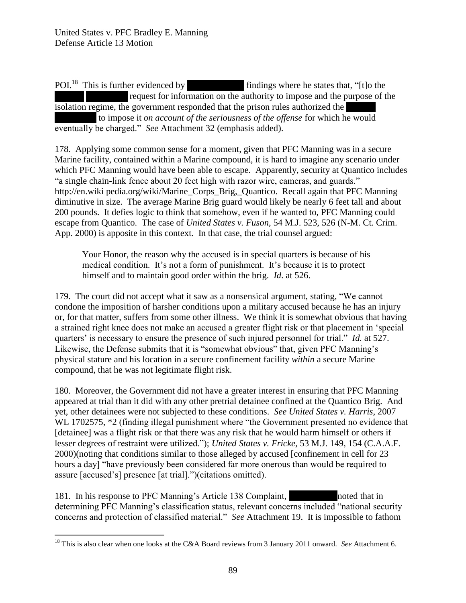POI.<sup>18</sup> This is further evidenced by findings where he states that, " $[t]$ o the request for information on the authority to impose and the purpose of the isolation regime, the government responded that the prison rules authorized the to impose it *on account of the seriousness of the offense* for which he would eventually be charged." *See* Attachment 32 (emphasis added).

178. Applying some common sense for a moment, given that PFC Manning was in a secure Marine facility, contained within a Marine compound, it is hard to imagine any scenario under which PFC Manning would have been able to escape. Apparently, security at Quantico includes "a single chain-link fence about 20 feet high with razor wire, cameras, and guards." http://en.wiki pedia.org/wiki/Marine\_Corps\_Brig,\_Quantico. Recall again that PFC Manning diminutive in size. The average Marine Brig guard would likely be nearly 6 feet tall and about 200 pounds. It defies logic to think that somehow, even if he wanted to, PFC Manning could escape from Quantico. The case of *United States v. Fuson*, 54 M.J. 523, 526 (N-M. Ct. Crim. App. 2000) is apposite in this context. In that case, the trial counsel argued:

Your Honor, the reason why the accused is in special quarters is because of his medical condition. It's not a form of punishment. It's because it is to protect himself and to maintain good order within the brig. *Id*. at 526.

179. The court did not accept what it saw as a nonsensical argument, stating, "We cannot condone the imposition of harsher conditions upon a military accused because he has an injury or, for that matter, suffers from some other illness. We think it is somewhat obvious that having a strained right knee does not make an accused a greater flight risk or that placement in 'special quarters' is necessary to ensure the presence of such injured personnel for trial." *Id.* at 527. Likewise, the Defense submits that it is "somewhat obvious" that, given PFC Manning's physical stature and his location in a secure confinement facility *within* a secure Marine compound, that he was not legitimate flight risk.

180. Moreover, the Government did not have a greater interest in ensuring that PFC Manning appeared at trial than it did with any other pretrial detainee confined at the Quantico Brig. And yet, other detainees were not subjected to these conditions. *See United States v. Harris*, 2007 WL 1702575,  $*2$  (finding illegal punishment where "the Government presented no evidence that [detainee] was a flight risk or that there was any risk that he would harm himself or others if lesser degrees of restraint were utilized."); *United States v. Fricke,* 53 M.J. 149, 154 (C.A.A.F. 2000)(noting that conditions similar to those alleged by accused [confinement in cell for 23 hours a day] "have previously been considered far more onerous than would be required to assure [accused's] presence [at trial].")(citations omitted).

181. In his response to PFC Manning's Article 138 Complaint, noted that in determining PFC Manning's classification status, relevant concerns included "national security concerns and protection of classified material." *See* Attachment 19. It is impossible to fathom

 $\overline{a}$ 

<sup>18</sup> This is also clear when one looks at the C&A Board reviews from 3 January 2011 onward. *See* Attachment 6.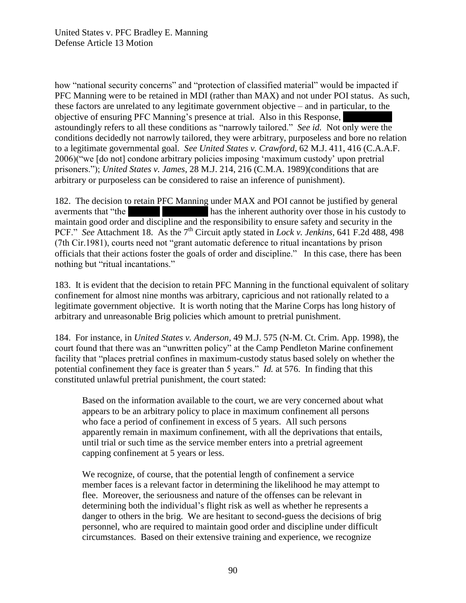how "national security concerns" and "protection of classified material" would be impacted if PFC Manning were to be retained in MDI (rather than MAX) and not under POI status. As such, these factors are unrelated to any legitimate government objective – and in particular, to the objective of ensuring PFC Manning's presence at trial. Also in this Response, astoundingly refers to all these conditions as "narrowly tailored." *See id.* Not only were the conditions decidedly not narrowly tailored, they were arbitrary, purposeless and bore no relation to a legitimate governmental goal. *See United States v. Crawford*, 62 M.J. 411, 416 (C.A.A.F. 2006)("we [do not] condone arbitrary policies imposing 'maximum custody' upon pretrial prisoners."); *United States v. James*, 28 M.J. 214, 216 (C.M.A. 1989)(conditions that are arbitrary or purposeless can be considered to raise an inference of punishment).

182. The decision to retain PFC Manning under MAX and POI cannot be justified by general averments that "the  $\blacksquare$  \*\*\*\* has the inherent authority over those in his custody to maintain good order and discipline and the responsibility to ensure safety and security in the PCF." *See* Attachment 18. As the 7<sup>th</sup> Circuit aptly stated in *Lock v. Jenkins*, 641 F.2d 488, 498 (7th Cir.1981), courts need not "grant automatic deference to ritual incantations by prison officials that their actions foster the goals of order and discipline." In this case, there has been nothing but "ritual incantations."

183. It is evident that the decision to retain PFC Manning in the functional equivalent of solitary confinement for almost nine months was arbitrary, capricious and not rationally related to a legitimate government objective. It is worth noting that the Marine Corps has long history of arbitrary and unreasonable Brig policies which amount to pretrial punishment.

184. For instance, in *United States v. Anderson,* 49 M.J. 575 (N-M. Ct. Crim. App. 1998), the court found that there was an "unwritten policy" at the Camp Pendleton Marine confinement facility that "places pretrial confines in maximum-custody status based solely on whether the potential confinement they face is greater than 5 years." *Id.* at 576. In finding that this constituted unlawful pretrial punishment, the court stated:

Based on the information available to the court, we are very concerned about what appears to be an arbitrary policy to place in maximum confinement all persons who face a period of confinement in excess of 5 years. All such persons apparently remain in maximum confinement, with all the deprivations that entails, until trial or such time as the service member enters into a pretrial agreement capping confinement at 5 years or less.

We recognize, of course, that the potential length of confinement a service member faces is a relevant factor in determining the likelihood he may attempt to flee. Moreover, the seriousness and nature of the offenses can be relevant in determining both the individual's flight risk as well as whether he represents a danger to others in the brig. We are hesitant to second-guess the decisions of brig personnel, who are required to maintain good order and discipline under difficult circumstances. Based on their extensive training and experience, we recognize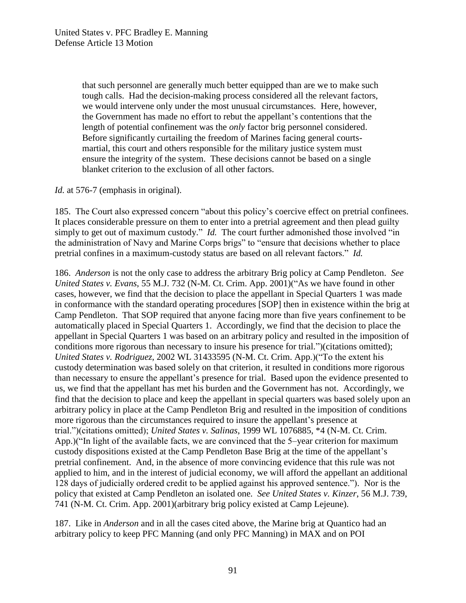that such personnel are generally much better equipped than are we to make such tough calls. Had the decision-making process considered all the relevant factors, we would intervene only under the most unusual circumstances. Here, however, the Government has made no effort to rebut the appellant's contentions that the length of potential confinement was the *only* factor brig personnel considered. Before significantly curtailing the freedom of Marines facing general courtsmartial, this court and others responsible for the military justice system must ensure the integrity of the system. These decisions cannot be based on a single blanket criterion to the exclusion of all other factors.

#### *Id.* at 576-7 (emphasis in original).

185. The Court also expressed concern "about this policy's coercive effect on pretrial confinees. It places considerable pressure on them to enter into a pretrial agreement and then plead guilty simply to get out of maximum custody." *Id.* The court further admonished those involved "in the administration of Navy and Marine Corps brigs" to "ensure that decisions whether to place pretrial confines in a maximum-custody status are based on all relevant factors." *Id.* 

186. *Anderson* is not the only case to address the arbitrary Brig policy at Camp Pendleton. *See United States v. Evans*, 55 M.J. 732 (N-M. Ct. Crim. App. 2001)("As we have found in other cases, however, we find that the decision to place the appellant in Special Quarters 1 was made in conformance with the standard operating procedures [SOP] then in existence within the brig at Camp Pendleton. That SOP required that anyone facing more than five years confinement to be automatically placed in Special Quarters 1. Accordingly, we find that the decision to place the appellant in Special Quarters 1 was based on an arbitrary policy and resulted in the imposition of conditions more rigorous than necessary to insure his presence for trial.")(citations omitted); *United States v. Rodriguez*, 2002 WL 31433595 (N-M. Ct. Crim. App.)("To the extent his custody determination was based solely on that criterion, it resulted in conditions more rigorous than necessary to ensure the appellant's presence for trial. Based upon the evidence presented to us, we find that the appellant has met his burden and the Government has not. Accordingly, we find that the decision to place and keep the appellant in special quarters was based solely upon an arbitrary policy in place at the Camp Pendleton Brig and resulted in the imposition of conditions more rigorous than the circumstances required to insure the appellant's presence at trial.")(citations omitted); *United States v. Salinas*, 1999 WL 1076885, \*4 (N-M. Ct. Crim. App.)("In light of the available facts, we are convinced that the 5–year criterion for maximum custody dispositions existed at the Camp Pendleton Base Brig at the time of the appellant's pretrial confinement. And, in the absence of more convincing evidence that this rule was not applied to him, and in the interest of judicial economy, we will afford the appellant an additional 128 days of judicially ordered credit to be applied against his approved sentence."). Nor is the policy that existed at Camp Pendleton an isolated one. *See United States v. Kinzer*, 56 M.J. 739, 741 (N-M. Ct. Crim. App. 2001)(arbitrary brig policy existed at Camp Lejeune).

187. Like in *Anderson* and in all the cases cited above, the Marine brig at Quantico had an arbitrary policy to keep PFC Manning (and only PFC Manning) in MAX and on POI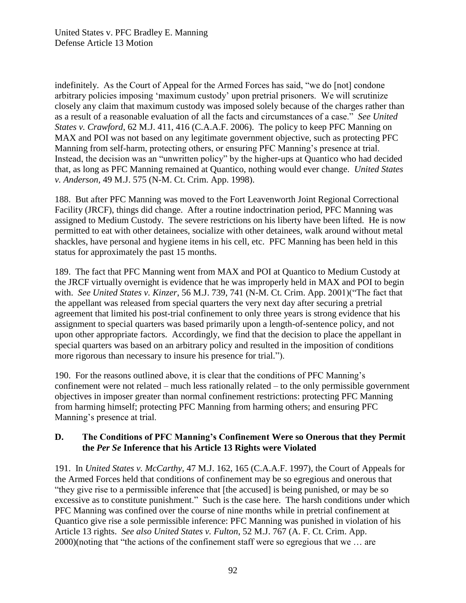United States v. PFC Bradley E. Manning Defense Article 13 Motion

indefinitely. As the Court of Appeal for the Armed Forces has said, "we do [not] condone arbitrary policies imposing 'maximum custody' upon pretrial prisoners. We will scrutinize closely any claim that maximum custody was imposed solely because of the charges rather than as a result of a reasonable evaluation of all the facts and circumstances of a case." *See United States v. Crawford*, 62 M.J. 411, 416 (C.A.A.F. 2006). The policy to keep PFC Manning on MAX and POI was not based on any legitimate government objective, such as protecting PFC Manning from self-harm, protecting others, or ensuring PFC Manning's presence at trial. Instead, the decision was an "unwritten policy" by the higher-ups at Quantico who had decided that, as long as PFC Manning remained at Quantico, nothing would ever change. *United States v. Anderson,* 49 M.J. 575 (N-M. Ct. Crim. App. 1998).

188. But after PFC Manning was moved to the Fort Leavenworth Joint Regional Correctional Facility (JRCF), things did change. After a routine indoctrination period, PFC Manning was assigned to Medium Custody. The severe restrictions on his liberty have been lifted. He is now permitted to eat with other detainees, socialize with other detainees, walk around without metal shackles, have personal and hygiene items in his cell, etc. PFC Manning has been held in this status for approximately the past 15 months.

189. The fact that PFC Manning went from MAX and POI at Quantico to Medium Custody at the JRCF virtually overnight is evidence that he was improperly held in MAX and POI to begin with. *See United States v. Kinzer*, 56 M.J. 739, 741 (N-M. Ct. Crim. App. 2001)("The fact that the appellant was released from special quarters the very next day after securing a pretrial agreement that limited his post-trial confinement to only three years is strong evidence that his assignment to special quarters was based primarily upon a length-of-sentence policy, and not upon other appropriate factors. Accordingly, we find that the decision to place the appellant in special quarters was based on an arbitrary policy and resulted in the imposition of conditions more rigorous than necessary to insure his presence for trial.").

190. For the reasons outlined above, it is clear that the conditions of PFC Manning's confinement were not related – much less rationally related – to the only permissible government objectives in imposer greater than normal confinement restrictions: protecting PFC Manning from harming himself; protecting PFC Manning from harming others; and ensuring PFC Manning's presence at trial.

## **D. The Conditions of PFC Manning's Confinement Were so Onerous that they Permit the** *Per Se* **Inference that his Article 13 Rights were Violated**

191. In *United States v. McCarthy,* 47 M.J. 162, 165 (C.A.A.F. 1997), the Court of Appeals for the Armed Forces held that conditions of confinement may be so egregious and onerous that "they give rise to a permissible inference that [the accused] is being punished, or may be so excessive as to constitute punishment." Such is the case here. The harsh conditions under which PFC Manning was confined over the course of nine months while in pretrial confinement at Quantico give rise a sole permissible inference: PFC Manning was punished in violation of his Article 13 rights. *See also United States v. Fulton*, 52 M.J. 767 (A. F. Ct. Crim. App. 2000)(noting that "the actions of the confinement staff were so egregious that we … are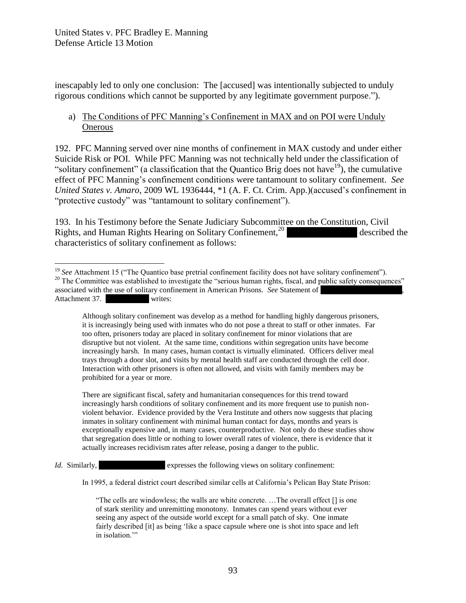inescapably led to only one conclusion: The [accused] was intentionally subjected to unduly rigorous conditions which cannot be supported by any legitimate government purpose.").

## a) The Conditions of PFC Manning's Confinement in MAX and on POI were Unduly **Onerous**

192. PFC Manning served over nine months of confinement in MAX custody and under either Suicide Risk or POI. While PFC Manning was not technically held under the classification of "solitary confinement" (a classification that the Quantico Brig does not have  $19$ ), the cumulative effect of PFC Manning's confinement conditions were tantamount to solitary confinement. *See United States v. Amaro*, 2009 WL 1936444, \*1 (A. F. Ct. Crim. App.)(accused's confinement in "protective custody" was "tantamount to solitary confinement").

193. In his Testimony before the Senate Judiciary Subcommittee on the Constitution, Civil Rights, and Human Rights Hearing on Solitary Confinement,<sup>20</sup>  $\qquad \qquad$  described the characteristics of solitary confinement as follows:

Although solitary confinement was develop as a method for handling highly dangerous prisoners, it is increasingly being used with inmates who do not pose a threat to staff or other inmates. Far too often, prisoners today are placed in solitary confinement for minor violations that are disruptive but not violent. At the same time, conditions within segregation units have become increasingly harsh. In many cases, human contact is virtually eliminated. Officers deliver meal trays through a door slot, and visits by mental health staff are conducted through the cell door. Interaction with other prisoners is often not allowed, and visits with family members may be prohibited for a year or more.

There are significant fiscal, safety and humanitarian consequences for this trend toward increasingly harsh conditions of solitary confinement and its more frequent use to punish nonviolent behavior. Evidence provided by the Vera Institute and others now suggests that placing inmates in solitary confinement with minimal human contact for days, months and years is exceptionally expensive and, in many cases, counterproductive. Not only do these studies show that segregation does little or nothing to lower overall rates of violence, there is evidence that it actually increases recidivism rates after release, posing a danger to the public.

*Id.* Similarly,  $\blacksquare$  expresses the following views on solitary confinement:

In 1995, a federal district court described similar cells at California's Pelican Bay State Prison:

"The cells are windowless; the walls are white concrete. …The overall effect [] is one of stark sterility and unremitting monotony. Inmates can spend years without ever seeing any aspect of the outside world except for a small patch of sky. One inmate fairly described [it] as being 'like a space capsule where one is shot into space and left in isolation."

 $\overline{a}$ <sup>19</sup> See Attachment 15 ("The Quantico base pretrial confinement facility does not have solitary confinement"). <sup>20</sup> The Committee was established to investigate the "serious human rights, fiscal, and public safety consequences" associated with the use of solitary confinement in American Prisons. *See* Statement of Attachment 37. \*\*\*\* writes: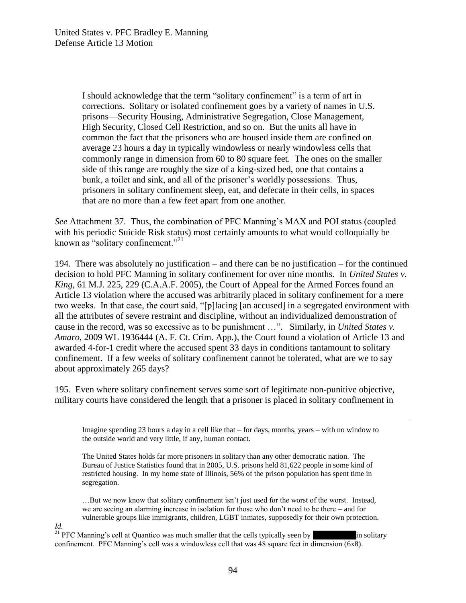$\overline{a}$ 

I should acknowledge that the term "solitary confinement" is a term of art in corrections. Solitary or isolated confinement goes by a variety of names in U.S. prisons—Security Housing, Administrative Segregation, Close Management, High Security, Closed Cell Restriction, and so on. But the units all have in common the fact that the prisoners who are housed inside them are confined on average 23 hours a day in typically windowless or nearly windowless cells that commonly range in dimension from 60 to 80 square feet. The ones on the smaller side of this range are roughly the size of a king-sized bed, one that contains a bunk, a toilet and sink, and all of the prisoner's worldly possessions. Thus, prisoners in solitary confinement sleep, eat, and defecate in their cells, in spaces that are no more than a few feet apart from one another.

*See* Attachment 37. Thus, the combination of PFC Manning's MAX and POI status (coupled with his periodic Suicide Risk status) most certainly amounts to what would colloquially be known as "solitary confinement."<sup>21</sup>

194. There was absolutely no justification – and there can be no justification – for the continued decision to hold PFC Manning in solitary confinement for over nine months. In *United States v. King,* 61 M.J. 225, 229 (C.A.A.F. 2005), the Court of Appeal for the Armed Forces found an Article 13 violation where the accused was arbitrarily placed in solitary confinement for a mere two weeks. In that case, the court said, "[p]lacing [an accused] in a segregated environment with all the attributes of severe restraint and discipline, without an individualized demonstration of cause in the record, was so excessive as to be punishment …". Similarly, in *United States v. Amaro*, 2009 WL 1936444 (A. F. Ct. Crim. App.), the Court found a violation of Article 13 and awarded 4-for-1 credit where the accused spent 33 days in conditions tantamount to solitary confinement. If a few weeks of solitary confinement cannot be tolerated, what are we to say about approximately 265 days?

195. Even where solitary confinement serves some sort of legitimate non-punitive objective, military courts have considered the length that a prisoner is placed in solitary confinement in

Imagine spending 23 hours a day in a cell like that – for days, months, years – with no window to the outside world and very little, if any, human contact.

The United States holds far more prisoners in solitary than any other democratic nation. The Bureau of Justice Statistics found that in 2005, U.S. prisons held 81,622 people in some kind of restricted housing. In my home state of Illinois, 56% of the prison population has spent time in segregation.

…But we now know that solitary confinement isn't just used for the worst of the worst. Instead, we are seeing an alarming increase in isolation for those who don't need to be there – and for vulnerable groups like immigrants, children, LGBT inmates, supposedly for their own protection.

*Id.* <sup>21</sup> PFC Manning's cell at Quantico was much smaller that the cells typically seen by  $\frac{1}{\sqrt{2}}$  in solitary confinement. PFC Manning's cell was a windowless cell that was 48 square feet in dimension (6x8).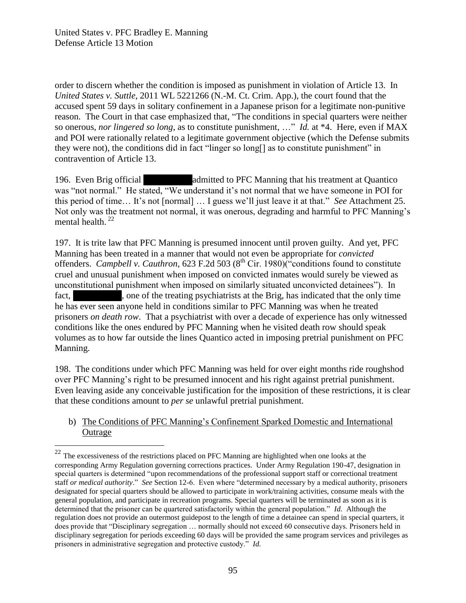$\overline{a}$ 

order to discern whether the condition is imposed as punishment in violation of Article 13. In *United States v. Suttle*, 2011 WL 5221266 (N.-M. Ct. Crim. App.), the court found that the accused spent 59 days in solitary confinement in a Japanese prison for a legitimate non-punitive reason. The Court in that case emphasized that, "The conditions in special quarters were neither so onerous, *nor lingered so long*, as to constitute punishment, …" *Id.* at \*4. Here, even if MAX and POI were rationally related to a legitimate government objective (which the Defense submits they were not), the conditions did in fact "linger so long[] as to constitute punishment" in contravention of Article 13.

196. Even Brig official admitted to PFC Manning that his treatment at Quantico was "not normal." He stated, "We understand it's not normal that we have someone in POI for this period of time… It's not [normal] … I guess we'll just leave it at that." *See* Attachment 25. Not only was the treatment not normal, it was onerous, degrading and harmful to PFC Manning's mental health.<sup>22</sup>

197. It is trite law that PFC Manning is presumed innocent until proven guilty. And yet, PFC Manning has been treated in a manner that would not even be appropriate for *convicted*  offenders. *Campbell v. Cauthron*, 623 F.2d 503 (8<sup>th</sup> Cir. 1980)("conditions found to constitute cruel and unusual punishment when imposed on convicted inmates would surely be viewed as unconstitutional punishment when imposed on similarly situated unconvicted detainees"). In fact, the one of the treating psychiatrists at the Brig, has indicated that the only time he has ever seen anyone held in conditions similar to PFC Manning was when he treated prisoners *on death row*. That a psychiatrist with over a decade of experience has only witnessed conditions like the ones endured by PFC Manning when he visited death row should speak volumes as to how far outside the lines Quantico acted in imposing pretrial punishment on PFC Manning.

198. The conditions under which PFC Manning was held for over eight months ride roughshod over PFC Manning's right to be presumed innocent and his right against pretrial punishment. Even leaving aside any conceivable justification for the imposition of these restrictions, it is clear that these conditions amount to *per se* unlawful pretrial punishment.

b) The Conditions of PFC Manning's Confinement Sparked Domestic and International **Outrage** 

 $22$  The excessiveness of the restrictions placed on PFC Manning are highlighted when one looks at the corresponding Army Regulation governing corrections practices. Under Army Regulation 190-47, designation in special quarters is determined "upon recommendations of the professional support staff or correctional treatment staff *or medical authority*." *See* Section 12-6. Even where "determined necessary by a medical authority, prisoners designated for special quarters should be allowed to participate in work/training activities, consume meals with the general population, and participate in recreation programs. Special quarters will be terminated as soon as it is determined that the prisoner can be quartered satisfactorily within the general population." *Id.* Although the regulation does not provide an outermost guidepost to the length of time a detainee can spend in special quarters, it does provide that "Disciplinary segregation … normally should not exceed 60 consecutive days. Prisoners held in disciplinary segregation for periods exceeding 60 days will be provided the same program services and privileges as prisoners in administrative segregation and protective custody." *Id.*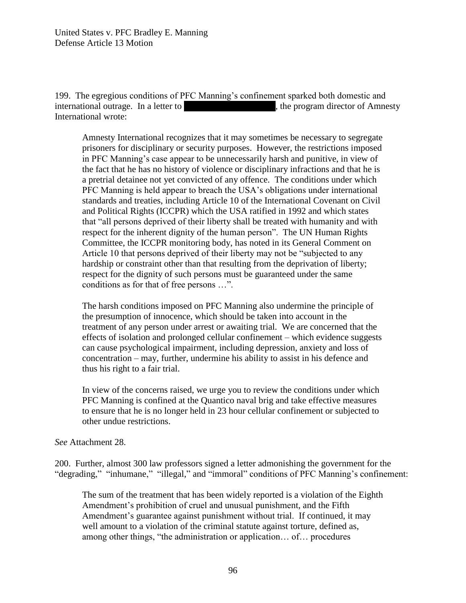199. The egregious conditions of PFC Manning's confinement sparked both domestic and international outrage. In a letter to \*\*\*\*\*\*\*\*\*\*\*\*\*\*\*\*\*\*\*, the program director of Amnesty International wrote:

Amnesty International recognizes that it may sometimes be necessary to segregate prisoners for disciplinary or security purposes. However, the restrictions imposed in PFC Manning's case appear to be unnecessarily harsh and punitive, in view of the fact that he has no history of violence or disciplinary infractions and that he is a pretrial detainee not yet convicted of any offence. The conditions under which PFC Manning is held appear to breach the USA's obligations under international standards and treaties, including Article 10 of the International Covenant on Civil and Political Rights (ICCPR) which the USA ratified in 1992 and which states that "all persons deprived of their liberty shall be treated with humanity and with respect for the inherent dignity of the human person". The UN Human Rights Committee, the ICCPR monitoring body, has noted in its General Comment on Article 10 that persons deprived of their liberty may not be "subjected to any hardship or constraint other than that resulting from the deprivation of liberty; respect for the dignity of such persons must be guaranteed under the same conditions as for that of free persons …".

The harsh conditions imposed on PFC Manning also undermine the principle of the presumption of innocence, which should be taken into account in the treatment of any person under arrest or awaiting trial. We are concerned that the effects of isolation and prolonged cellular confinement – which evidence suggests can cause psychological impairment, including depression, anxiety and loss of concentration – may, further, undermine his ability to assist in his defence and thus his right to a fair trial.

In view of the concerns raised, we urge you to review the conditions under which PFC Manning is confined at the Quantico naval brig and take effective measures to ensure that he is no longer held in 23 hour cellular confinement or subjected to other undue restrictions.

*See* Attachment 28.

200. Further, almost 300 law professors signed a letter admonishing the government for the "degrading," "inhumane," "illegal," and "immoral" conditions of PFC Manning's confinement:

The sum of the treatment that has been widely reported is a violation of the Eighth Amendment's prohibition of cruel and unusual punishment, and the Fifth Amendment's guarantee against punishment without trial. If continued, it may well amount to a violation of the criminal statute against torture, defined as, among other things, "the administration or application… of… procedures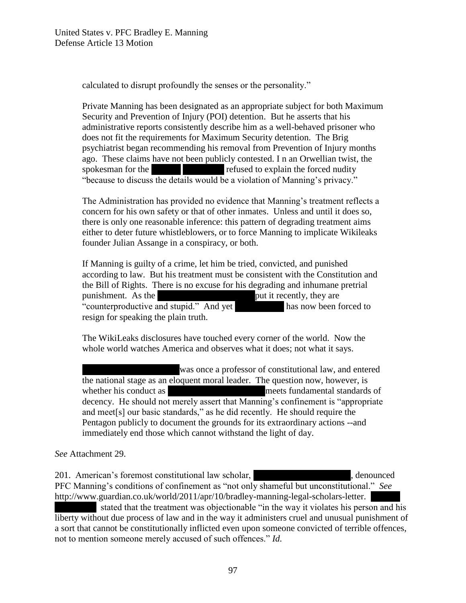calculated to disrupt profoundly the senses or the personality."

Private Manning has been designated as an appropriate subject for both Maximum Security and Prevention of Injury (POI) detention. But he asserts that his administrative reports consistently describe him as a well-behaved prisoner who does not fit the requirements for Maximum Security detention. The Brig psychiatrist began recommending his removal from Prevention of Injury months ago. These claims have not been publicly contested. I n an Orwellian twist, the spokesman for the \*\*\*\*\* refused to explain the forced nudity "because to discuss the details would be a violation of Manning's privacy."

The Administration has provided no evidence that Manning's treatment reflects a concern for his own safety or that of other inmates. Unless and until it does so, there is only one reasonable inference: this pattern of degrading treatment aims either to deter future whistleblowers, or to force Manning to implicate Wikileaks founder Julian Assange in a conspiracy, or both.

If Manning is guilty of a crime, let him be tried, convicted, and punished according to law. But his treatment must be consistent with the Constitution and the Bill of Rights. There is no excuse for his degrading and inhumane pretrial punishment. As the \*\*\*\*\*\*\*\*\*\*\*\*\*\*put it recently, they are "counterproductive and stupid." And yet  $\frac{1}{R}$  has now been forced to resign for speaking the plain truth.

The WikiLeaks disclosures have touched every corner of the world. Now the whole world watches America and observes what it does; not what it says.

was once a professor of constitutional law, and entered the national stage as an eloquent moral leader. The question now, however, is whether his conduct as \*\*Redacted\*\*\*\*Redacted\*\*meets fundamental standards of decency. He should not merely assert that Manning's confinement is "appropriate and meet[s] our basic standards," as he did recently. He should require the Pentagon publicly to document the grounds for its extraordinary actions --and immediately end those which cannot withstand the light of day.

*See* Attachment 29.

201. American's foremost constitutional law scholar, the method of the state of the state of the state of the state of the state of the state of the state of the state of the state of the state of the state of the state of PFC Manning's conditions of confinement as "not only shameful but unconstitutional." *See*  http://www.guardian.co.uk/world/2011/apr/10/bradley-manning-legal-scholars-letter. stated that the treatment was objectionable "in the way it violates his person and his liberty without due process of law and in the way it administers cruel and unusual punishment of a sort that cannot be constitutionally inflicted even upon someone convicted of terrible offences, not to mention someone merely accused of such offences." *Id.*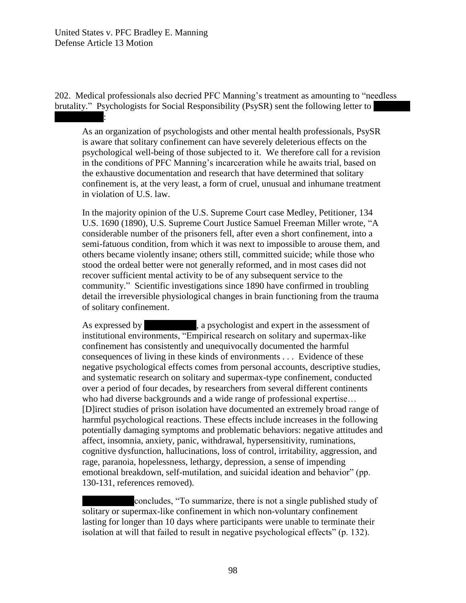$\ddot{\cdot}$ 

202. Medical professionals also decried PFC Manning's treatment as amounting to "needless brutality." Psychologists for Social Responsibility (PsySR) sent the following letter to

As an organization of psychologists and other mental health professionals, PsySR is aware that solitary confinement can have severely deleterious effects on the psychological well-being of those subjected to it. We therefore call for a revision in the conditions of PFC Manning's incarceration while he awaits trial, based on the exhaustive documentation and research that have determined that solitary confinement is, at the very least, a form of cruel, unusual and inhumane treatment in violation of U.S. law.

In the majority opinion of the U.S. Supreme Court case Medley, Petitioner, 134 U.S. 1690 (1890), U.S. Supreme Court Justice Samuel Freeman Miller wrote, "A considerable number of the prisoners fell, after even a short confinement, into a semi-fatuous condition, from which it was next to impossible to arouse them, and others became violently insane; others still, committed suicide; while those who stood the ordeal better were not generally reformed, and in most cases did not recover sufficient mental activity to be of any subsequent service to the community." Scientific investigations since 1890 have confirmed in troubling detail the irreversible physiological changes in brain functioning from the trauma of solitary confinement.

As expressed by  $\blacksquare$ , a psychologist and expert in the assessment of institutional environments, "Empirical research on solitary and supermax-like confinement has consistently and unequivocally documented the harmful consequences of living in these kinds of environments . . . Evidence of these negative psychological effects comes from personal accounts, descriptive studies, and systematic research on solitary and supermax-type confinement, conducted over a period of four decades, by researchers from several different continents who had diverse backgrounds and a wide range of professional expertise… [D]irect studies of prison isolation have documented an extremely broad range of harmful psychological reactions. These effects include increases in the following potentially damaging symptoms and problematic behaviors: negative attitudes and affect, insomnia, anxiety, panic, withdrawal, hypersensitivity, ruminations, cognitive dysfunction, hallucinations, loss of control, irritability, aggression, and rage, paranoia, hopelessness, lethargy, depression, a sense of impending emotional breakdown, self-mutilation, and suicidal ideation and behavior" (pp. 130-131, references removed).

concludes, "To summarize, there is not a single published study of solitary or supermax-like confinement in which non-voluntary confinement lasting for longer than 10 days where participants were unable to terminate their isolation at will that failed to result in negative psychological effects" (p. 132).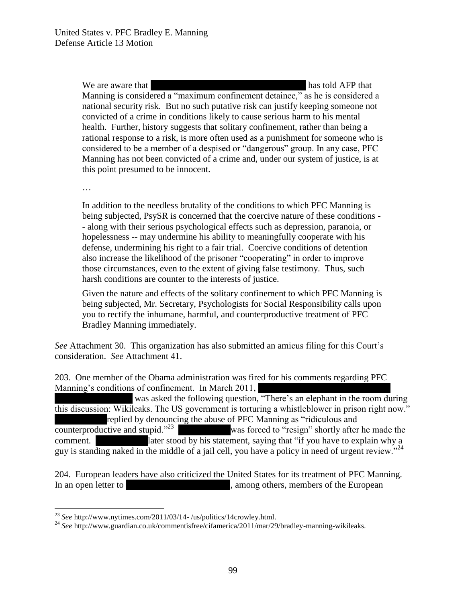We are aware that  $\frac{1}{2}$  has told AFP that Manning is considered a "maximum confinement detainee," as he is considered a national security risk. But no such putative risk can justify keeping someone not convicted of a crime in conditions likely to cause serious harm to his mental health. Further, history suggests that solitary confinement, rather than being a rational response to a risk, is more often used as a punishment for someone who is considered to be a member of a despised or "dangerous" group. In any case, PFC Manning has not been convicted of a crime and, under our system of justice, is at this point presumed to be innocent.

…

In addition to the needless brutality of the conditions to which PFC Manning is being subjected, PsySR is concerned that the coercive nature of these conditions - - along with their serious psychological effects such as depression, paranoia, or hopelessness -- may undermine his ability to meaningfully cooperate with his defense, undermining his right to a fair trial. Coercive conditions of detention also increase the likelihood of the prisoner "cooperating" in order to improve those circumstances, even to the extent of giving false testimony. Thus, such harsh conditions are counter to the interests of justice.

Given the nature and effects of the solitary confinement to which PFC Manning is being subjected, Mr. Secretary, Psychologists for Social Responsibility calls upon you to rectify the inhumane, harmful, and counterproductive treatment of PFC Bradley Manning immediately.

*See* Attachment 30. This organization has also submitted an amicus filing for this Court's consideration. *See* Attachment 41.

203. One member of the Obama administration was fired for his comments regarding PFC Manning's conditions of confinement. In March 2011,

was asked the following question, "There's an elephant in the room during this discussion: Wikileaks. The US government is torturing a whistleblower in prison right now." replied by denouncing the abuse of PFC Manning as "ridiculous and counterproductive and stupid."<sup>23</sup>  $\mu$  was forced to "resign" shortly after he made the comment. **Example 1** later stood by his statement, saying that "if you have to explain why a guy is standing naked in the middle of a jail cell, you have a policy in need of urgent review."<sup>24</sup>

204. European leaders have also criticized the United States for its treatment of PFC Manning. In an open letter to \*\*Redacted\*\*\*\*Redacted\*\*, among others, members of the European

 $\overline{a}$ <sup>23</sup> *See* http://www.nytimes.com/2011/03/14- /us/politics/14crowley.html.

<sup>24</sup> *See* http://www.guardian.co.uk/commentisfree/cifamerica/2011/mar/29/bradley-manning-wikileaks.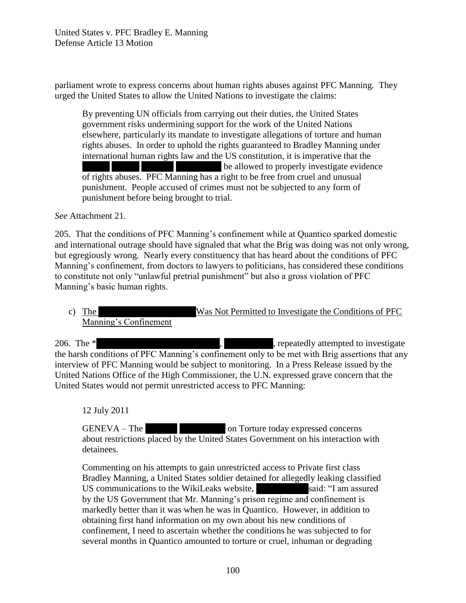parliament wrote to express concerns about human rights abuses against PFC Manning. They urged the United States to allow the United Nations to investigate the claims:

By preventing UN officials from carrying out their duties, the United States government risks undermining support for the work of the United Nations elsewhere, particularly its mandate to investigate allegations of torture and human rights abuses. In order to uphold the rights guaranteed to Bradley Manning under international human rights law and the US constitution, it is imperative that the be allowed to properly investigate evidence of rights abuses. PFC Manning has a right to be free from cruel and unusual punishment. People accused of crimes must not be subjected to any form of punishment before being brought to trial.

*See* Attachment 21.

205. That the conditions of PFC Manning's confinement while at Quantico sparked domestic and international outrage should have signaled that what the Brig was doing was not only wrong, but egregiously wrong. Nearly every constituency that has heard about the conditions of PFC Manning's confinement, from doctors to lawyers to politicians, has considered these conditions to constitute not only "unlawful pretrial punishment" but also a gross violation of PFC Manning's basic human rights.

c) The was Not Permitted to Investigate the Conditions of PFC Manning's Confinement

206. The \*\*\*\*\*\*\*\*\*\*\*\*\*\*\*\*\*\*\*\*\*\*\*\*\*\*\*\*, \*\*Redacted\*\*, repeatedly attempted to investigate the harsh conditions of PFC Manning's confinement only to be met with Brig assertions that any interview of PFC Manning would be subject to monitoring. In a Press Release issued by the United Nations Office of the High Commissioner, the U.N. expressed grave concern that the United States would not permit unrestricted access to PFC Manning:

12 July 2011

GENEVA – The \*\*\*\*\*\*\* \*\*\*\*\*\*\*\*\*\* on Torture today expressed concerns about restrictions placed by the United States Government on his interaction with detainees.

Commenting on his attempts to gain unrestricted access to Private first class Bradley Manning, a United States soldier detained for allegedly leaking classified US communications to the WikiLeaks website, \*\*\*\*\*\*\*\*said: "I am assured by the US Government that Mr. Manning's prison regime and confinement is markedly better than it was when he was in Quantico. However, in addition to obtaining first hand information on my own about his new conditions of confinement, I need to ascertain whether the conditions he was subjected to for several months in Quantico amounted to torture or cruel, inhuman or degrading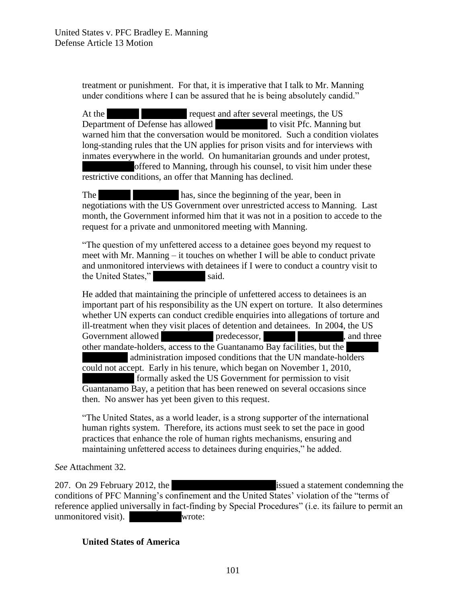treatment or punishment. For that, it is imperative that I talk to Mr. Manning under conditions where I can be assured that he is being absolutely candid."

At the the the sequest and after several meetings, the US Department of Defense has allowed to visit Pfc. Manning but warned him that the conversation would be monitored. Such a condition violates long-standing rules that the UN applies for prison visits and for interviews with inmates everywhere in the world. On humanitarian grounds and under protest, offered to Manning, through his counsel, to visit him under these restrictive conditions, an offer that Manning has declined.

The the state is has, since the beginning of the year, been in negotiations with the US Government over unrestricted access to Manning. Last month, the Government informed him that it was not in a position to accede to the request for a private and unmonitored meeting with Manning.

"The question of my unfettered access to a detainee goes beyond my request to meet with Mr. Manning – it touches on whether I will be able to conduct private and unmonitored interviews with detainees if I were to conduct a country visit to the United States," said.

He added that maintaining the principle of unfettered access to detainees is an important part of his responsibility as the UN expert on torture. It also determines whether UN experts can conduct credible enquiries into allegations of torture and ill-treatment when they visit places of detention and detainees. In 2004, the US Government allowed \*\*Redacted\*\* predecessor, \*\*\*\*\*\*\* \*\*\*\*\*\*\*\*\*\*, and three other mandate-holders, access to the Guantanamo Bay facilities, but the administration imposed conditions that the UN mandate-holders could not accept. Early in his tenure, which began on November 1, 2010, formally asked the US Government for permission to visit Guantanamo Bay, a petition that has been renewed on several occasions since then. No answer has yet been given to this request.

"The United States, as a world leader, is a strong supporter of the international human rights system. Therefore, its actions must seek to set the pace in good practices that enhance the role of human rights mechanisms, ensuring and maintaining unfettered access to detainees during enquiries," he added.

*See* Attachment 32.

207. On 29 February 2012, the \*\*\* conditions of PFC Manning's confinement and the United States' violation of the "terms of reference applied universally in fact-finding by Special Procedures" (i.e. its failure to permit an unmonitored visit). \*\*Redacted\*\*wrote:

## **United States of America**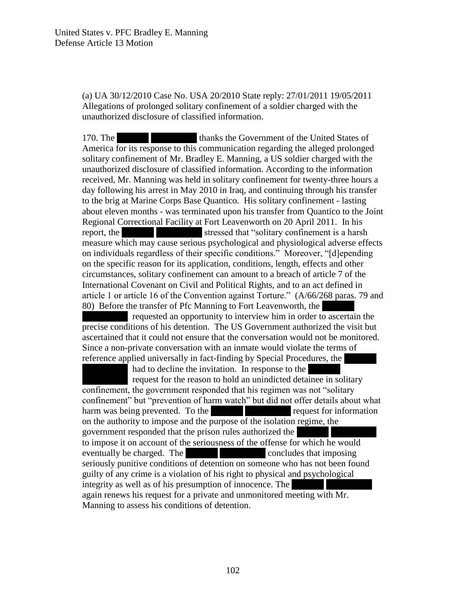(a) UA 30/12/2010 Case No. USA 20/2010 State reply: 27/01/2011 19/05/2011 Allegations of prolonged solitary confinement of a soldier charged with the unauthorized disclosure of classified information.

170. The  $\frac{170}{170}$  thanks the Government of the United States of America for its response to this communication regarding the alleged prolonged solitary confinement of Mr. Bradley E. Manning, a US soldier charged with the unauthorized disclosure of classified information. According to the information received, Mr. Manning was held in solitary confinement for twenty-three hours a day following his arrest in May 2010 in Iraq, and continuing through his transfer to the brig at Marine Corps Base Quantico. His solitary confinement - lasting about eleven months - was terminated upon his transfer from Quantico to the Joint Regional Correctional Facility at Fort Leavenworth on 20 April 2011. In his report, the \*\*\*\*\*\*\* \*\*\*\*\*\*\*\*\*\* stressed that "solitary confinement is a harsh measure which may cause serious psychological and physiological adverse effects on individuals regardless of their specific conditions." Moreover, "[d]epending on the specific reason for its application, conditions, length, effects and other circumstances, solitary confinement can amount to a breach of article 7 of the International Covenant on Civil and Political Rights, and to an act defined in article 1 or article 16 of the Convention against Torture." (A/66/268 paras. 79 and 80) Before the transfer of Pfc Manning to Fort Leavenworth, the

requested an opportunity to interview him in order to ascertain the precise conditions of his detention. The US Government authorized the visit but ascertained that it could not ensure that the conversation would not be monitored. Since a non-private conversation with an inmate would violate the terms of reference applied universally in fact-finding by Special Procedures, the

had to decline the invitation. In response to the  $\mathbf \epsilon$ request for the reason to hold an unindicted detainee in solitary confinement, the government responded that his regimen was not "solitary confinement" but "prevention of harm watch" but did not offer details about what harm was being prevented. To the \*\*\*\* \*\*\* request for information on the authority to impose and the purpose of the isolation regime, the government responded that the prison rules authorized the to impose it on account of the seriousness of the offense for which he would eventually be charged. The \*\*\*\*\*\*\*\*\* concludes that imposing seriously punitive conditions of detention on someone who has not been found guilty of any crime is a violation of his right to physical and psychological integrity as well as of his presumption of innocence. The again renews his request for a private and unmonitored meeting with Mr. Manning to assess his conditions of detention.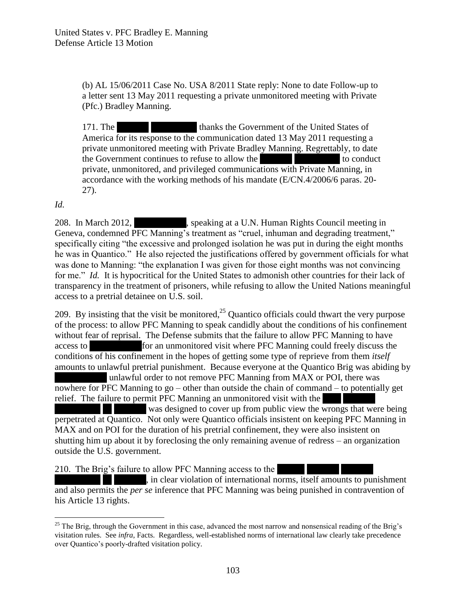(b) AL 15/06/2011 Case No. USA 8/2011 State reply: None to date Follow-up to a letter sent 13 May 2011 requesting a private unmonitored meeting with Private (Pfc.) Bradley Manning.

171. The thanks the Government of the United States of America for its response to the communication dated 13 May 2011 requesting a private unmonitored meeting with Private Bradley Manning. Regrettably, to date the Government continues to refuse to allow the \*\*\*\*\* \*\*\*\* to conduct private, unmonitored, and privileged communications with Private Manning, in accordance with the working methods of his mandate (E/CN.4/2006/6 paras. 20- 27).

*Id.*

208. In March 2012, Speaking at a U.N. Human Rights Council meeting in Geneva, condemned PFC Manning's treatment as "cruel, inhuman and degrading treatment," specifically citing "the excessive and prolonged isolation he was put in during the eight months he was in Quantico." He also rejected the justifications offered by government officials for what was done to Manning: "the explanation I was given for those eight months was not convincing for me." *Id.* It is hypocritical for the United States to admonish other countries for their lack of transparency in the treatment of prisoners, while refusing to allow the United Nations meaningful access to a pretrial detainee on U.S. soil.

209. By insisting that the visit be monitored, $25$  Quantico officials could thwart the very purpose of the process: to allow PFC Manning to speak candidly about the conditions of his confinement without fear of reprisal. The Defense submits that the failure to allow PFC Manning to have access to  $\frac{f(x)}{f(x)}$  for an unmonitored visit where PFC Manning could freely discuss the conditions of his confinement in the hopes of getting some type of reprieve from them *itself*  amounts to unlawful pretrial punishment. Because everyone at the Quantico Brig was abiding by unlawful order to not remove PFC Manning from MAX or POI, there was nowhere for PFC Manning to go – other than outside the chain of command – to potentially get relief. The failure to permit PFC Manning an unmonitored visit with the was designed to cover up from public view the wrongs that were being perpetrated at Quantico. Not only were Quantico officials insistent on keeping PFC Manning in MAX and on POI for the duration of his pretrial confinement, they were also insistent on shutting him up about it by foreclosing the only remaining avenue of redress – an organization outside the U.S. government.

210. The Brig's failure to allow PFC Manning access to the

, in clear violation of international norms, itself amounts to punishment and also permits the *per se* inference that PFC Manning was being punished in contravention of his Article 13 rights.

 $\overline{a}$  $^{25}$  The Brig, through the Government in this case, advanced the most narrow and nonsensical reading of the Brig's visitation rules. See *infra*, Facts. Regardless, well-established norms of international law clearly take precedence over Quantico's poorly-drafted visitation policy.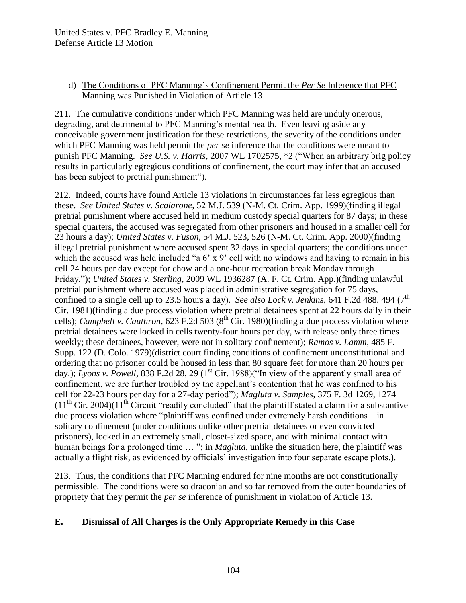## d) The Conditions of PFC Manning's Confinement Permit the *Per Se* Inference that PFC Manning was Punished in Violation of Article 13

211. The cumulative conditions under which PFC Manning was held are unduly onerous, degrading, and detrimental to PFC Manning's mental health. Even leaving aside any conceivable government justification for these restrictions, the severity of the conditions under which PFC Manning was held permit the *per se* inference that the conditions were meant to punish PFC Manning. *See U.S. v. Harris*, 2007 WL 1702575, \*2 ("When an arbitrary brig policy results in particularly egregious conditions of confinement, the court may infer that an accused has been subject to pretrial punishment".

212. Indeed, courts have found Article 13 violations in circumstances far less egregious than these. *See United States v. Scalarone*, 52 M.J. 539 (N-M. Ct. Crim. App. 1999)(finding illegal pretrial punishment where accused held in medium custody special quarters for 87 days; in these special quarters, the accused was segregated from other prisoners and housed in a smaller cell for 23 hours a day); *United States v. Fuson*, 54 M.J. 523, 526 (N-M. Ct. Crim. App. 2000)(finding illegal pretrial punishment where accused spent 32 days in special quarters; the conditions under which the accused was held included "a 6' x 9' cell with no windows and having to remain in his cell 24 hours per day except for chow and a one-hour recreation break Monday through Friday."); *United States v. Sterling,* 2009 WL 1936287 (A. F. Ct. Crim. App.)(finding unlawful pretrial punishment where accused was placed in administrative segregation for 75 days, confined to a single cell up to 23.5 hours a day). *See also Lock v. Jenkins*, 641 F.2d 488, 494 (7<sup>th</sup> Cir. 1981)(finding a due process violation where pretrial detainees spent at 22 hours daily in their cells); *Campbell v. Cauthron*, 623 F.2d 503 (8<sup>th</sup> Cir. 1980)(finding a due process violation where pretrial detainees were locked in cells twenty-four hours per day, with release only three times weekly; these detainees, however, were not in solitary confinement); *Ramos v. Lamm,* 485 F. Supp. 122 (D. Colo. 1979)(district court finding conditions of confinement unconstitutional and ordering that no prisoner could be housed in less than 80 square feet for more than 20 hours per day.); *Lyons v. Powell*, 838 F.2d 28, 29 (1<sup>st</sup> Cir. 1988)("In view of the apparently small area of confinement, we are further troubled by the appellant's contention that he was confined to his cell for 22-23 hours per day for a 27-day period"); *Magluta v. Samples*, 375 F. 3d 1269, 1274  $(11<sup>th</sup> Cir. 2004)(11<sup>th</sup> Circuit "readily concluded" that the plaintiff stated a claim for a substantive$ due process violation where "plaintiff was confined under extremely harsh conditions – in solitary confinement (under conditions unlike other pretrial detainees or even convicted prisoners), locked in an extremely small, closet-sized space, and with minimal contact with human beings for a prolonged time … "; in *Magluta*, unlike the situation here, the plaintiff was actually a flight risk, as evidenced by officials' investigation into four separate escape plots.).

213. Thus, the conditions that PFC Manning endured for nine months are not constitutionally permissible. The conditions were so draconian and so far removed from the outer boundaries of propriety that they permit the *per se* inference of punishment in violation of Article 13.

## **E. Dismissal of All Charges is the Only Appropriate Remedy in this Case**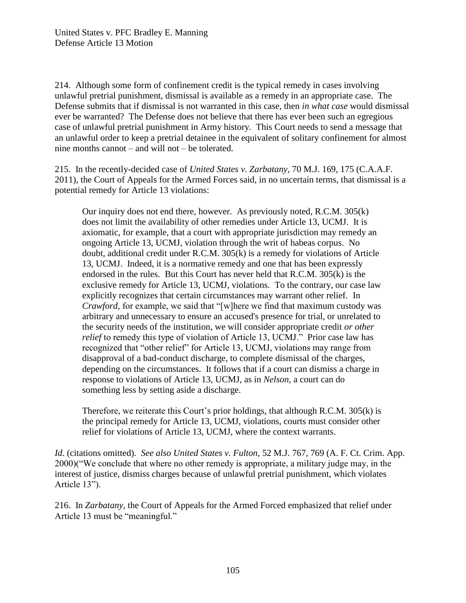214. Although some form of confinement credit is the typical remedy in cases involving unlawful pretrial punishment, dismissal is available as a remedy in an appropriate case. The Defense submits that if dismissal is not warranted in this case, then *in what case* would dismissal ever be warranted? The Defense does not believe that there has ever been such an egregious case of unlawful pretrial punishment in Army history. This Court needs to send a message that an unlawful order to keep a pretrial detainee in the equivalent of solitary confinement for almost nine months cannot – and will not – be tolerated.

215. In the recently-decided case of *United States v. Zarbatany*, 70 M.J. 169, 175 (C.A.A.F. 2011), the Court of Appeals for the Armed Forces said, in no uncertain terms, that dismissal is a potential remedy for Article 13 violations:

Our inquiry does not end there, however. As previously noted, R.C.M. 305(k) does not limit the availability of other remedies under Article 13, UCMJ. It is axiomatic, for example, that a court with appropriate jurisdiction may remedy an ongoing Article 13, UCMJ, violation through the writ of habeas corpus. No doubt, additional credit under R.C.M. 305(k) is a remedy for violations of Article 13, UCMJ. Indeed, it is a normative remedy and one that has been expressly endorsed in the rules. But this Court has never held that R.C.M. 305(k) is the exclusive remedy for Article 13, UCMJ, violations. To the contrary, our case law explicitly recognizes that certain circumstances may warrant other relief. In *Crawford,* for example, we said that "[w]here we find that maximum custody was arbitrary and unnecessary to ensure an accused's presence for trial, or unrelated to the security needs of the institution, we will consider appropriate credit *or other relief* to remedy this type of violation of Article 13, UCMJ." Prior case law has recognized that "other relief" for Article 13, UCMJ, violations may range from disapproval of a bad-conduct discharge, to complete dismissal of the charges, depending on the circumstances. It follows that if a court can dismiss a charge in response to violations of [Article 13, UCMJ,](https://web2.westlaw.com/find/default.wl?mt=208&db=1093470&docname=UCMJART13&rp=%2ffind%2fdefault.wl&findtype=L&ordoc=2025629918&tc=-1&vr=2.0&fn=_top&sv=Split&tf=-1&pbc=B8CE6B2B&rs=WLW12.04) as in *Nelson,* a court can do something less by setting aside a discharge.

Therefore, we reiterate this Court's prior holdings, that although R.C.M. 305(k) is the principal remedy for Article 13, UCMJ, violations, courts must consider other relief for violations of Article 13, UCMJ, where the context warrants.

*Id.* (citations omitted). *See also United States v. Fulton*, 52 M.J. 767, 769 (A. F. Ct. Crim. App. 2000)("We conclude that where no other remedy is appropriate, a military judge may, in the interest of justice, dismiss charges because of unlawful pretrial punishment, which violates Article 13").

216. In *Zarbatany*, the Court of Appeals for the Armed Forced emphasized that relief under Article 13 must be "meaningful."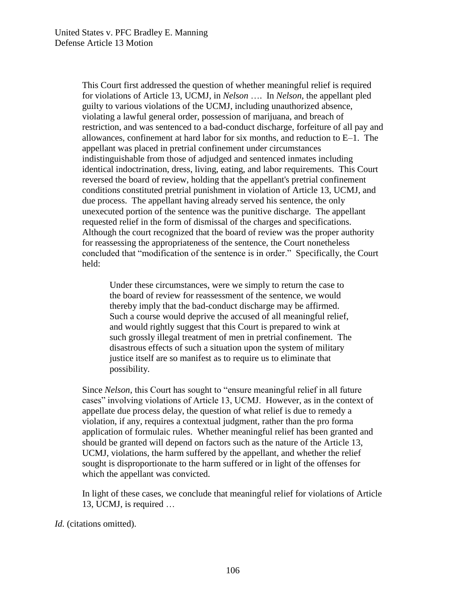This Court first addressed the question of whether meaningful relief is required for violations of Article 13, UCMJ, in *Nelson* …. In *Nelson,* the appellant pled guilty to various violations of the UCMJ, including unauthorized absence, violating a lawful general order, possession of marijuana, and breach of restriction, and was sentenced to a bad-conduct discharge, forfeiture of all pay and allowances, confinement at hard labor for six months, and reduction to E–1. The appellant was placed in pretrial confinement under circumstances indistinguishable from those of adjudged and sentenced inmates including identical indoctrination, dress, living, eating, and labor requirements. This Court reversed the board of review, holding that the appellant's pretrial confinement conditions constituted pretrial punishment in violation of Article 13, UCMJ, and due process. The appellant having already served his sentence, the only unexecuted portion of the sentence was the punitive discharge. The appellant requested relief in the form of dismissal of the charges and specifications. Although the court recognized that the board of review was the proper authority for reassessing the appropriateness of the sentence, the Court nonetheless concluded that "modification of the sentence is in order." Specifically, the Court held:

Under these circumstances, were we simply to return the case to the board of review for reassessment of the sentence, we would thereby imply that the bad-conduct discharge may be affirmed. Such a course would deprive the accused of all meaningful relief, and would rightly suggest that this Court is prepared to wink at such grossly illegal treatment of men in pretrial confinement. The disastrous effects of such a situation upon the system of military justice itself are so manifest as to require us to eliminate that possibility.

Since *Nelson,* this Court has sought to "ensure meaningful relief in all future cases" involving violations of Article 13, UCMJ. However, as in the context of appellate due process delay, the question of what relief is due to remedy a violation, if any, requires a contextual judgment, rather than the pro forma application of formulaic rules. Whether meaningful relief has been granted and should be granted will depend on factors such as the nature of the Article 13, UCMJ, violations, the harm suffered by the appellant, and whether the relief sought is disproportionate to the harm suffered or in light of the offenses for which the appellant was convicted.

In light of these cases, we conclude that meaningful relief for violations of Article 13, UCMJ, is required …

*Id.* (citations omitted).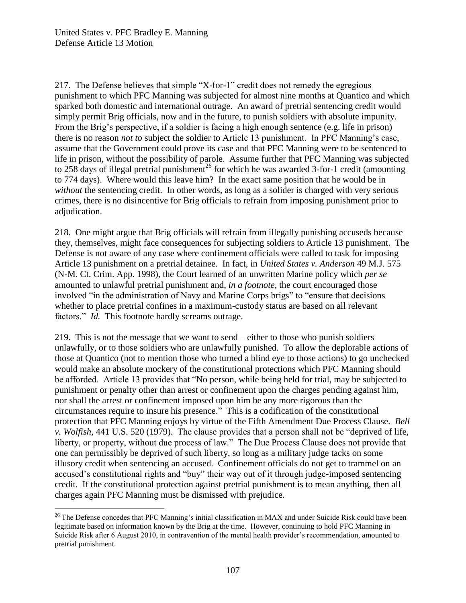$\overline{a}$ 

217. The Defense believes that simple "X-for-1" credit does not remedy the egregious punishment to which PFC Manning was subjected for almost nine months at Quantico and which sparked both domestic and international outrage. An award of pretrial sentencing credit would simply permit Brig officials, now and in the future, to punish soldiers with absolute impunity. From the Brig's perspective, if a soldier is facing a high enough sentence (e.g. life in prison) there is no reason *not to* subject the soldier to Article 13 punishment. In PFC Manning's case, assume that the Government could prove its case and that PFC Manning were to be sentenced to life in prison, without the possibility of parole. Assume further that PFC Manning was subjected to 258 days of illegal pretrial punishment<sup>26</sup> for which he was awarded 3-for-1 credit (amounting to 774 days). Where would this leave him? In the exact same position that he would be in *without* the sentencing credit. In other words, as long as a solider is charged with very serious crimes, there is no disincentive for Brig officials to refrain from imposing punishment prior to adjudication.

218. One might argue that Brig officials will refrain from illegally punishing accuseds because they, themselves, might face consequences for subjecting soldiers to Article 13 punishment. The Defense is not aware of any case where confinement officials were called to task for imposing Article 13 punishment on a pretrial detainee. In fact, in *United States v. Anderson* 49 M.J. 575 (N-M. Ct. Crim. App. 1998), the Court learned of an unwritten Marine policy which *per se* amounted to unlawful pretrial punishment and, *in a footnote*, the court encouraged those involved "in the administration of Navy and Marine Corps brigs" to "ensure that decisions whether to place pretrial confines in a maximum-custody status are based on all relevant factors." *Id.* This footnote hardly screams outrage.

219. This is not the message that we want to send – either to those who punish soldiers unlawfully, or to those soldiers who are unlawfully punished. To allow the deplorable actions of those at Quantico (not to mention those who turned a blind eye to those actions) to go unchecked would make an absolute mockery of the constitutional protections which PFC Manning should be afforded. Article 13 provides that "No person, while being held for trial, may be subjected to punishment or penalty other than arrest or confinement upon the charges pending against him, nor shall the arrest or confinement imposed upon him be any more rigorous than the circumstances require to insure his presence." This is a codification of the constitutional protection that PFC Manning enjoys by virtue of the Fifth Amendment Due Process Clause. *Bell v. Wolfish,* 441 U.S. 520 (1979). The clause provides that a person shall not be "deprived of life, liberty, or property, without due process of law." The Due Process Clause does not provide that one can permissibly be deprived of such liberty, so long as a military judge tacks on some illusory credit when sentencing an accused. Confinement officials do not get to trammel on an accused's constitutional rights and "buy" their way out of it through judge-imposed sentencing credit. If the constitutional protection against pretrial punishment is to mean anything, then all charges again PFC Manning must be dismissed with prejudice.

<sup>&</sup>lt;sup>26</sup> The Defense concedes that PFC Manning's initial classification in MAX and under Suicide Risk could have been legitimate based on information known by the Brig at the time. However, continuing to hold PFC Manning in Suicide Risk after 6 August 2010, in contravention of the mental health provider's recommendation, amounted to pretrial punishment.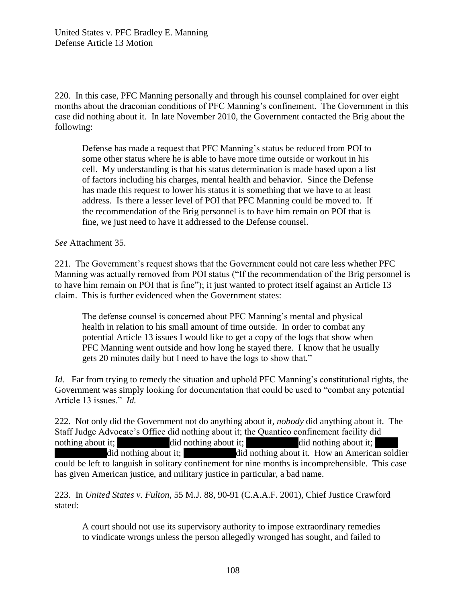United States v. PFC Bradley E. Manning Defense Article 13 Motion

220. In this case, PFC Manning personally and through his counsel complained for over eight months about the draconian conditions of PFC Manning's confinement. The Government in this case did nothing about it. In late November 2010, the Government contacted the Brig about the following:

Defense has made a request that PFC Manning's status be reduced from POI to some other status where he is able to have more time outside or workout in his cell. My understanding is that his status determination is made based upon a list of factors including his charges, mental health and behavior. Since the Defense has made this request to lower his status it is something that we have to at least address. Is there a lesser level of POI that PFC Manning could be moved to. If the recommendation of the Brig personnel is to have him remain on POI that is fine, we just need to have it addressed to the Defense counsel.

*See* Attachment 35.

221. The Government's request shows that the Government could not care less whether PFC Manning was actually removed from POI status ("If the recommendation of the Brig personnel is to have him remain on POI that is fine"); it just wanted to protect itself against an Article 13 claim. This is further evidenced when the Government states:

The defense counsel is concerned about PFC Manning's mental and physical health in relation to his small amount of time outside. In order to combat any potential Article 13 issues I would like to get a copy of the logs that show when PFC Manning went outside and how long he stayed there. I know that he usually gets 20 minutes daily but I need to have the logs to show that."

*Id.* Far from trying to remedy the situation and uphold PFC Manning's constitutional rights, the Government was simply looking for documentation that could be used to "combat any potential Article 13 issues." *Id.* 

222. Not only did the Government not do anything about it, *nobody* did anything about it. The Staff Judge Advocate's Office did nothing about it; the Quantico confinement facility did nothing about it; \*\*\*\*did nothing about it; \*\*\*\*did nothing about it; \*\*\* did nothing about it; \*\*\*\*did nothing about it. How an American soldier could be left to languish in solitary confinement for nine months is incomprehensible. This case has given American justice, and military justice in particular, a bad name.

223. In *United States v. Fulton*, 55 M.J. 88, 90-91 (C.A.A.F. 2001), Chief Justice Crawford stated:

A court should not use its supervisory authority to impose extraordinary remedies to vindicate wrongs unless the person allegedly wronged has sought, and failed to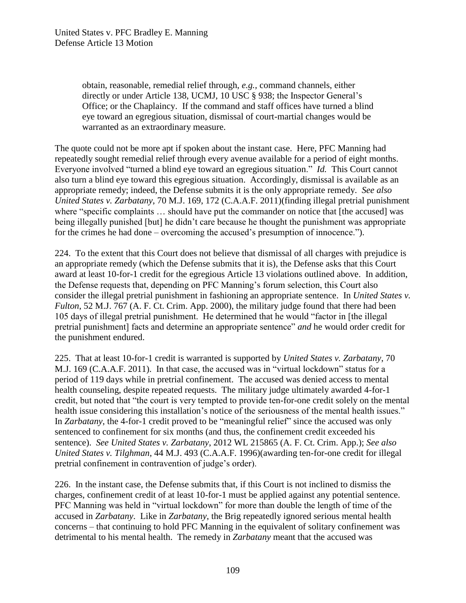obtain, reasonable, remedial relief through, *e.g.,* command channels, either directly or under Article 138, UCMJ, 10 USC § 938; the Inspector General's Office; or the Chaplaincy. If the command and staff offices have turned a blind eye toward an egregious situation, dismissal of court-martial changes would be warranted as an extraordinary measure.

The quote could not be more apt if spoken about the instant case. Here, PFC Manning had repeatedly sought remedial relief through every avenue available for a period of eight months. Everyone involved "turned a blind eye toward an egregious situation." *Id.* This Court cannot also turn a blind eye toward this egregious situation. Accordingly, dismissal is available as an appropriate remedy; indeed, the Defense submits it is the only appropriate remedy. *See also United States v. Zarbatany*, 70 M.J. 169, 172 (C.A.A.F. 2011)(finding illegal pretrial punishment where "specific complaints ... should have put the commander on notice that [the accused] was being illegally punished [but] he didn't care because he thought the punishment was appropriate for the crimes he had done – overcoming the accused's presumption of innocence.").

224. To the extent that this Court does not believe that dismissal of all charges with prejudice is an appropriate remedy (which the Defense submits that it is), the Defense asks that this Court award at least 10-for-1 credit for the egregious Article 13 violations outlined above. In addition, the Defense requests that, depending on PFC Manning's forum selection, this Court also consider the illegal pretrial punishment in fashioning an appropriate sentence. In *United States v. Fulton*, 52 M.J. 767 (A. F. Ct. Crim. App. 2000), the military judge found that there had been 105 days of illegal pretrial punishment. He determined that he would "factor in [the illegal pretrial punishment] facts and determine an appropriate sentence" *and* he would order credit for the punishment endured.

225. That at least 10-for-1 credit is warranted is supported by *United States v. Zarbatany*, 70 M.J. 169 (C.A.A.F. 2011). In that case, the accused was in "virtual lockdown" status for a period of 119 days while in pretrial confinement. The accused was denied access to mental health counseling, despite repeated requests. The military judge ultimately awarded 4-for-1 credit, but noted that "the court is very tempted to provide ten-for-one credit solely on the mental health issue considering this installation's notice of the seriousness of the mental health issues." In *Zarbatany*, the 4-for-1 credit proved to be "meaningful relief" since the accused was only sentenced to confinement for six months (and thus, the confinement credit exceeded his sentence). *See United States v. Zarbatany*, 2012 WL 215865 (A. F. Ct. Crim. App.); *See also United States v. Tilghman*, 44 M.J. 493 (C.A.A.F. 1996)(awarding ten-for-one credit for illegal pretrial confinement in contravention of judge's order).

226. In the instant case, the Defense submits that, if this Court is not inclined to dismiss the charges, confinement credit of at least 10-for-1 must be applied against any potential sentence. PFC Manning was held in "virtual lockdown" for more than double the length of time of the accused in *Zarbatany*. Like in *Zarbatany*, the Brig repeatedly ignored serious mental health concerns – that continuing to hold PFC Manning in the equivalent of solitary confinement was detrimental to his mental health. The remedy in *Zarbatany* meant that the accused was